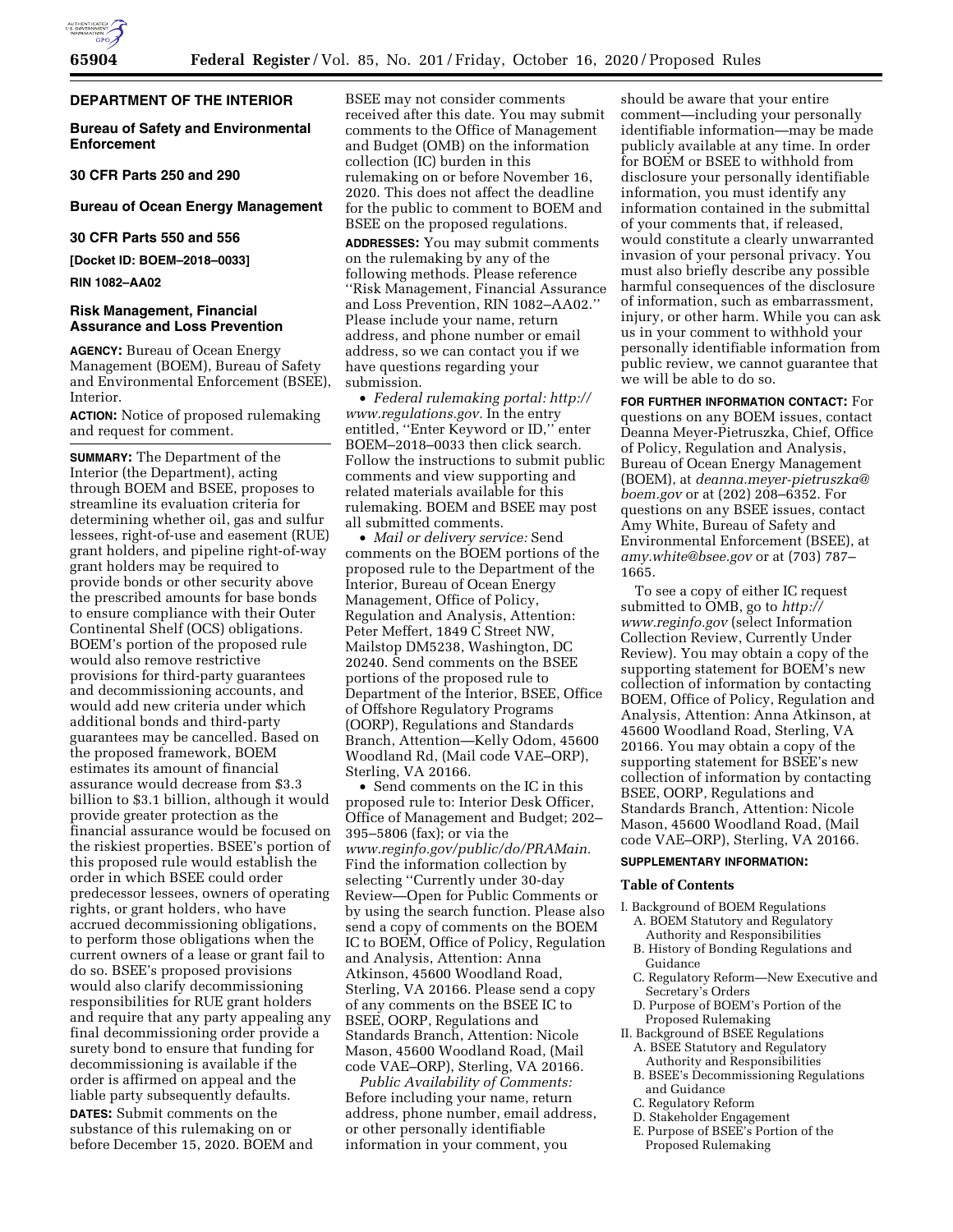

### **DEPARTMENT OF THE INTERIOR**

**Bureau of Safety and Environmental Enforcement** 

**30 CFR Parts 250 and 290** 

# **Bureau of Ocean Energy Management**

# **30 CFR Parts 550 and 556**

**[Docket ID: BOEM–2018–0033]** 

# **RIN 1082–AA02**

### **Risk Management, Financial Assurance and Loss Prevention**

**AGENCY:** Bureau of Ocean Energy Management (BOEM), Bureau of Safety and Environmental Enforcement (BSEE), Interior.

**ACTION:** Notice of proposed rulemaking and request for comment.

**SUMMARY:** The Department of the Interior (the Department), acting through BOEM and BSEE, proposes to streamline its evaluation criteria for determining whether oil, gas and sulfur lessees, right-of-use and easement (RUE) grant holders, and pipeline right-of-way grant holders may be required to provide bonds or other security above the prescribed amounts for base bonds to ensure compliance with their Outer Continental Shelf (OCS) obligations. BOEM's portion of the proposed rule would also remove restrictive provisions for third-party guarantees and decommissioning accounts, and would add new criteria under which additional bonds and third-party guarantees may be cancelled. Based on the proposed framework, BOEM estimates its amount of financial assurance would decrease from \$3.3 billion to \$3.1 billion, although it would provide greater protection as the financial assurance would be focused on the riskiest properties. BSEE's portion of this proposed rule would establish the order in which BSEE could order predecessor lessees, owners of operating rights, or grant holders, who have accrued decommissioning obligations, to perform those obligations when the current owners of a lease or grant fail to do so. BSEE's proposed provisions would also clarify decommissioning responsibilities for RUE grant holders and require that any party appealing any final decommissioning order provide a surety bond to ensure that funding for decommissioning is available if the order is affirmed on appeal and the liable party subsequently defaults.

**DATES:** Submit comments on the substance of this rulemaking on or before December 15, 2020. BOEM and

BSEE may not consider comments received after this date. You may submit comments to the Office of Management and Budget (OMB) on the information collection (IC) burden in this rulemaking on or before November 16, 2020. This does not affect the deadline for the public to comment to BOEM and BSEE on the proposed regulations.

**ADDRESSES:** You may submit comments on the rulemaking by any of the following methods. Please reference ''Risk Management, Financial Assurance and Loss Prevention, RIN 1082–AA02.'' Please include your name, return address, and phone number or email address, so we can contact you if we have questions regarding your submission.

• *Federal rulemaking portal: [http://](http://www.regulations.gov) [www.regulations.gov.](http://www.regulations.gov)* In the entry entitled, ''Enter Keyword or ID,'' enter BOEM–2018–0033 then click search. Follow the instructions to submit public comments and view supporting and related materials available for this rulemaking. BOEM and BSEE may post all submitted comments.

• *Mail or delivery service:* Send comments on the BOEM portions of the proposed rule to the Department of the Interior, Bureau of Ocean Energy Management, Office of Policy, Regulation and Analysis, Attention: Peter Meffert, 1849 C Street NW, Mailstop DM5238, Washington, DC 20240. Send comments on the BSEE portions of the proposed rule to Department of the Interior, BSEE, Office of Offshore Regulatory Programs (OORP), Regulations and Standards Branch, Attention—Kelly Odom, 45600 Woodland Rd, (Mail code VAE–ORP), Sterling, VA 20166.

• Send comments on the IC in this proposed rule to: Interior Desk Officer, Office of Management and Budget; 202– 395–5806 (fax); or via the *[www.reginfo.gov/public/do/PRAMain.](http://www.reginfo.gov/public/do/PRAMain)*  Find the information collection by selecting ''Currently under 30-day Review—Open for Public Comments or by using the search function. Please also send a copy of comments on the BOEM IC to BOEM, Office of Policy, Regulation and Analysis, Attention: Anna Atkinson, 45600 Woodland Road, Sterling, VA 20166. Please send a copy of any comments on the BSEE IC to BSEE, OORP, Regulations and Standards Branch, Attention: Nicole Mason, 45600 Woodland Road, (Mail code VAE–ORP), Sterling, VA 20166.

*Public Availability of Comments:*  Before including your name, return address, phone number, email address, or other personally identifiable information in your comment, you

should be aware that your entire comment—including your personally identifiable information—may be made publicly available at any time. In order for BOEM or BSEE to withhold from disclosure your personally identifiable information, you must identify any information contained in the submittal of your comments that, if released, would constitute a clearly unwarranted invasion of your personal privacy. You must also briefly describe any possible harmful consequences of the disclosure of information, such as embarrassment, injury, or other harm. While you can ask us in your comment to withhold your personally identifiable information from public review, we cannot guarantee that we will be able to do so.

**FOR FURTHER INFORMATION CONTACT:** For questions on any BOEM issues, contact Deanna Meyer-Pietruszka, Chief, Office of Policy, Regulation and Analysis, Bureau of Ocean Energy Management (BOEM), at *[deanna.meyer-pietruszka@](mailto:deanna.meyer-pietruszka@boem.gov) [boem.gov](mailto:deanna.meyer-pietruszka@boem.gov)* or at (202) 208–6352. For questions on any BSEE issues, contact Amy White, Bureau of Safety and Environmental Enforcement (BSEE), at *[amy.white@bsee.gov](mailto:amy.white@bsee.gov)* or at (703) 787– 1665.

To see a copy of either IC request submitted to OMB, go to *[http://](http://www.reginfo.gov) [www.reginfo.gov](http://www.reginfo.gov)* (select Information Collection Review, Currently Under Review). You may obtain a copy of the supporting statement for BOEM's new collection of information by contacting BOEM, Office of Policy, Regulation and Analysis, Attention: Anna Atkinson, at 45600 Woodland Road, Sterling, VA 20166. You may obtain a copy of the supporting statement for BSEE's new collection of information by contacting BSEE, OORP, Regulations and Standards Branch, Attention: Nicole Mason, 45600 Woodland Road, (Mail code VAE–ORP), Sterling, VA 20166.

# **SUPPLEMENTARY INFORMATION:**

### **Table of Contents**

- I. Background of BOEM Regulations A. BOEM Statutory and Regulatory
	- Authority and Responsibilities B. History of Bonding Regulations and
	- Guidance
	- C. Regulatory Reform—New Executive and Secretary's Orders
	- D. Purpose of BOEM's Portion of the Proposed Rulemaking
- II. Background of BSEE Regulations A. BSEE Statutory and Regulatory
	- Authority and Responsibilities B. BSEE's Decommissioning Regulations and Guidance
	- C. Regulatory Reform
	- D. Stakeholder Engagement
	- E. Purpose of BSEE's Portion of the Proposed Rulemaking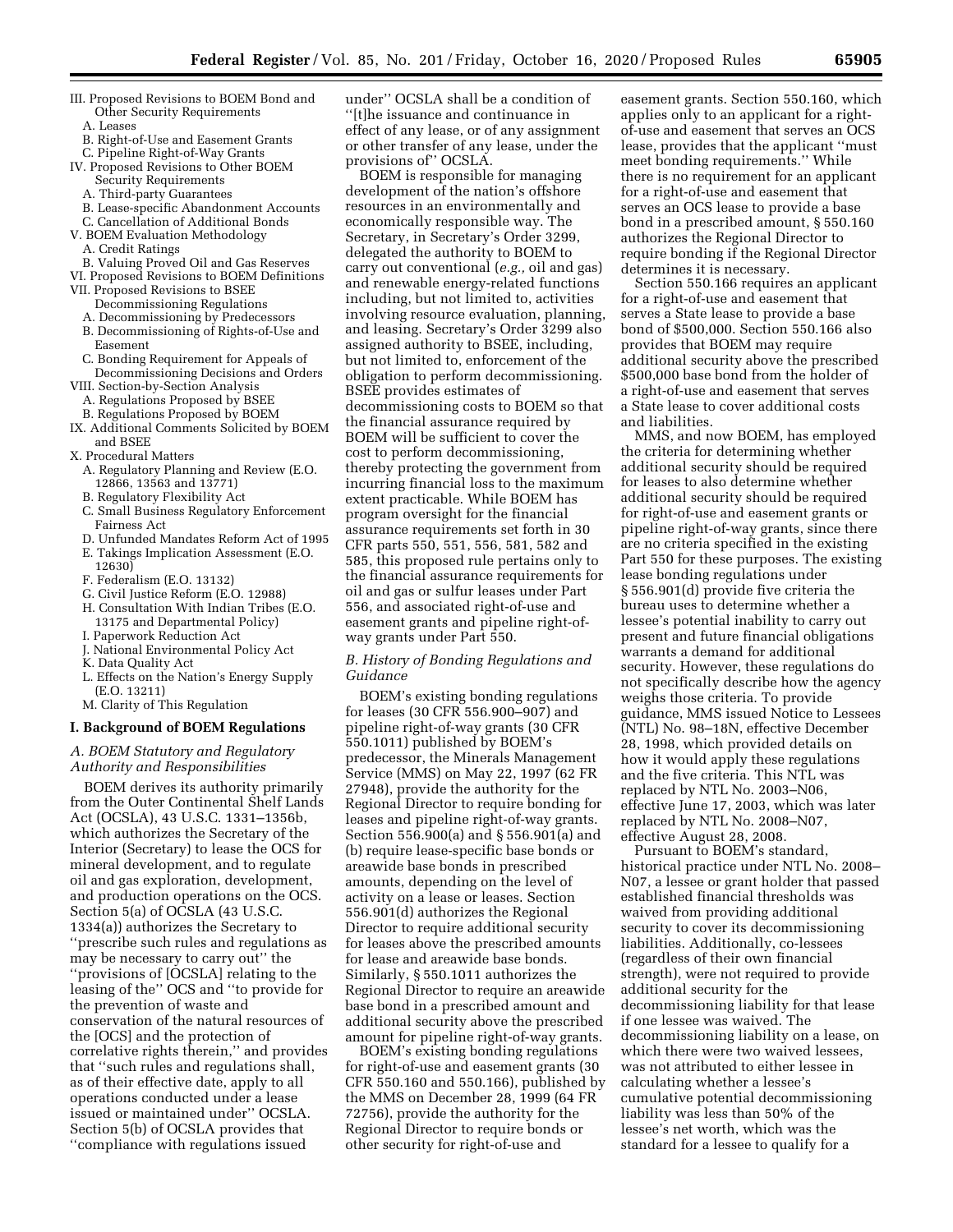- III. Proposed Revisions to BOEM Bond and Other Security Requirements
	- A. Leases
	- B. Right-of-Use and Easement Grants
- C. Pipeline Right-of-Way Grants IV. Proposed Revisions to Other BOEM
	- Security Requirements
	- A. Third-party Guarantees
	- B. Lease-specific Abandonment Accounts
- C. Cancellation of Additional Bonds V. BOEM Evaluation Methodology
- A. Credit Ratings
- B. Valuing Proved Oil and Gas Reserves
- VI. Proposed Revisions to BOEM Definitions
- VII. Proposed Revisions to BSEE
	- Decommissioning Regulations
	- A. Decommissioning by Predecessors
	- B. Decommissioning of Rights-of-Use and Easement
- C. Bonding Requirement for Appeals of Decommissioning Decisions and Orders
- VIII. Section-by-Section Analysis
- A. Regulations Proposed by BSEE
- B. Regulations Proposed by BOEM IX. Additional Comments Solicited by BOEM and BSEE
- X. Procedural Matters
	- A. Regulatory Planning and Review (E.O. 12866, 13563 and 13771)
	- B. Regulatory Flexibility Act
	- C. Small Business Regulatory Enforcement Fairness Act
	- D. Unfunded Mandates Reform Act of 1995
	- E. Takings Implication Assessment (E.O. 12630)
	- F. Federalism (E.O. 13132)
	- G. Civil Justice Reform (E.O. 12988)
	- H. Consultation With Indian Tribes (E.O. 13175 and Departmental Policy)
	- I. Paperwork Reduction Act
	- J. National Environmental Policy Act
	- K. Data Quality Act
	- L. Effects on the Nation's Energy Supply (E.O. 13211)
	- M. Clarity of This Regulation

# **I. Background of BOEM Regulations**

# *A. BOEM Statutory and Regulatory Authority and Responsibilities*

BOEM derives its authority primarily from the Outer Continental Shelf Lands Act (OCSLA), 43 U.S.C. 1331–1356b, which authorizes the Secretary of the Interior (Secretary) to lease the OCS for mineral development, and to regulate oil and gas exploration, development, and production operations on the OCS. Section 5(a) of OCSLA (43 U.S.C. 1334(a)) authorizes the Secretary to ''prescribe such rules and regulations as may be necessary to carry out'' the ''provisions of [OCSLA] relating to the leasing of the'' OCS and ''to provide for the prevention of waste and conservation of the natural resources of the [OCS] and the protection of correlative rights therein,'' and provides that ''such rules and regulations shall, as of their effective date, apply to all operations conducted under a lease issued or maintained under'' OCSLA. Section 5(b) of OCSLA provides that ''compliance with regulations issued

under'' OCSLA shall be a condition of ''[t]he issuance and continuance in effect of any lease, or of any assignment or other transfer of any lease, under the provisions of" OCSLA.

BOEM is responsible for managing development of the nation's offshore resources in an environmentally and economically responsible way. The Secretary, in Secretary's Order 3299, delegated the authority to BOEM to carry out conventional (*e.g.,* oil and gas) and renewable energy-related functions including, but not limited to, activities involving resource evaluation, planning, and leasing. Secretary's Order 3299 also assigned authority to BSEE, including, but not limited to, enforcement of the obligation to perform decommissioning. BSEE provides estimates of decommissioning costs to BOEM so that the financial assurance required by BOEM will be sufficient to cover the cost to perform decommissioning, thereby protecting the government from incurring financial loss to the maximum extent practicable. While BOEM has program oversight for the financial assurance requirements set forth in 30 CFR parts 550, 551, 556, 581, 582 and 585, this proposed rule pertains only to the financial assurance requirements for oil and gas or sulfur leases under Part 556, and associated right-of-use and easement grants and pipeline right-ofway grants under Part 550.

### *B. History of Bonding Regulations and Guidance*

BOEM's existing bonding regulations for leases (30 CFR 556.900–907) and pipeline right-of-way grants (30 CFR 550.1011) published by BOEM's predecessor, the Minerals Management Service (MMS) on May 22, 1997 (62 FR 27948), provide the authority for the Regional Director to require bonding for leases and pipeline right-of-way grants. Section 556.900(a) and § 556.901(a) and (b) require lease-specific base bonds or areawide base bonds in prescribed amounts, depending on the level of activity on a lease or leases. Section 556.901(d) authorizes the Regional Director to require additional security for leases above the prescribed amounts for lease and areawide base bonds. Similarly, § 550.1011 authorizes the Regional Director to require an areawide base bond in a prescribed amount and additional security above the prescribed amount for pipeline right-of-way grants.

BOEM's existing bonding regulations for right-of-use and easement grants (30 CFR 550.160 and 550.166), published by the MMS on December 28, 1999 (64 FR 72756), provide the authority for the Regional Director to require bonds or other security for right-of-use and

easement grants. Section 550.160, which applies only to an applicant for a rightof-use and easement that serves an OCS lease, provides that the applicant ''must meet bonding requirements.'' While there is no requirement for an applicant for a right-of-use and easement that serves an OCS lease to provide a base bond in a prescribed amount, § 550.160 authorizes the Regional Director to require bonding if the Regional Director determines it is necessary.

Section 550.166 requires an applicant for a right-of-use and easement that serves a State lease to provide a base bond of \$500,000. Section 550.166 also provides that BOEM may require additional security above the prescribed \$500,000 base bond from the holder of a right-of-use and easement that serves a State lease to cover additional costs and liabilities.

MMS, and now BOEM, has employed the criteria for determining whether additional security should be required for leases to also determine whether additional security should be required for right-of-use and easement grants or pipeline right-of-way grants, since there are no criteria specified in the existing Part 550 for these purposes. The existing lease bonding regulations under § 556.901(d) provide five criteria the bureau uses to determine whether a lessee's potential inability to carry out present and future financial obligations warrants a demand for additional security. However, these regulations do not specifically describe how the agency weighs those criteria. To provide guidance, MMS issued Notice to Lessees (NTL) No. 98–18N, effective December 28, 1998, which provided details on how it would apply these regulations and the five criteria. This NTL was replaced by NTL No. 2003–N06, effective June 17, 2003, which was later replaced by NTL No. 2008–N07, effective August 28, 2008.

Pursuant to BOEM's standard, historical practice under NTL No. 2008– N07, a lessee or grant holder that passed established financial thresholds was waived from providing additional security to cover its decommissioning liabilities. Additionally, co-lessees (regardless of their own financial strength), were not required to provide additional security for the decommissioning liability for that lease if one lessee was waived. The decommissioning liability on a lease, on which there were two waived lessees, was not attributed to either lessee in calculating whether a lessee's cumulative potential decommissioning liability was less than 50% of the lessee's net worth, which was the standard for a lessee to qualify for a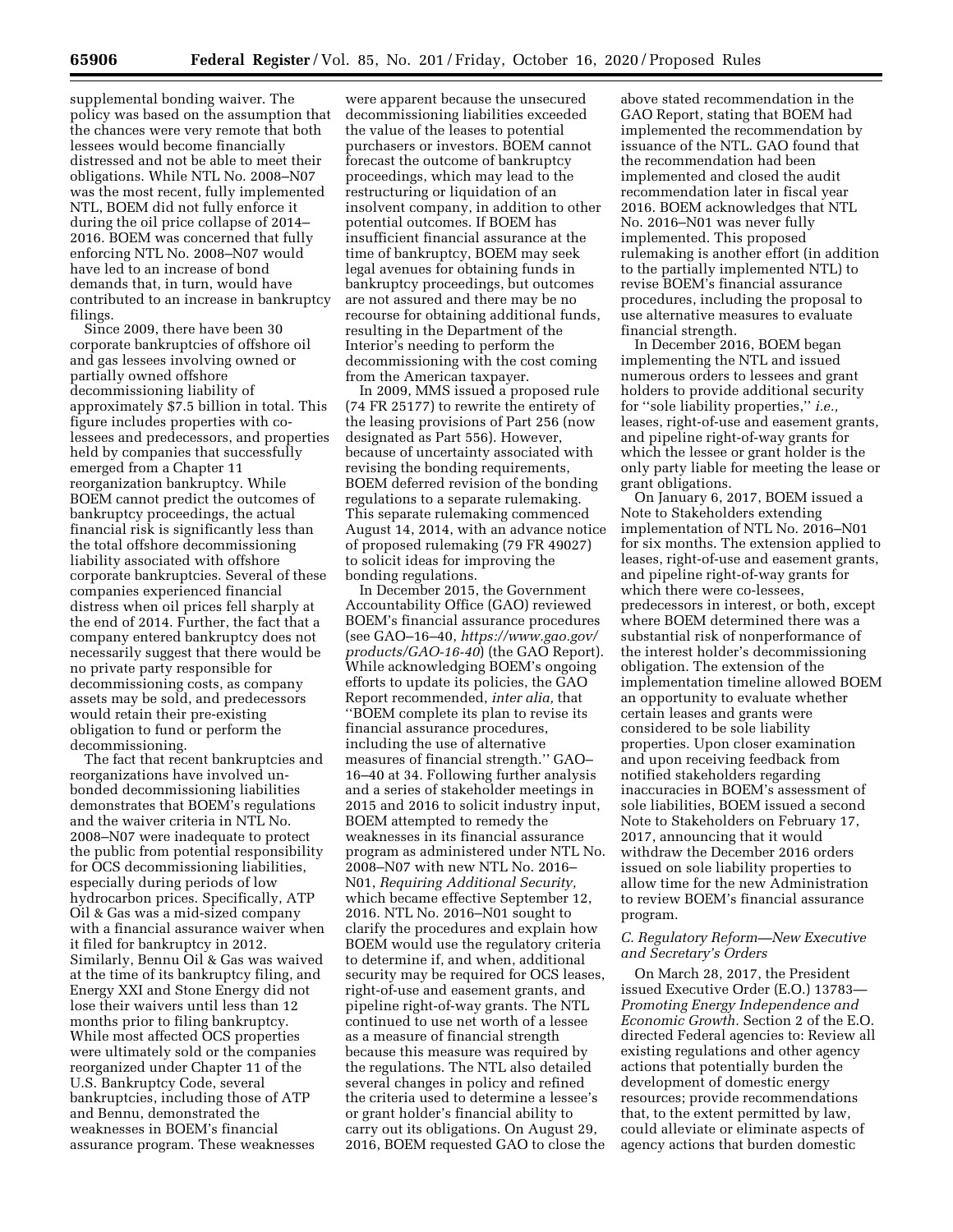supplemental bonding waiver. The policy was based on the assumption that the chances were very remote that both lessees would become financially distressed and not be able to meet their obligations. While NTL No. 2008–N07 was the most recent, fully implemented NTL, BOEM did not fully enforce it during the oil price collapse of 2014– 2016. BOEM was concerned that fully enforcing NTL No. 2008–N07 would have led to an increase of bond demands that, in turn, would have contributed to an increase in bankruptcy filings.

Since 2009, there have been 30 corporate bankruptcies of offshore oil and gas lessees involving owned or partially owned offshore decommissioning liability of approximately \$7.5 billion in total. This figure includes properties with colessees and predecessors, and properties held by companies that successfully emerged from a Chapter 11 reorganization bankruptcy. While BOEM cannot predict the outcomes of bankruptcy proceedings, the actual financial risk is significantly less than the total offshore decommissioning liability associated with offshore corporate bankruptcies. Several of these companies experienced financial distress when oil prices fell sharply at the end of 2014. Further, the fact that a company entered bankruptcy does not necessarily suggest that there would be no private party responsible for decommissioning costs, as company assets may be sold, and predecessors would retain their pre-existing obligation to fund or perform the decommissioning.

The fact that recent bankruptcies and reorganizations have involved unbonded decommissioning liabilities demonstrates that BOEM's regulations and the waiver criteria in NTL No. 2008–N07 were inadequate to protect the public from potential responsibility for OCS decommissioning liabilities, especially during periods of low hydrocarbon prices. Specifically, ATP Oil & Gas was a mid-sized company with a financial assurance waiver when it filed for bankruptcy in 2012. Similarly, Bennu Oil & Gas was waived at the time of its bankruptcy filing, and Energy XXI and Stone Energy did not lose their waivers until less than 12 months prior to filing bankruptcy. While most affected OCS properties were ultimately sold or the companies reorganized under Chapter 11 of the U.S. Bankruptcy Code, several bankruptcies, including those of ATP and Bennu, demonstrated the weaknesses in BOEM's financial assurance program. These weaknesses

were apparent because the unsecured decommissioning liabilities exceeded the value of the leases to potential purchasers or investors. BOEM cannot forecast the outcome of bankruptcy proceedings, which may lead to the restructuring or liquidation of an insolvent company, in addition to other potential outcomes. If BOEM has insufficient financial assurance at the time of bankruptcy, BOEM may seek legal avenues for obtaining funds in bankruptcy proceedings, but outcomes are not assured and there may be no recourse for obtaining additional funds, resulting in the Department of the Interior's needing to perform the decommissioning with the cost coming from the American taxpayer.

In 2009, MMS issued a proposed rule (74 FR 25177) to rewrite the entirety of the leasing provisions of Part 256 (now designated as Part 556). However, because of uncertainty associated with revising the bonding requirements, BOEM deferred revision of the bonding regulations to a separate rulemaking. This separate rulemaking commenced August 14, 2014, with an advance notice of proposed rulemaking (79 FR 49027) to solicit ideas for improving the bonding regulations.

In December 2015, the Government Accountability Office (GAO) reviewed BOEM's financial assurance procedures (see GAO–16–40, *[https://www.gao.gov/](https://www.gao.gov/products/GAO-16-40) [products/GAO-16-40](https://www.gao.gov/products/GAO-16-40)*) (the GAO Report). While acknowledging BOEM's ongoing efforts to update its policies, the GAO Report recommended, *inter alia,* that ''BOEM complete its plan to revise its financial assurance procedures, including the use of alternative measures of financial strength.'' GAO– 16–40 at 34. Following further analysis and a series of stakeholder meetings in 2015 and 2016 to solicit industry input, BOEM attempted to remedy the weaknesses in its financial assurance program as administered under NTL No. 2008–N07 with new NTL No. 2016– N01, *Requiring Additional Security,*  which became effective September 12, 2016. NTL No. 2016–N01 sought to clarify the procedures and explain how BOEM would use the regulatory criteria to determine if, and when, additional security may be required for OCS leases, right-of-use and easement grants, and pipeline right-of-way grants. The NTL continued to use net worth of a lessee as a measure of financial strength because this measure was required by the regulations. The NTL also detailed several changes in policy and refined the criteria used to determine a lessee's or grant holder's financial ability to carry out its obligations. On August 29, 2016, BOEM requested GAO to close the above stated recommendation in the GAO Report, stating that BOEM had implemented the recommendation by issuance of the NTL. GAO found that the recommendation had been implemented and closed the audit recommendation later in fiscal year 2016. BOEM acknowledges that NTL No. 2016–N01 was never fully implemented. This proposed rulemaking is another effort (in addition to the partially implemented NTL) to revise BOEM's financial assurance procedures, including the proposal to use alternative measures to evaluate financial strength.

In December 2016, BOEM began implementing the NTL and issued numerous orders to lessees and grant holders to provide additional security for ''sole liability properties,'' *i.e.,*  leases, right-of-use and easement grants, and pipeline right-of-way grants for which the lessee or grant holder is the only party liable for meeting the lease or grant obligations.

On January 6, 2017, BOEM issued a Note to Stakeholders extending implementation of NTL No. 2016–N01 for six months. The extension applied to leases, right-of-use and easement grants, and pipeline right-of-way grants for which there were co-lessees, predecessors in interest, or both, except where BOEM determined there was a substantial risk of nonperformance of the interest holder's decommissioning obligation. The extension of the implementation timeline allowed BOEM an opportunity to evaluate whether certain leases and grants were considered to be sole liability properties. Upon closer examination and upon receiving feedback from notified stakeholders regarding inaccuracies in BOEM's assessment of sole liabilities, BOEM issued a second Note to Stakeholders on February 17, 2017, announcing that it would withdraw the December 2016 orders issued on sole liability properties to allow time for the new Administration to review BOEM's financial assurance program.

### *C. Regulatory Reform—New Executive and Secretary's Orders*

On March 28, 2017, the President issued Executive Order (E.O.) 13783— *Promoting Energy Independence and Economic Growth.* Section 2 of the E.O. directed Federal agencies to: Review all existing regulations and other agency actions that potentially burden the development of domestic energy resources; provide recommendations that, to the extent permitted by law, could alleviate or eliminate aspects of agency actions that burden domestic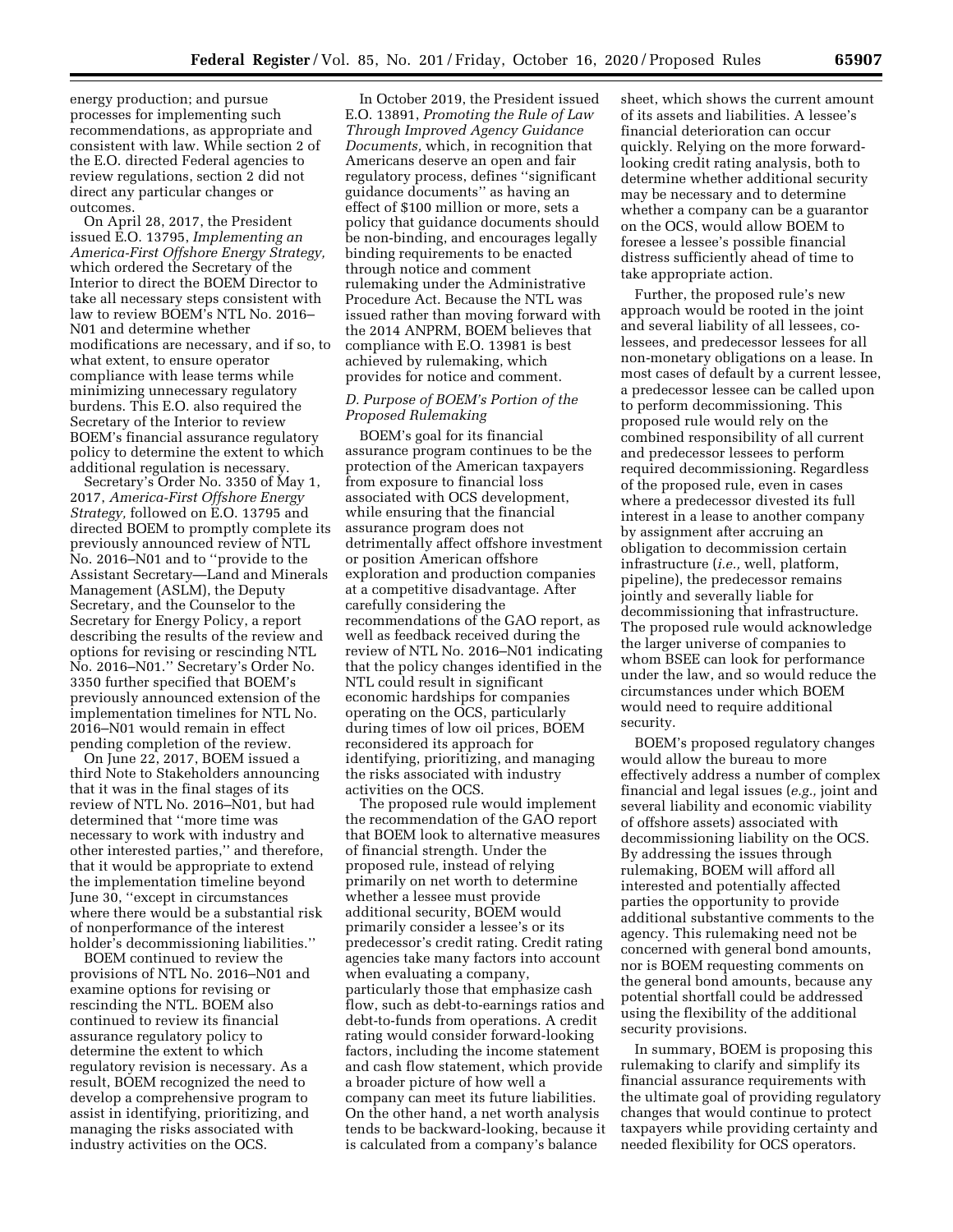energy production; and pursue processes for implementing such recommendations, as appropriate and consistent with law. While section 2 of the E.O. directed Federal agencies to review regulations, section 2 did not direct any particular changes or outcomes.

On April 28, 2017, the President issued E.O. 13795, *Implementing an America-First Offshore Energy Strategy,*  which ordered the Secretary of the Interior to direct the BOEM Director to take all necessary steps consistent with law to review BOEM's NTL No. 2016– N01 and determine whether modifications are necessary, and if so, to what extent, to ensure operator compliance with lease terms while minimizing unnecessary regulatory burdens. This E.O. also required the Secretary of the Interior to review BOEM's financial assurance regulatory policy to determine the extent to which additional regulation is necessary.

Secretary's Order No. 3350 of May 1, 2017, *America-First Offshore Energy Strategy,* followed on E.O. 13795 and directed BOEM to promptly complete its previously announced review of NTL No. 2016–N01 and to ''provide to the Assistant Secretary—Land and Minerals Management (ASLM), the Deputy Secretary, and the Counselor to the Secretary for Energy Policy, a report describing the results of the review and options for revising or rescinding NTL No. 2016–N01.'' Secretary's Order No. 3350 further specified that BOEM's previously announced extension of the implementation timelines for NTL No. 2016–N01 would remain in effect pending completion of the review.

On June 22, 2017, BOEM issued a third Note to Stakeholders announcing that it was in the final stages of its review of NTL No. 2016–N01, but had determined that ''more time was necessary to work with industry and other interested parties,'' and therefore, that it would be appropriate to extend the implementation timeline beyond June 30, ''except in circumstances where there would be a substantial risk of nonperformance of the interest holder's decommissioning liabilities.''

BOEM continued to review the provisions of NTL No. 2016–N01 and examine options for revising or rescinding the NTL. BOEM also continued to review its financial assurance regulatory policy to determine the extent to which regulatory revision is necessary. As a result, BOEM recognized the need to develop a comprehensive program to assist in identifying, prioritizing, and managing the risks associated with industry activities on the OCS.

In October 2019, the President issued E.O. 13891, *Promoting the Rule of Law Through Improved Agency Guidance Documents,* which, in recognition that Americans deserve an open and fair regulatory process, defines ''significant guidance documents'' as having an effect of \$100 million or more, sets a policy that guidance documents should be non-binding, and encourages legally binding requirements to be enacted through notice and comment rulemaking under the Administrative Procedure Act. Because the NTL was issued rather than moving forward with the 2014 ANPRM, BOEM believes that compliance with E.O. 13981 is best achieved by rulemaking, which provides for notice and comment.

# *D. Purpose of BOEM's Portion of the Proposed Rulemaking*

BOEM's goal for its financial assurance program continues to be the protection of the American taxpayers from exposure to financial loss associated with OCS development, while ensuring that the financial assurance program does not detrimentally affect offshore investment or position American offshore exploration and production companies at a competitive disadvantage. After carefully considering the recommendations of the GAO report, as well as feedback received during the review of NTL No. 2016–N01 indicating that the policy changes identified in the NTL could result in significant economic hardships for companies operating on the OCS, particularly during times of low oil prices, BOEM reconsidered its approach for identifying, prioritizing, and managing the risks associated with industry activities on the OCS.

The proposed rule would implement the recommendation of the GAO report that BOEM look to alternative measures of financial strength. Under the proposed rule, instead of relying primarily on net worth to determine whether a lessee must provide additional security, BOEM would primarily consider a lessee's or its predecessor's credit rating. Credit rating agencies take many factors into account when evaluating a company, particularly those that emphasize cash flow, such as debt-to-earnings ratios and debt-to-funds from operations. A credit rating would consider forward-looking factors, including the income statement and cash flow statement, which provide a broader picture of how well a company can meet its future liabilities. On the other hand, a net worth analysis tends to be backward-looking, because it is calculated from a company's balance

sheet, which shows the current amount of its assets and liabilities. A lessee's financial deterioration can occur quickly. Relying on the more forwardlooking credit rating analysis, both to determine whether additional security may be necessary and to determine whether a company can be a guarantor on the OCS, would allow BOEM to foresee a lessee's possible financial distress sufficiently ahead of time to take appropriate action.

Further, the proposed rule's new approach would be rooted in the joint and several liability of all lessees, colessees, and predecessor lessees for all non-monetary obligations on a lease. In most cases of default by a current lessee, a predecessor lessee can be called upon to perform decommissioning. This proposed rule would rely on the combined responsibility of all current and predecessor lessees to perform required decommissioning. Regardless of the proposed rule, even in cases where a predecessor divested its full interest in a lease to another company by assignment after accruing an obligation to decommission certain infrastructure (*i.e.,* well, platform, pipeline), the predecessor remains jointly and severally liable for decommissioning that infrastructure. The proposed rule would acknowledge the larger universe of companies to whom BSEE can look for performance under the law, and so would reduce the circumstances under which BOEM would need to require additional security.

BOEM's proposed regulatory changes would allow the bureau to more effectively address a number of complex financial and legal issues (*e.g.,* joint and several liability and economic viability of offshore assets) associated with decommissioning liability on the OCS. By addressing the issues through rulemaking, BOEM will afford all interested and potentially affected parties the opportunity to provide additional substantive comments to the agency. This rulemaking need not be concerned with general bond amounts, nor is BOEM requesting comments on the general bond amounts, because any potential shortfall could be addressed using the flexibility of the additional security provisions.

In summary, BOEM is proposing this rulemaking to clarify and simplify its financial assurance requirements with the ultimate goal of providing regulatory changes that would continue to protect taxpayers while providing certainty and needed flexibility for OCS operators.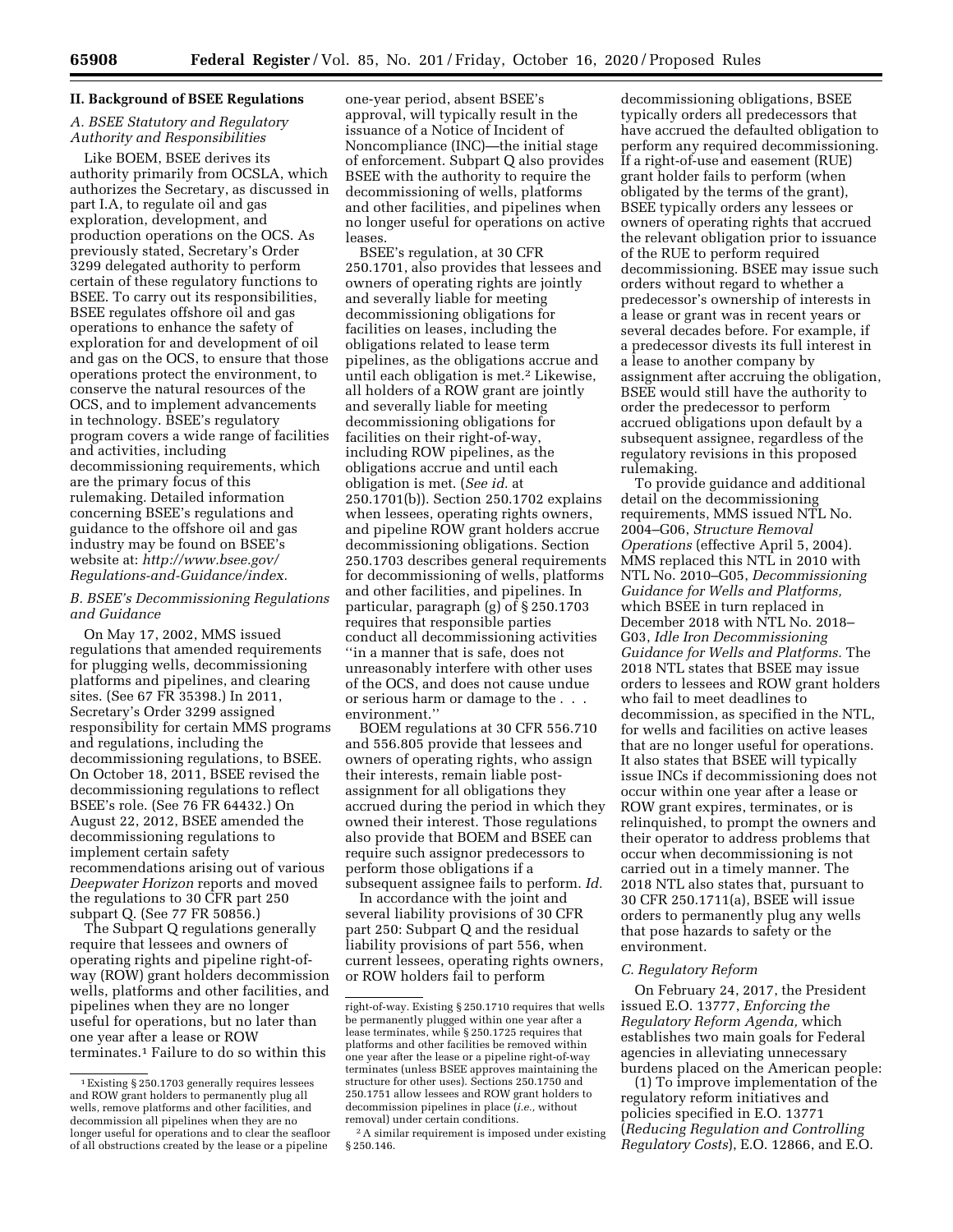### **II. Background of BSEE Regulations**

# *A. BSEE Statutory and Regulatory Authority and Responsibilities*

Like BOEM, BSEE derives its authority primarily from OCSLA, which authorizes the Secretary, as discussed in part I.A, to regulate oil and gas exploration, development, and production operations on the OCS. As previously stated, Secretary's Order 3299 delegated authority to perform certain of these regulatory functions to BSEE. To carry out its responsibilities, BSEE regulates offshore oil and gas operations to enhance the safety of exploration for and development of oil and gas on the OCS, to ensure that those operations protect the environment, to conserve the natural resources of the OCS, and to implement advancements in technology. BSEE's regulatory program covers a wide range of facilities and activities, including decommissioning requirements, which are the primary focus of this rulemaking. Detailed information concerning BSEE's regulations and guidance to the offshore oil and gas industry may be found on BSEE's website at: *[http://www.bsee.gov/](http://www.bsee.gov/Regulations-and-Guidance/index) [Regulations-and-Guidance/index.](http://www.bsee.gov/Regulations-and-Guidance/index)* 

# *B. BSEE's Decommissioning Regulations and Guidance*

On May 17, 2002, MMS issued regulations that amended requirements for plugging wells, decommissioning platforms and pipelines, and clearing sites. (See 67 FR 35398.) In 2011, Secretary's Order 3299 assigned responsibility for certain MMS programs and regulations, including the decommissioning regulations, to BSEE. On October 18, 2011, BSEE revised the decommissioning regulations to reflect BSEE's role. (See 76 FR 64432.) On August 22, 2012, BSEE amended the decommissioning regulations to implement certain safety recommendations arising out of various *Deepwater Horizon* reports and moved the regulations to 30 CFR part 250 subpart Q. (See 77 FR 50856.)

The Subpart Q regulations generally require that lessees and owners of operating rights and pipeline right-ofway (ROW) grant holders decommission wells, platforms and other facilities, and pipelines when they are no longer useful for operations, but no later than one year after a lease or ROW terminates.1 Failure to do so within this

one-year period, absent BSEE's approval, will typically result in the issuance of a Notice of Incident of Noncompliance (INC)—the initial stage of enforcement. Subpart Q also provides BSEE with the authority to require the decommissioning of wells, platforms and other facilities, and pipelines when no longer useful for operations on active leases.

BSEE's regulation, at 30 CFR 250.1701, also provides that lessees and owners of operating rights are jointly and severally liable for meeting decommissioning obligations for facilities on leases, including the obligations related to lease term pipelines, as the obligations accrue and until each obligation is met.2 Likewise, all holders of a ROW grant are jointly and severally liable for meeting decommissioning obligations for facilities on their right-of-way, including ROW pipelines, as the obligations accrue and until each obligation is met. (*See id.* at 250.1701(b)). Section 250.1702 explains when lessees, operating rights owners, and pipeline ROW grant holders accrue decommissioning obligations. Section 250.1703 describes general requirements for decommissioning of wells, platforms and other facilities, and pipelines. In particular, paragraph (g) of § 250.1703 requires that responsible parties conduct all decommissioning activities ''in a manner that is safe, does not unreasonably interfere with other uses of the OCS, and does not cause undue or serious harm or damage to the . . . environment.''

BOEM regulations at 30 CFR 556.710 and 556.805 provide that lessees and owners of operating rights, who assign their interests, remain liable postassignment for all obligations they accrued during the period in which they owned their interest. Those regulations also provide that BOEM and BSEE can require such assignor predecessors to perform those obligations if a subsequent assignee fails to perform. *Id.* 

In accordance with the joint and several liability provisions of 30 CFR part 250: Subpart Q and the residual liability provisions of part 556, when current lessees, operating rights owners, or ROW holders fail to perform

decommissioning obligations, BSEE typically orders all predecessors that have accrued the defaulted obligation to perform any required decommissioning. If a right-of-use and easement (RUE) grant holder fails to perform (when obligated by the terms of the grant), BSEE typically orders any lessees or owners of operating rights that accrued the relevant obligation prior to issuance of the RUE to perform required decommissioning. BSEE may issue such orders without regard to whether a predecessor's ownership of interests in a lease or grant was in recent years or several decades before. For example, if a predecessor divests its full interest in a lease to another company by assignment after accruing the obligation, BSEE would still have the authority to order the predecessor to perform accrued obligations upon default by a subsequent assignee, regardless of the regulatory revisions in this proposed rulemaking.

To provide guidance and additional detail on the decommissioning requirements, MMS issued NTL No. 2004–G06, *Structure Removal Operations* (effective April 5, 2004). MMS replaced this NTL in 2010 with NTL No. 2010–G05, *Decommissioning Guidance for Wells and Platforms,*  which BSEE in turn replaced in December 2018 with NTL No. 2018– G03, *Idle Iron Decommissioning Guidance for Wells and Platforms.* The 2018 NTL states that BSEE may issue orders to lessees and ROW grant holders who fail to meet deadlines to decommission, as specified in the NTL, for wells and facilities on active leases that are no longer useful for operations. It also states that BSEE will typically issue INCs if decommissioning does not occur within one year after a lease or ROW grant expires, terminates, or is relinquished, to prompt the owners and their operator to address problems that occur when decommissioning is not carried out in a timely manner. The 2018 NTL also states that, pursuant to 30 CFR 250.1711(a), BSEE will issue orders to permanently plug any wells that pose hazards to safety or the environment.

### *C. Regulatory Reform*

On February 24, 2017, the President issued E.O. 13777, *Enforcing the Regulatory Reform Agenda,* which establishes two main goals for Federal agencies in alleviating unnecessary burdens placed on the American people:

(1) To improve implementation of the regulatory reform initiatives and policies specified in E.O. 13771 (*Reducing Regulation and Controlling Regulatory Costs*), E.O. 12866, and E.O.

<sup>1</sup>Existing § 250.1703 generally requires lessees and ROW grant holders to permanently plug all wells, remove platforms and other facilities, and decommission all pipelines when they are no longer useful for operations and to clear the seafloor of all obstructions created by the lease or a pipeline

right-of-way. Existing § 250.1710 requires that wells be permanently plugged within one year after a lease terminates, while § 250.1725 requires that platforms and other facilities be removed within one year after the lease or a pipeline right-of-way terminates (unless BSEE approves maintaining the structure for other uses). Sections 250.1750 and 250.1751 allow lessees and ROW grant holders to decommission pipelines in place (*i.e.,* without removal) under certain conditions.

<sup>2</sup>A similar requirement is imposed under existing § 250.146.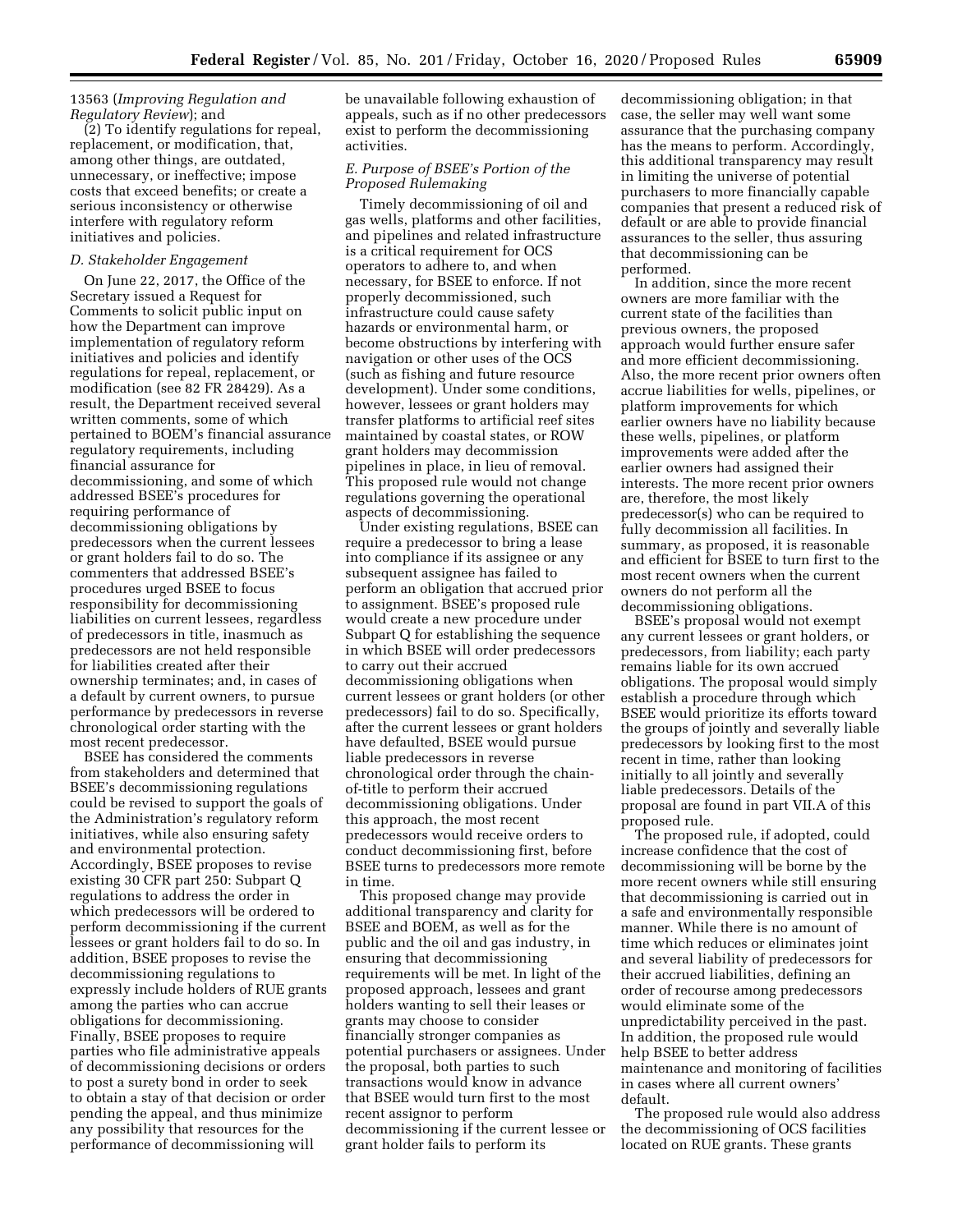### 13563 (*Improving Regulation and Regulatory Review*); and

(2) To identify regulations for repeal, replacement, or modification, that, among other things, are outdated, unnecessary, or ineffective; impose costs that exceed benefits; or create a serious inconsistency or otherwise interfere with regulatory reform initiatives and policies.

### *D. Stakeholder Engagement*

On June 22, 2017, the Office of the Secretary issued a Request for Comments to solicit public input on how the Department can improve implementation of regulatory reform initiatives and policies and identify regulations for repeal, replacement, or modification (see 82 FR 28429). As a result, the Department received several written comments, some of which pertained to BOEM's financial assurance regulatory requirements, including financial assurance for decommissioning, and some of which addressed BSEE's procedures for requiring performance of decommissioning obligations by predecessors when the current lessees or grant holders fail to do so. The commenters that addressed BSEE's procedures urged BSEE to focus responsibility for decommissioning liabilities on current lessees, regardless of predecessors in title, inasmuch as predecessors are not held responsible for liabilities created after their ownership terminates; and, in cases of a default by current owners, to pursue performance by predecessors in reverse chronological order starting with the most recent predecessor.

BSEE has considered the comments from stakeholders and determined that BSEE's decommissioning regulations could be revised to support the goals of the Administration's regulatory reform initiatives, while also ensuring safety and environmental protection. Accordingly, BSEE proposes to revise existing 30 CFR part 250: Subpart Q regulations to address the order in which predecessors will be ordered to perform decommissioning if the current lessees or grant holders fail to do so. In addition, BSEE proposes to revise the decommissioning regulations to expressly include holders of RUE grants among the parties who can accrue obligations for decommissioning. Finally, BSEE proposes to require parties who file administrative appeals of decommissioning decisions or orders to post a surety bond in order to seek to obtain a stay of that decision or order pending the appeal, and thus minimize any possibility that resources for the performance of decommissioning will

be unavailable following exhaustion of appeals, such as if no other predecessors exist to perform the decommissioning activities.

# *E. Purpose of BSEE's Portion of the Proposed Rulemaking*

Timely decommissioning of oil and gas wells, platforms and other facilities, and pipelines and related infrastructure is a critical requirement for OCS operators to adhere to, and when necessary, for BSEE to enforce. If not properly decommissioned, such infrastructure could cause safety hazards or environmental harm, or become obstructions by interfering with navigation or other uses of the OCS (such as fishing and future resource development). Under some conditions, however, lessees or grant holders may transfer platforms to artificial reef sites maintained by coastal states, or ROW grant holders may decommission pipelines in place, in lieu of removal. This proposed rule would not change regulations governing the operational aspects of decommissioning.

Under existing regulations, BSEE can require a predecessor to bring a lease into compliance if its assignee or any subsequent assignee has failed to perform an obligation that accrued prior to assignment. BSEE's proposed rule would create a new procedure under Subpart Q for establishing the sequence in which BSEE will order predecessors to carry out their accrued decommissioning obligations when current lessees or grant holders (or other predecessors) fail to do so. Specifically, after the current lessees or grant holders have defaulted, BSEE would pursue liable predecessors in reverse chronological order through the chainof-title to perform their accrued decommissioning obligations. Under this approach, the most recent predecessors would receive orders to conduct decommissioning first, before BSEE turns to predecessors more remote in time.

This proposed change may provide additional transparency and clarity for BSEE and BOEM, as well as for the public and the oil and gas industry, in ensuring that decommissioning requirements will be met. In light of the proposed approach, lessees and grant holders wanting to sell their leases or grants may choose to consider financially stronger companies as potential purchasers or assignees. Under the proposal, both parties to such transactions would know in advance that BSEE would turn first to the most recent assignor to perform decommissioning if the current lessee or grant holder fails to perform its

decommissioning obligation; in that case, the seller may well want some assurance that the purchasing company has the means to perform. Accordingly, this additional transparency may result in limiting the universe of potential purchasers to more financially capable companies that present a reduced risk of default or are able to provide financial assurances to the seller, thus assuring that decommissioning can be performed.

In addition, since the more recent owners are more familiar with the current state of the facilities than previous owners, the proposed approach would further ensure safer and more efficient decommissioning. Also, the more recent prior owners often accrue liabilities for wells, pipelines, or platform improvements for which earlier owners have no liability because these wells, pipelines, or platform improvements were added after the earlier owners had assigned their interests. The more recent prior owners are, therefore, the most likely predecessor(s) who can be required to fully decommission all facilities. In summary, as proposed, it is reasonable and efficient for BSEE to turn first to the most recent owners when the current owners do not perform all the decommissioning obligations.

BSEE's proposal would not exempt any current lessees or grant holders, or predecessors, from liability; each party remains liable for its own accrued obligations. The proposal would simply establish a procedure through which BSEE would prioritize its efforts toward the groups of jointly and severally liable predecessors by looking first to the most recent in time, rather than looking initially to all jointly and severally liable predecessors. Details of the proposal are found in part VII.A of this proposed rule.

The proposed rule, if adopted, could increase confidence that the cost of decommissioning will be borne by the more recent owners while still ensuring that decommissioning is carried out in a safe and environmentally responsible manner. While there is no amount of time which reduces or eliminates joint and several liability of predecessors for their accrued liabilities, defining an order of recourse among predecessors would eliminate some of the unpredictability perceived in the past. In addition, the proposed rule would help BSEE to better address maintenance and monitoring of facilities in cases where all current owners' default.

The proposed rule would also address the decommissioning of OCS facilities located on RUE grants. These grants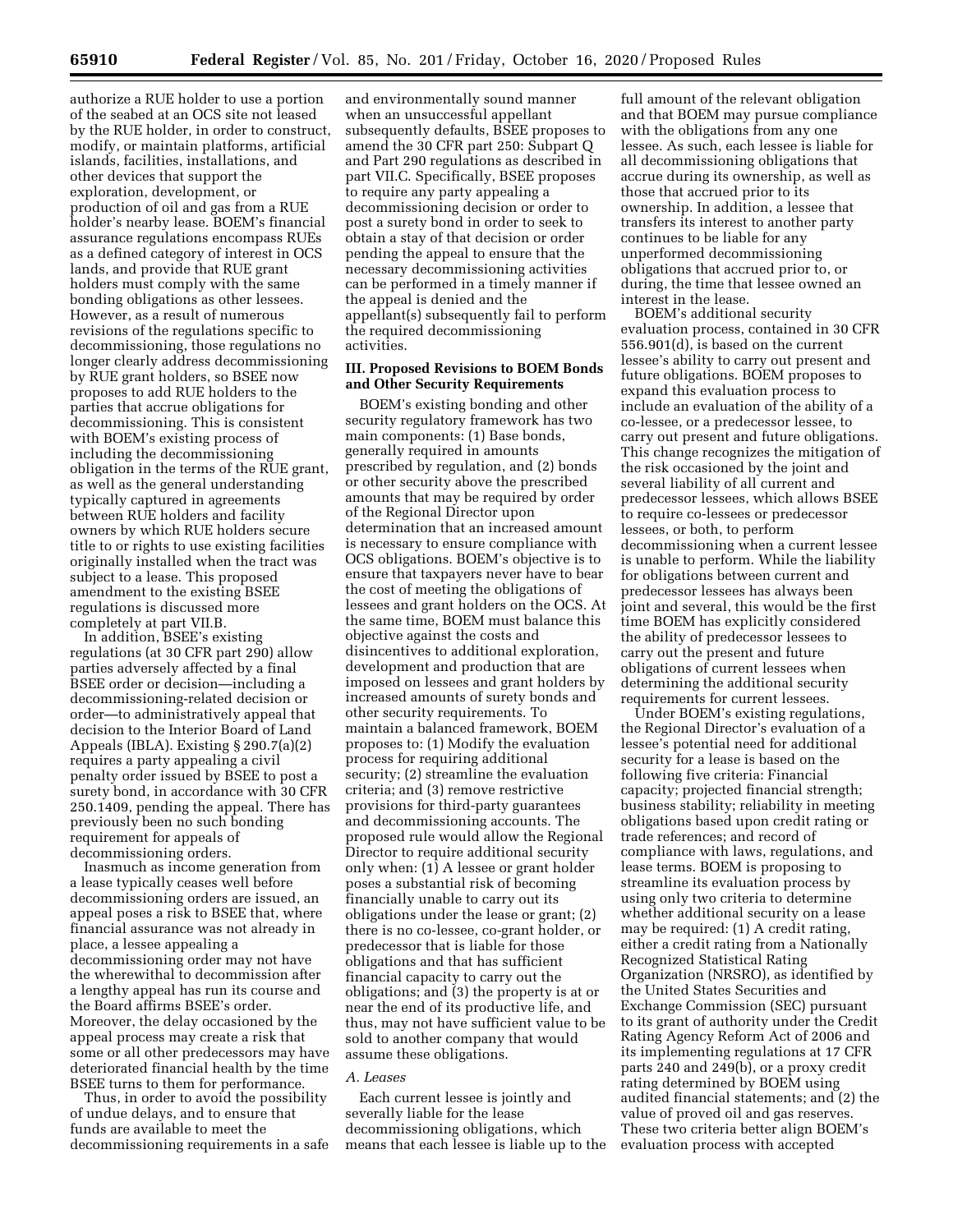authorize a RUE holder to use a portion of the seabed at an OCS site not leased by the RUE holder, in order to construct, modify, or maintain platforms, artificial islands, facilities, installations, and other devices that support the exploration, development, or production of oil and gas from a RUE holder's nearby lease. BOEM's financial assurance regulations encompass RUEs as a defined category of interest in OCS lands, and provide that RUE grant holders must comply with the same bonding obligations as other lessees. However, as a result of numerous revisions of the regulations specific to decommissioning, those regulations no longer clearly address decommissioning by RUE grant holders, so BSEE now proposes to add RUE holders to the parties that accrue obligations for decommissioning. This is consistent with BOEM's existing process of including the decommissioning obligation in the terms of the RUE grant, as well as the general understanding typically captured in agreements between RUE holders and facility owners by which RUE holders secure title to or rights to use existing facilities originally installed when the tract was subject to a lease. This proposed amendment to the existing BSEE regulations is discussed more completely at part VII.B.

In addition, BSEE's existing regulations (at 30 CFR part 290) allow parties adversely affected by a final BSEE order or decision—including a decommissioning-related decision or order—to administratively appeal that decision to the Interior Board of Land Appeals (IBLA). Existing § 290.7(a)(2) requires a party appealing a civil penalty order issued by BSEE to post a surety bond, in accordance with 30 CFR 250.1409, pending the appeal. There has previously been no such bonding requirement for appeals of decommissioning orders.

Inasmuch as income generation from a lease typically ceases well before decommissioning orders are issued, an appeal poses a risk to BSEE that, where financial assurance was not already in place, a lessee appealing a decommissioning order may not have the wherewithal to decommission after a lengthy appeal has run its course and the Board affirms BSEE's order. Moreover, the delay occasioned by the appeal process may create a risk that some or all other predecessors may have deteriorated financial health by the time BSEE turns to them for performance.

Thus, in order to avoid the possibility of undue delays, and to ensure that funds are available to meet the decommissioning requirements in a safe

and environmentally sound manner when an unsuccessful appellant subsequently defaults, BSEE proposes to amend the 30 CFR part 250: Subpart Q and Part 290 regulations as described in part VII.C. Specifically, BSEE proposes to require any party appealing a decommissioning decision or order to post a surety bond in order to seek to obtain a stay of that decision or order pending the appeal to ensure that the necessary decommissioning activities can be performed in a timely manner if the appeal is denied and the appellant(s) subsequently fail to perform the required decommissioning activities.

### **III. Proposed Revisions to BOEM Bonds and Other Security Requirements**

BOEM's existing bonding and other security regulatory framework has two main components: (1) Base bonds, generally required in amounts prescribed by regulation, and (2) bonds or other security above the prescribed amounts that may be required by order of the Regional Director upon determination that an increased amount is necessary to ensure compliance with OCS obligations. BOEM's objective is to ensure that taxpayers never have to bear the cost of meeting the obligations of lessees and grant holders on the OCS. At the same time, BOEM must balance this objective against the costs and disincentives to additional exploration, development and production that are imposed on lessees and grant holders by increased amounts of surety bonds and other security requirements. To maintain a balanced framework, BOEM proposes to: (1) Modify the evaluation process for requiring additional security; (2) streamline the evaluation criteria; and (3) remove restrictive provisions for third-party guarantees and decommissioning accounts. The proposed rule would allow the Regional Director to require additional security only when: (1) A lessee or grant holder poses a substantial risk of becoming financially unable to carry out its obligations under the lease or grant; (2) there is no co-lessee, co-grant holder, or predecessor that is liable for those obligations and that has sufficient financial capacity to carry out the obligations; and (3) the property is at or near the end of its productive life, and thus, may not have sufficient value to be sold to another company that would assume these obligations.

#### *A. Leases*

Each current lessee is jointly and severally liable for the lease decommissioning obligations, which means that each lessee is liable up to the full amount of the relevant obligation and that BOEM may pursue compliance with the obligations from any one lessee. As such, each lessee is liable for all decommissioning obligations that accrue during its ownership, as well as those that accrued prior to its ownership. In addition, a lessee that transfers its interest to another party continues to be liable for any unperformed decommissioning obligations that accrued prior to, or during, the time that lessee owned an interest in the lease.

BOEM's additional security evaluation process, contained in 30 CFR 556.901(d), is based on the current lessee's ability to carry out present and future obligations. BOEM proposes to expand this evaluation process to include an evaluation of the ability of a co-lessee, or a predecessor lessee, to carry out present and future obligations. This change recognizes the mitigation of the risk occasioned by the joint and several liability of all current and predecessor lessees, which allows BSEE to require co-lessees or predecessor lessees, or both, to perform decommissioning when a current lessee is unable to perform. While the liability for obligations between current and predecessor lessees has always been joint and several, this would be the first time BOEM has explicitly considered the ability of predecessor lessees to carry out the present and future obligations of current lessees when determining the additional security requirements for current lessees.

Under BOEM's existing regulations, the Regional Director's evaluation of a lessee's potential need for additional security for a lease is based on the following five criteria: Financial capacity; projected financial strength; business stability; reliability in meeting obligations based upon credit rating or trade references; and record of compliance with laws, regulations, and lease terms. BOEM is proposing to streamline its evaluation process by using only two criteria to determine whether additional security on a lease may be required: (1) A credit rating, either a credit rating from a Nationally Recognized Statistical Rating Organization (NRSRO), as identified by the United States Securities and Exchange Commission (SEC) pursuant to its grant of authority under the Credit Rating Agency Reform Act of 2006 and its implementing regulations at 17 CFR parts 240 and 249(b), or a proxy credit rating determined by BOEM using audited financial statements; and (2) the value of proved oil and gas reserves. These two criteria better align BOEM's evaluation process with accepted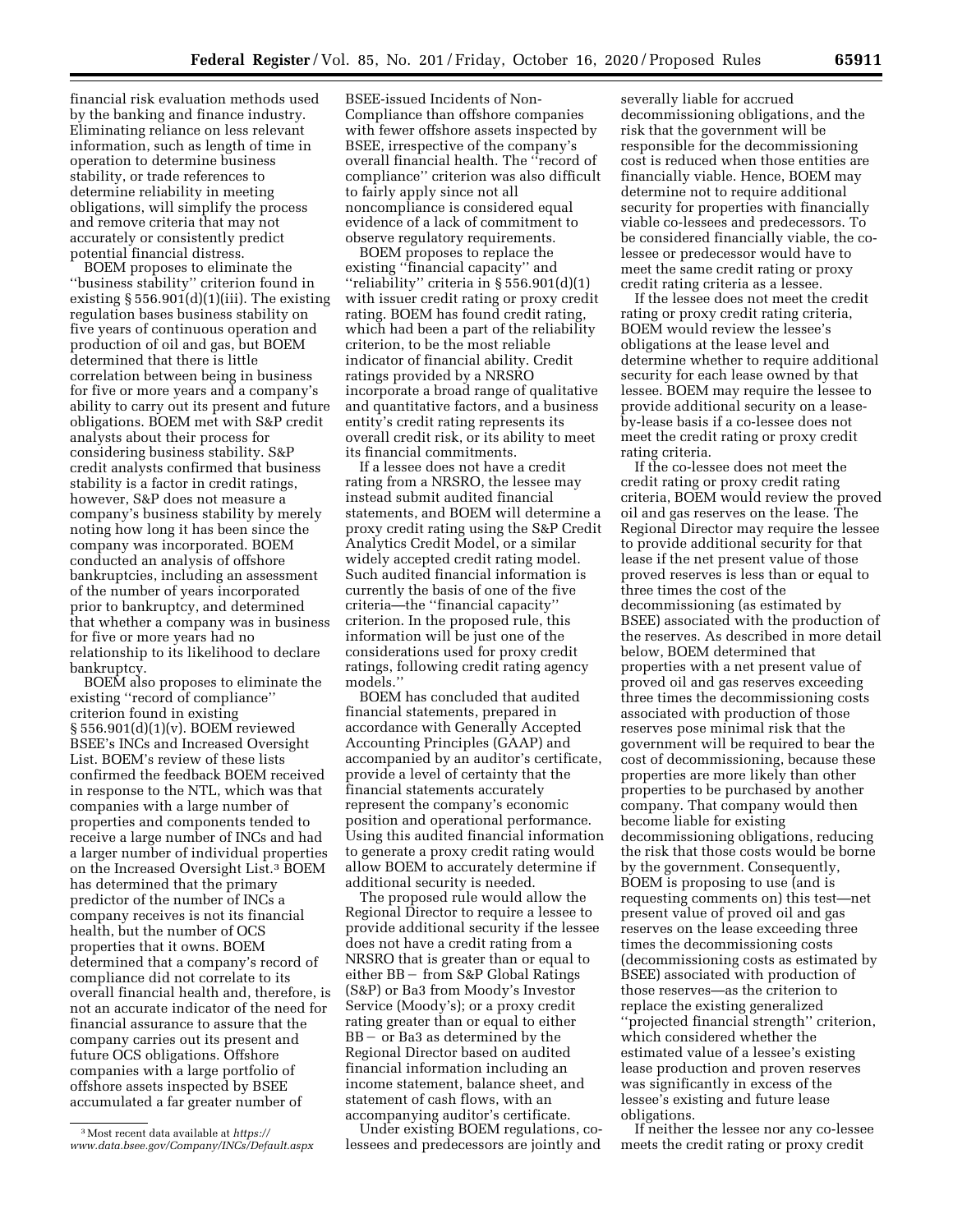financial risk evaluation methods used by the banking and finance industry. Eliminating reliance on less relevant information, such as length of time in operation to determine business stability, or trade references to determine reliability in meeting obligations, will simplify the process and remove criteria that may not accurately or consistently predict potential financial distress.

BOEM proposes to eliminate the ''business stability'' criterion found in existing  $\S 556.901(d)(1)(iii)$ . The existing regulation bases business stability on five years of continuous operation and production of oil and gas, but BOEM determined that there is little correlation between being in business for five or more years and a company's ability to carry out its present and future obligations. BOEM met with S&P credit analysts about their process for considering business stability. S&P credit analysts confirmed that business stability is a factor in credit ratings, however, S&P does not measure a company's business stability by merely noting how long it has been since the company was incorporated. BOEM conducted an analysis of offshore bankruptcies, including an assessment of the number of years incorporated prior to bankruptcy, and determined that whether a company was in business for five or more years had no relationship to its likelihood to declare bankruptcy.

BOEM also proposes to eliminate the existing ''record of compliance'' criterion found in existing § 556.901(d)(1)(v). BOEM reviewed BSEE's INCs and Increased Oversight List. BOEM's review of these lists confirmed the feedback BOEM received in response to the NTL, which was that companies with a large number of properties and components tended to receive a large number of INCs and had a larger number of individual properties on the Increased Oversight List.3 BOEM has determined that the primary predictor of the number of INCs a company receives is not its financial health, but the number of OCS properties that it owns. BOEM determined that a company's record of compliance did not correlate to its overall financial health and, therefore, is not an accurate indicator of the need for financial assurance to assure that the company carries out its present and future OCS obligations. Offshore companies with a large portfolio of offshore assets inspected by BSEE accumulated a far greater number of

BSEE-issued Incidents of Non-Compliance than offshore companies with fewer offshore assets inspected by BSEE, irrespective of the company's overall financial health. The ''record of compliance'' criterion was also difficult to fairly apply since not all noncompliance is considered equal evidence of a lack of commitment to observe regulatory requirements.

BOEM proposes to replace the existing ''financial capacity'' and ''reliability'' criteria in § 556.901(d)(1) with issuer credit rating or proxy credit rating. BOEM has found credit rating, which had been a part of the reliability criterion, to be the most reliable indicator of financial ability. Credit ratings provided by a NRSRO incorporate a broad range of qualitative and quantitative factors, and a business entity's credit rating represents its overall credit risk, or its ability to meet its financial commitments.

If a lessee does not have a credit rating from a NRSRO, the lessee may instead submit audited financial statements, and BOEM will determine a proxy credit rating using the S&P Credit Analytics Credit Model, or a similar widely accepted credit rating model. Such audited financial information is currently the basis of one of the five criteria—the ''financial capacity'' criterion. In the proposed rule, this information will be just one of the considerations used for proxy credit ratings, following credit rating agency models.''

BOEM has concluded that audited financial statements, prepared in accordance with Generally Accepted Accounting Principles (GAAP) and accompanied by an auditor's certificate, provide a level of certainty that the financial statements accurately represent the company's economic position and operational performance. Using this audited financial information to generate a proxy credit rating would allow BOEM to accurately determine if additional security is needed.

The proposed rule would allow the Regional Director to require a lessee to provide additional security if the lessee does not have a credit rating from a NRSRO that is greater than or equal to either  $BB -$  from S&P Global Ratings (S&P) or Ba3 from Moody's Investor Service (Moody's); or a proxy credit rating greater than or equal to either  $BB - or Ba3$  as determined by the Regional Director based on audited financial information including an income statement, balance sheet, and statement of cash flows, with an accompanying auditor's certificate.

Under existing BOEM regulations, colessees and predecessors are jointly and

severally liable for accrued decommissioning obligations, and the risk that the government will be responsible for the decommissioning cost is reduced when those entities are financially viable. Hence, BOEM may determine not to require additional security for properties with financially viable co-lessees and predecessors. To be considered financially viable, the colessee or predecessor would have to meet the same credit rating or proxy credit rating criteria as a lessee.

If the lessee does not meet the credit rating or proxy credit rating criteria, BOEM would review the lessee's obligations at the lease level and determine whether to require additional security for each lease owned by that lessee. BOEM may require the lessee to provide additional security on a leaseby-lease basis if a co-lessee does not meet the credit rating or proxy credit rating criteria.

If the co-lessee does not meet the credit rating or proxy credit rating criteria, BOEM would review the proved oil and gas reserves on the lease. The Regional Director may require the lessee to provide additional security for that lease if the net present value of those proved reserves is less than or equal to three times the cost of the decommissioning (as estimated by BSEE) associated with the production of the reserves. As described in more detail below, BOEM determined that properties with a net present value of proved oil and gas reserves exceeding three times the decommissioning costs associated with production of those reserves pose minimal risk that the government will be required to bear the cost of decommissioning, because these properties are more likely than other properties to be purchased by another company. That company would then become liable for existing decommissioning obligations, reducing the risk that those costs would be borne by the government. Consequently, BOEM is proposing to use (and is requesting comments on) this test—net present value of proved oil and gas reserves on the lease exceeding three times the decommissioning costs (decommissioning costs as estimated by BSEE) associated with production of those reserves—as the criterion to replace the existing generalized ''projected financial strength'' criterion, which considered whether the estimated value of a lessee's existing lease production and proven reserves was significantly in excess of the lessee's existing and future lease obligations.

If neither the lessee nor any co-lessee meets the credit rating or proxy credit

<sup>3</sup>Most recent data available at *[https://](https://www.data.bsee.gov/Company/INCs/Default.aspx) [www.data.bsee.gov/Company/INCs/Default.aspx](https://www.data.bsee.gov/Company/INCs/Default.aspx)*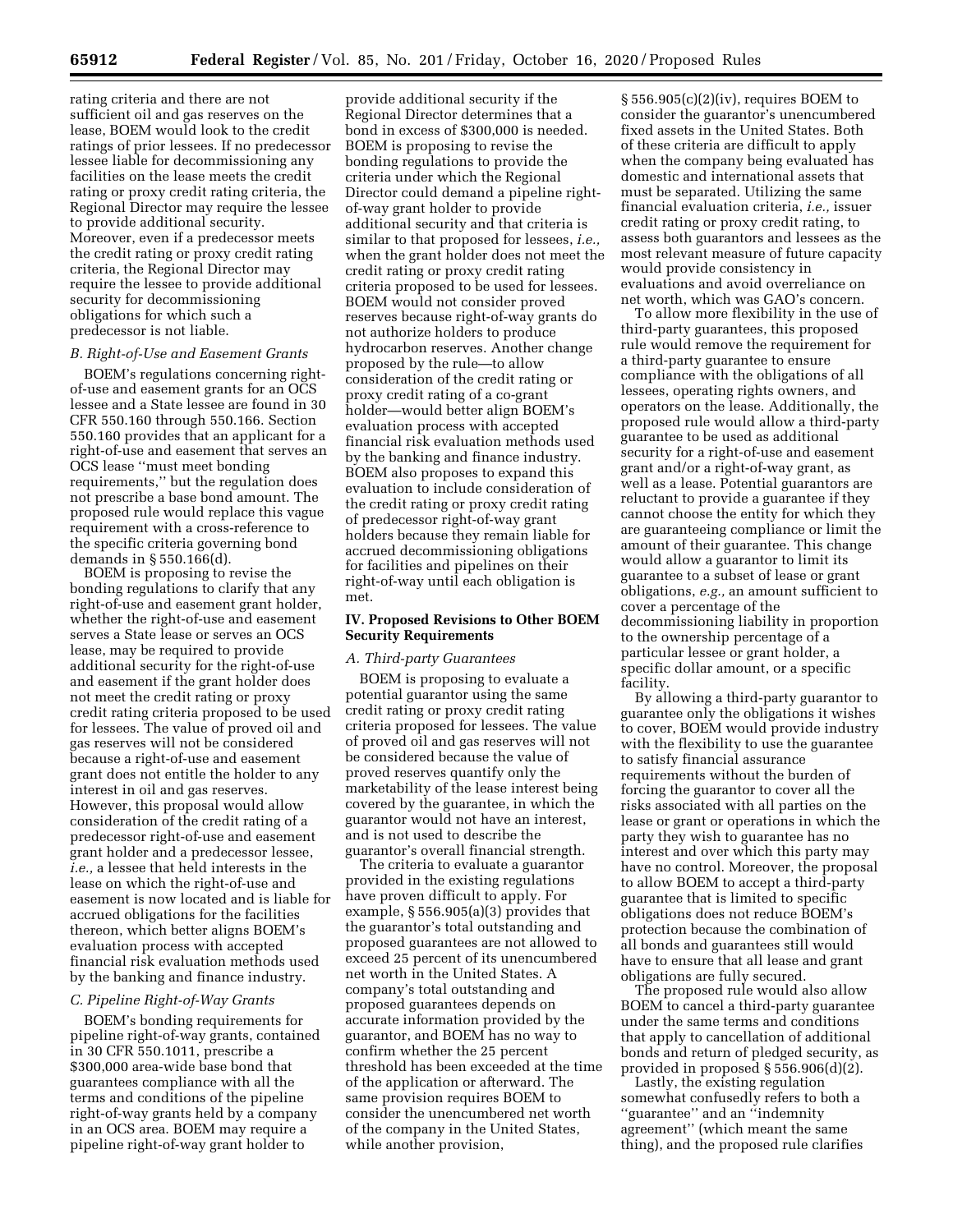rating criteria and there are not sufficient oil and gas reserves on the lease, BOEM would look to the credit ratings of prior lessees. If no predecessor lessee liable for decommissioning any facilities on the lease meets the credit rating or proxy credit rating criteria, the Regional Director may require the lessee to provide additional security. Moreover, even if a predecessor meets the credit rating or proxy credit rating criteria, the Regional Director may require the lessee to provide additional security for decommissioning obligations for which such a predecessor is not liable.

### *B. Right-of-Use and Easement Grants*

BOEM's regulations concerning rightof-use and easement grants for an OCS lessee and a State lessee are found in 30 CFR 550.160 through 550.166. Section 550.160 provides that an applicant for a right-of-use and easement that serves an OCS lease ''must meet bonding requirements,'' but the regulation does not prescribe a base bond amount. The proposed rule would replace this vague requirement with a cross-reference to the specific criteria governing bond demands in § 550.166(d).

BOEM is proposing to revise the bonding regulations to clarify that any right-of-use and easement grant holder, whether the right-of-use and easement serves a State lease or serves an OCS lease, may be required to provide additional security for the right-of-use and easement if the grant holder does not meet the credit rating or proxy credit rating criteria proposed to be used for lessees. The value of proved oil and gas reserves will not be considered because a right-of-use and easement grant does not entitle the holder to any interest in oil and gas reserves. However, this proposal would allow consideration of the credit rating of a predecessor right-of-use and easement grant holder and a predecessor lessee, *i.e.,* a lessee that held interests in the lease on which the right-of-use and easement is now located and is liable for accrued obligations for the facilities thereon, which better aligns BOEM's evaluation process with accepted financial risk evaluation methods used by the banking and finance industry.

### *C. Pipeline Right-of-Way Grants*

BOEM's bonding requirements for pipeline right-of-way grants, contained in 30 CFR 550.1011, prescribe a \$300,000 area-wide base bond that guarantees compliance with all the terms and conditions of the pipeline right-of-way grants held by a company in an OCS area. BOEM may require a pipeline right-of-way grant holder to

provide additional security if the Regional Director determines that a bond in excess of \$300,000 is needed. BOEM is proposing to revise the bonding regulations to provide the criteria under which the Regional Director could demand a pipeline rightof-way grant holder to provide additional security and that criteria is similar to that proposed for lessees, *i.e.,*  when the grant holder does not meet the credit rating or proxy credit rating criteria proposed to be used for lessees. BOEM would not consider proved reserves because right-of-way grants do not authorize holders to produce hydrocarbon reserves. Another change proposed by the rule—to allow consideration of the credit rating or proxy credit rating of a co-grant holder—would better align BOEM's evaluation process with accepted financial risk evaluation methods used by the banking and finance industry. BOEM also proposes to expand this evaluation to include consideration of the credit rating or proxy credit rating of predecessor right-of-way grant holders because they remain liable for accrued decommissioning obligations for facilities and pipelines on their right-of-way until each obligation is met.

### **IV. Proposed Revisions to Other BOEM Security Requirements**

#### *A. Third-party Guarantees*

BOEM is proposing to evaluate a potential guarantor using the same credit rating or proxy credit rating criteria proposed for lessees. The value of proved oil and gas reserves will not be considered because the value of proved reserves quantify only the marketability of the lease interest being covered by the guarantee, in which the guarantor would not have an interest, and is not used to describe the guarantor's overall financial strength.

The criteria to evaluate a guarantor provided in the existing regulations have proven difficult to apply. For example, § 556.905(a)(3) provides that the guarantor's total outstanding and proposed guarantees are not allowed to exceed 25 percent of its unencumbered net worth in the United States. A company's total outstanding and proposed guarantees depends on accurate information provided by the guarantor, and BOEM has no way to confirm whether the 25 percent threshold has been exceeded at the time of the application or afterward. The same provision requires BOEM to consider the unencumbered net worth of the company in the United States, while another provision,

§ 556.905(c)(2)(iv), requires BOEM to consider the guarantor's unencumbered fixed assets in the United States. Both of these criteria are difficult to apply when the company being evaluated has domestic and international assets that must be separated. Utilizing the same financial evaluation criteria, *i.e.,* issuer credit rating or proxy credit rating, to assess both guarantors and lessees as the most relevant measure of future capacity would provide consistency in evaluations and avoid overreliance on net worth, which was GAO's concern.

To allow more flexibility in the use of third-party guarantees, this proposed rule would remove the requirement for a third-party guarantee to ensure compliance with the obligations of all lessees, operating rights owners, and operators on the lease. Additionally, the proposed rule would allow a third-party guarantee to be used as additional security for a right-of-use and easement grant and/or a right-of-way grant, as well as a lease. Potential guarantors are reluctant to provide a guarantee if they cannot choose the entity for which they are guaranteeing compliance or limit the amount of their guarantee. This change would allow a guarantor to limit its guarantee to a subset of lease or grant obligations, *e.g.,* an amount sufficient to cover a percentage of the decommissioning liability in proportion to the ownership percentage of a particular lessee or grant holder, a specific dollar amount, or a specific facility.

By allowing a third-party guarantor to guarantee only the obligations it wishes to cover, BOEM would provide industry with the flexibility to use the guarantee to satisfy financial assurance requirements without the burden of forcing the guarantor to cover all the risks associated with all parties on the lease or grant or operations in which the party they wish to guarantee has no interest and over which this party may have no control. Moreover, the proposal to allow BOEM to accept a third-party guarantee that is limited to specific obligations does not reduce BOEM's protection because the combination of all bonds and guarantees still would have to ensure that all lease and grant obligations are fully secured.

The proposed rule would also allow BOEM to cancel a third-party guarantee under the same terms and conditions that apply to cancellation of additional bonds and return of pledged security, as provided in proposed § 556.906(d)(2).

Lastly, the existing regulation somewhat confusedly refers to both a ''guarantee'' and an ''indemnity agreement'' (which meant the same thing), and the proposed rule clarifies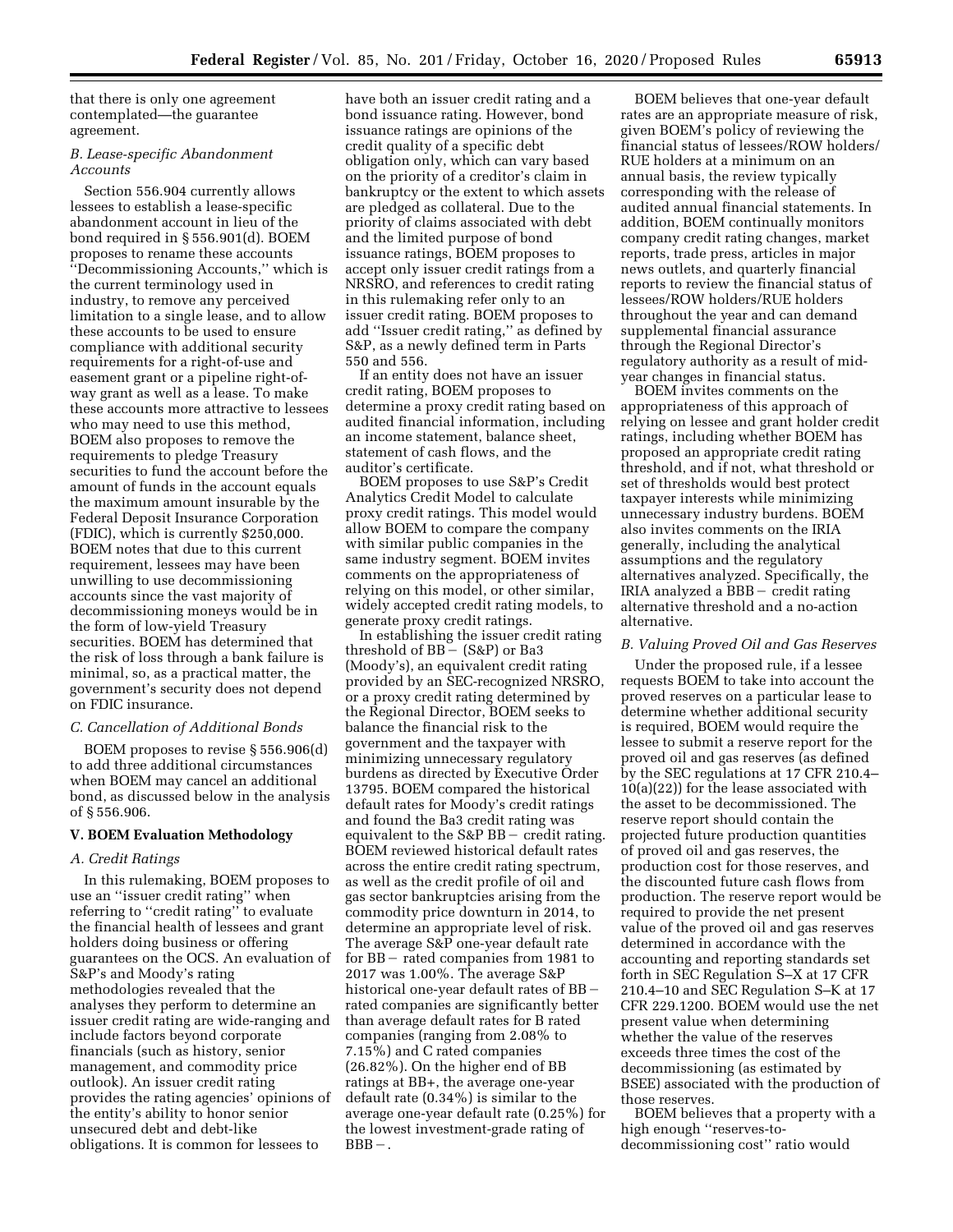that there is only one agreement contemplated—the guarantee agreement.

### *B. Lease-specific Abandonment Accounts*

Section 556.904 currently allows lessees to establish a lease-specific abandonment account in lieu of the bond required in § 556.901(d). BOEM proposes to rename these accounts ''Decommissioning Accounts,'' which is the current terminology used in industry, to remove any perceived limitation to a single lease, and to allow these accounts to be used to ensure compliance with additional security requirements for a right-of-use and easement grant or a pipeline right-ofway grant as well as a lease. To make these accounts more attractive to lessees who may need to use this method, BOEM also proposes to remove the requirements to pledge Treasury securities to fund the account before the amount of funds in the account equals the maximum amount insurable by the Federal Deposit Insurance Corporation (FDIC), which is currently \$250,000. BOEM notes that due to this current requirement, lessees may have been unwilling to use decommissioning accounts since the vast majority of decommissioning moneys would be in the form of low-yield Treasury securities. BOEM has determined that the risk of loss through a bank failure is minimal, so, as a practical matter, the government's security does not depend on FDIC insurance.

### *C. Cancellation of Additional Bonds*

BOEM proposes to revise § 556.906(d) to add three additional circumstances when BOEM may cancel an additional bond, as discussed below in the analysis of § 556.906.

# **V. BOEM Evaluation Methodology**

### *A. Credit Ratings*

In this rulemaking, BOEM proposes to use an ''issuer credit rating'' when referring to ''credit rating'' to evaluate the financial health of lessees and grant holders doing business or offering guarantees on the OCS. An evaluation of S&P's and Moody's rating methodologies revealed that the analyses they perform to determine an issuer credit rating are wide-ranging and include factors beyond corporate financials (such as history, senior management, and commodity price outlook). An issuer credit rating provides the rating agencies' opinions of the entity's ability to honor senior unsecured debt and debt-like obligations. It is common for lessees to

have both an issuer credit rating and a bond issuance rating. However, bond issuance ratings are opinions of the credit quality of a specific debt obligation only, which can vary based on the priority of a creditor's claim in bankruptcy or the extent to which assets are pledged as collateral. Due to the priority of claims associated with debt and the limited purpose of bond issuance ratings, BOEM proposes to accept only issuer credit ratings from a NRSRO, and references to credit rating in this rulemaking refer only to an issuer credit rating. BOEM proposes to add ''Issuer credit rating,'' as defined by S&P, as a newly defined term in Parts 550 and 556.

If an entity does not have an issuer credit rating, BOEM proposes to determine a proxy credit rating based on audited financial information, including an income statement, balance sheet, statement of cash flows, and the auditor's certificate.

BOEM proposes to use S&P's Credit Analytics Credit Model to calculate proxy credit ratings. This model would allow BOEM to compare the company with similar public companies in the same industry segment. BOEM invites comments on the appropriateness of relying on this model, or other similar, widely accepted credit rating models, to generate proxy credit ratings.

In establishing the issuer credit rating threshold of  $BB - (S\&P)$  or Ba3 (Moody's), an equivalent credit rating provided by an SEC-recognized NRSRO, or a proxy credit rating determined by the Regional Director, BOEM seeks to balance the financial risk to the government and the taxpayer with minimizing unnecessary regulatory burdens as directed by Executive Order 13795. BOEM compared the historical default rates for Moody's credit ratings and found the Ba3 credit rating was equivalent to the  $S\&P$  BB – credit rating. BOEM reviewed historical default rates across the entire credit rating spectrum, as well as the credit profile of oil and gas sector bankruptcies arising from the commodity price downturn in 2014, to determine an appropriate level of risk. The average S&P one-year default rate for  $BB$  – rated companies from 1981 to 2017 was 1.00%. The average S&P historical one-year default rates of  $BB$ rated companies are significantly better than average default rates for B rated companies (ranging from 2.08% to 7.15%) and C rated companies (26.82%). On the higher end of BB ratings at BB+, the average one-year default rate (0.34%) is similar to the average one-year default rate (0.25%) for the lowest investment-grade rating of  $BBB - .$ 

BOEM believes that one-year default rates are an appropriate measure of risk, given BOEM's policy of reviewing the financial status of lessees/ROW holders/ RUE holders at a minimum on an annual basis, the review typically corresponding with the release of audited annual financial statements. In addition, BOEM continually monitors company credit rating changes, market reports, trade press, articles in major news outlets, and quarterly financial reports to review the financial status of lessees/ROW holders/RUE holders throughout the year and can demand supplemental financial assurance through the Regional Director's regulatory authority as a result of midyear changes in financial status.

BOEM invites comments on the appropriateness of this approach of relying on lessee and grant holder credit ratings, including whether BOEM has proposed an appropriate credit rating threshold, and if not, what threshold or set of thresholds would best protect taxpayer interests while minimizing unnecessary industry burdens. BOEM also invites comments on the IRIA generally, including the analytical assumptions and the regulatory alternatives analyzed. Specifically, the  $IRIA$  analyzed a  $BBB -$  credit rating alternative threshold and a no-action alternative.

### *B. Valuing Proved Oil and Gas Reserves*

Under the proposed rule, if a lessee requests BOEM to take into account the proved reserves on a particular lease to determine whether additional security is required, BOEM would require the lessee to submit a reserve report for the proved oil and gas reserves (as defined by the SEC regulations at 17 CFR 210.4– 10(a)(22)) for the lease associated with the asset to be decommissioned. The reserve report should contain the projected future production quantities of proved oil and gas reserves, the production cost for those reserves, and the discounted future cash flows from production. The reserve report would be required to provide the net present value of the proved oil and gas reserves determined in accordance with the accounting and reporting standards set forth in SEC Regulation S–X at 17 CFR 210.4–10 and SEC Regulation S–K at 17 CFR 229.1200. BOEM would use the net present value when determining whether the value of the reserves exceeds three times the cost of the decommissioning (as estimated by BSEE) associated with the production of those reserves.

BOEM believes that a property with a high enough ''reserves-todecommissioning cost'' ratio would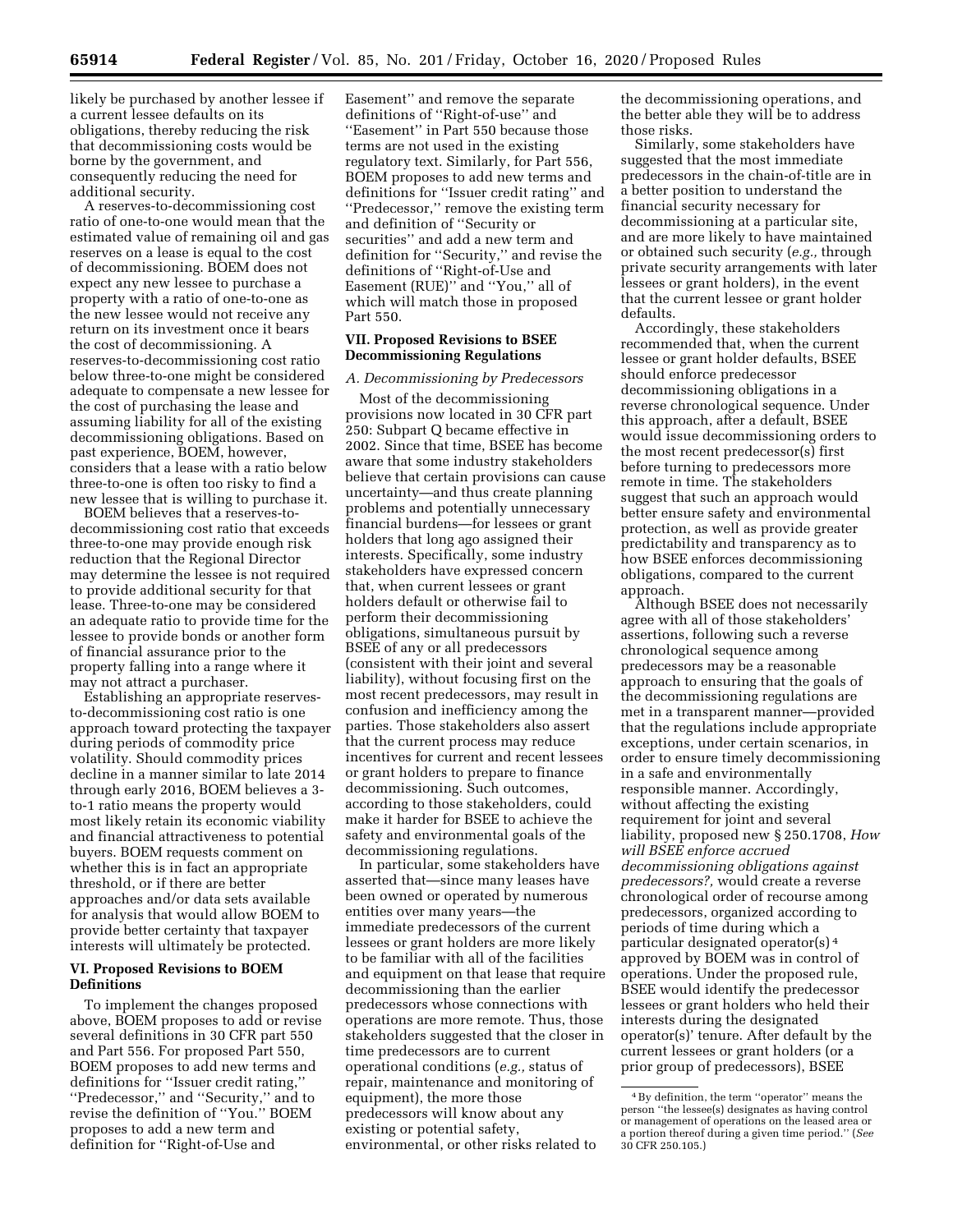likely be purchased by another lessee if a current lessee defaults on its obligations, thereby reducing the risk that decommissioning costs would be borne by the government, and consequently reducing the need for additional security.

A reserves-to-decommissioning cost ratio of one-to-one would mean that the estimated value of remaining oil and gas reserves on a lease is equal to the cost of decommissioning. BOEM does not expect any new lessee to purchase a property with a ratio of one-to-one as the new lessee would not receive any return on its investment once it bears the cost of decommissioning. A reserves-to-decommissioning cost ratio below three-to-one might be considered adequate to compensate a new lessee for the cost of purchasing the lease and assuming liability for all of the existing decommissioning obligations. Based on past experience, BOEM, however, considers that a lease with a ratio below three-to-one is often too risky to find a new lessee that is willing to purchase it.

BOEM believes that a reserves-todecommissioning cost ratio that exceeds three-to-one may provide enough risk reduction that the Regional Director may determine the lessee is not required to provide additional security for that lease. Three-to-one may be considered an adequate ratio to provide time for the lessee to provide bonds or another form of financial assurance prior to the property falling into a range where it may not attract a purchaser.

Establishing an appropriate reservesto-decommissioning cost ratio is one approach toward protecting the taxpayer during periods of commodity price volatility. Should commodity prices decline in a manner similar to late 2014 through early 2016, BOEM believes a 3 to-1 ratio means the property would most likely retain its economic viability and financial attractiveness to potential buyers. BOEM requests comment on whether this is in fact an appropriate threshold, or if there are better approaches and/or data sets available for analysis that would allow BOEM to provide better certainty that taxpayer interests will ultimately be protected.

# **VI. Proposed Revisions to BOEM Definitions**

To implement the changes proposed above, BOEM proposes to add or revise several definitions in 30 CFR part 550 and Part 556. For proposed Part 550, BOEM proposes to add new terms and definitions for ''Issuer credit rating,'' ''Predecessor,'' and ''Security,'' and to revise the definition of ''You.'' BOEM proposes to add a new term and definition for ''Right-of-Use and

Easement'' and remove the separate definitions of ''Right-of-use'' and ''Easement'' in Part 550 because those terms are not used in the existing regulatory text. Similarly, for Part 556, BOEM proposes to add new terms and definitions for ''Issuer credit rating'' and ''Predecessor,'' remove the existing term and definition of ''Security or securities'' and add a new term and definition for ''Security,'' and revise the definitions of ''Right-of-Use and Easement (RUE)" and "You," all of which will match those in proposed Part 550.

# **VII. Proposed Revisions to BSEE Decommissioning Regulations**

### *A. Decommissioning by Predecessors*

Most of the decommissioning provisions now located in 30 CFR part 250: Subpart Q became effective in 2002. Since that time, BSEE has become aware that some industry stakeholders believe that certain provisions can cause uncertainty—and thus create planning problems and potentially unnecessary financial burdens—for lessees or grant holders that long ago assigned their interests. Specifically, some industry stakeholders have expressed concern that, when current lessees or grant holders default or otherwise fail to perform their decommissioning obligations, simultaneous pursuit by BSEE of any or all predecessors (consistent with their joint and several liability), without focusing first on the most recent predecessors, may result in confusion and inefficiency among the parties. Those stakeholders also assert that the current process may reduce incentives for current and recent lessees or grant holders to prepare to finance decommissioning. Such outcomes, according to those stakeholders, could make it harder for BSEE to achieve the safety and environmental goals of the decommissioning regulations.

In particular, some stakeholders have asserted that—since many leases have been owned or operated by numerous entities over many years—the immediate predecessors of the current lessees or grant holders are more likely to be familiar with all of the facilities and equipment on that lease that require decommissioning than the earlier predecessors whose connections with operations are more remote. Thus, those stakeholders suggested that the closer in time predecessors are to current operational conditions (*e.g.,* status of repair, maintenance and monitoring of equipment), the more those predecessors will know about any existing or potential safety, environmental, or other risks related to

the decommissioning operations, and the better able they will be to address those risks.

Similarly, some stakeholders have suggested that the most immediate predecessors in the chain-of-title are in a better position to understand the financial security necessary for decommissioning at a particular site, and are more likely to have maintained or obtained such security (*e.g.,* through private security arrangements with later lessees or grant holders), in the event that the current lessee or grant holder defaults.

Accordingly, these stakeholders recommended that, when the current lessee or grant holder defaults, BSEE should enforce predecessor decommissioning obligations in a reverse chronological sequence. Under this approach, after a default, BSEE would issue decommissioning orders to the most recent predecessor(s) first before turning to predecessors more remote in time. The stakeholders suggest that such an approach would better ensure safety and environmental protection, as well as provide greater predictability and transparency as to how BSEE enforces decommissioning obligations, compared to the current approach.

Although BSEE does not necessarily agree with all of those stakeholders' assertions, following such a reverse chronological sequence among predecessors may be a reasonable approach to ensuring that the goals of the decommissioning regulations are met in a transparent manner—provided that the regulations include appropriate exceptions, under certain scenarios, in order to ensure timely decommissioning in a safe and environmentally responsible manner. Accordingly, without affecting the existing requirement for joint and several liability, proposed new § 250.1708, *How will BSEE enforce accrued decommissioning obligations against predecessors?,* would create a reverse chronological order of recourse among predecessors, organized according to periods of time during which a particular designated operator(s) 4 approved by BOEM was in control of operations. Under the proposed rule, BSEE would identify the predecessor lessees or grant holders who held their interests during the designated operator(s)' tenure. After default by the current lessees or grant holders (or a prior group of predecessors), BSEE

<sup>4</sup>By definition, the term ''operator'' means the person ''the lessee(s) designates as having control or management of operations on the leased area or a portion thereof during a given time period.'' (*See*  30 CFR 250.105.)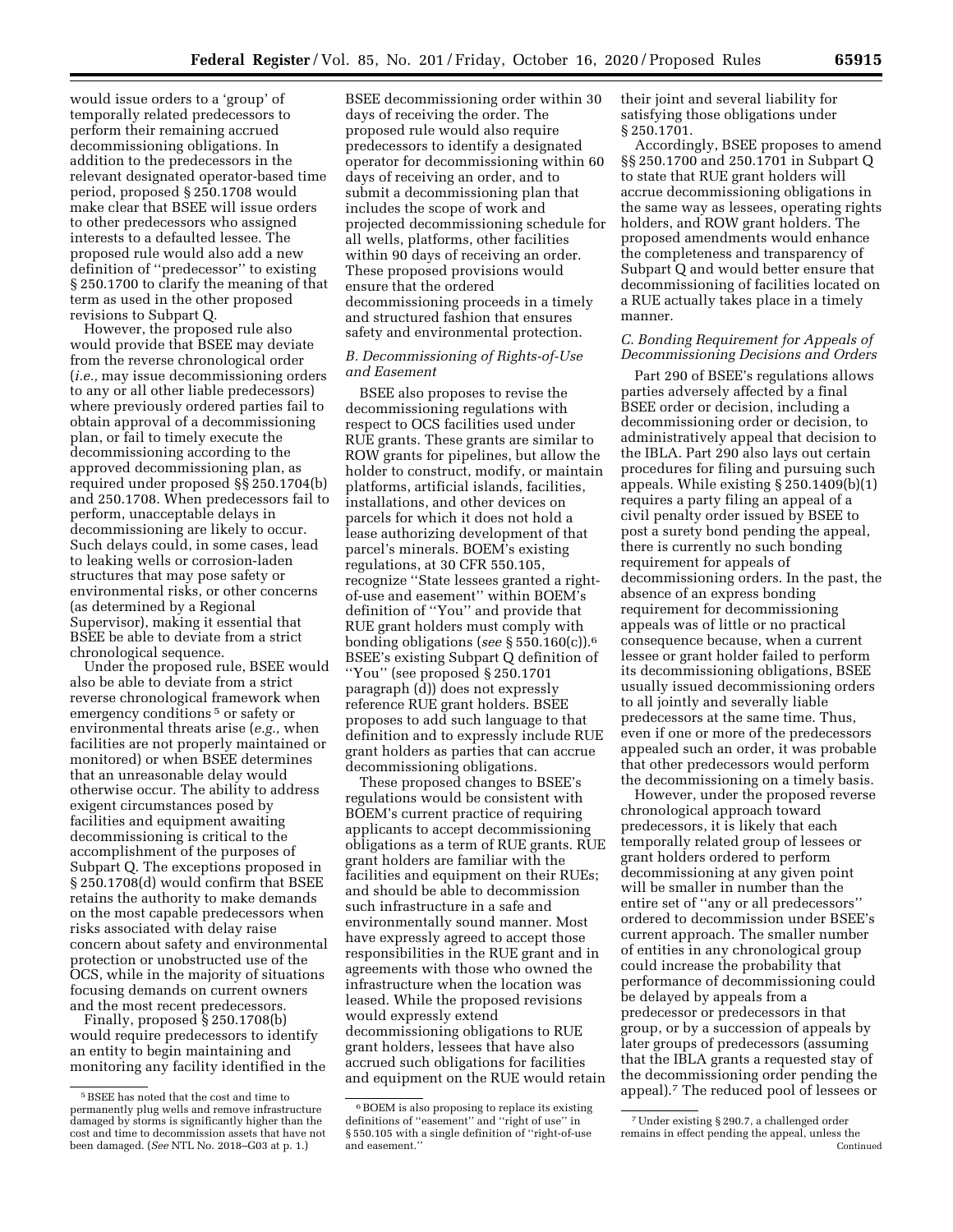would issue orders to a 'group' of temporally related predecessors to perform their remaining accrued decommissioning obligations. In addition to the predecessors in the relevant designated operator-based time period, proposed § 250.1708 would make clear that BSEE will issue orders to other predecessors who assigned interests to a defaulted lessee. The proposed rule would also add a new definition of ''predecessor'' to existing § 250.1700 to clarify the meaning of that term as used in the other proposed revisions to Subpart Q.

However, the proposed rule also would provide that BSEE may deviate from the reverse chronological order (*i.e.,* may issue decommissioning orders to any or all other liable predecessors) where previously ordered parties fail to obtain approval of a decommissioning plan, or fail to timely execute the decommissioning according to the approved decommissioning plan, as required under proposed §§ 250.1704(b) and 250.1708. When predecessors fail to perform, unacceptable delays in decommissioning are likely to occur. Such delays could, in some cases, lead to leaking wells or corrosion-laden structures that may pose safety or environmental risks, or other concerns (as determined by a Regional Supervisor), making it essential that BSEE be able to deviate from a strict chronological sequence.

Under the proposed rule, BSEE would also be able to deviate from a strict reverse chronological framework when emergency conditions<sup>5</sup> or safety or environmental threats arise (*e.g.,* when facilities are not properly maintained or monitored) or when BSEE determines that an unreasonable delay would otherwise occur. The ability to address exigent circumstances posed by facilities and equipment awaiting decommissioning is critical to the accomplishment of the purposes of Subpart Q. The exceptions proposed in § 250.1708(d) would confirm that BSEE retains the authority to make demands on the most capable predecessors when risks associated with delay raise concern about safety and environmental protection or unobstructed use of the OCS, while in the majority of situations focusing demands on current owners and the most recent predecessors.

Finally, proposed § 250.1708(b) would require predecessors to identify an entity to begin maintaining and monitoring any facility identified in the

BSEE decommissioning order within 30 days of receiving the order. The proposed rule would also require predecessors to identify a designated operator for decommissioning within 60 days of receiving an order, and to submit a decommissioning plan that includes the scope of work and projected decommissioning schedule for all wells, platforms, other facilities within 90 days of receiving an order. These proposed provisions would ensure that the ordered decommissioning proceeds in a timely and structured fashion that ensures safety and environmental protection.

# *B. Decommissioning of Rights-of-Use and Easement*

BSEE also proposes to revise the decommissioning regulations with respect to OCS facilities used under RUE grants. These grants are similar to ROW grants for pipelines, but allow the holder to construct, modify, or maintain platforms, artificial islands, facilities, installations, and other devices on parcels for which it does not hold a lease authorizing development of that parcel's minerals. BOEM's existing regulations, at 30 CFR 550.105, recognize ''State lessees granted a rightof-use and easement'' within BOEM's definition of ''You'' and provide that RUE grant holders must comply with bonding obligations (*see* § 550.160(c)).6 BSEE's existing Subpart Q definition of ''You'' (see proposed § 250.1701 paragraph (d)) does not expressly reference RUE grant holders. BSEE proposes to add such language to that definition and to expressly include RUE grant holders as parties that can accrue decommissioning obligations.

These proposed changes to BSEE's regulations would be consistent with BOEM's current practice of requiring applicants to accept decommissioning obligations as a term of RUE grants. RUE grant holders are familiar with the facilities and equipment on their RUEs; and should be able to decommission such infrastructure in a safe and environmentally sound manner. Most have expressly agreed to accept those responsibilities in the RUE grant and in agreements with those who owned the infrastructure when the location was leased. While the proposed revisions would expressly extend decommissioning obligations to RUE grant holders, lessees that have also accrued such obligations for facilities and equipment on the RUE would retain their joint and several liability for satisfying those obligations under § 250.1701.

Accordingly, BSEE proposes to amend §§ 250.1700 and 250.1701 in Subpart Q to state that RUE grant holders will accrue decommissioning obligations in the same way as lessees, operating rights holders, and ROW grant holders. The proposed amendments would enhance the completeness and transparency of Subpart Q and would better ensure that decommissioning of facilities located on a RUE actually takes place in a timely manner.

# *C. Bonding Requirement for Appeals of Decommissioning Decisions and Orders*

Part 290 of BSEE's regulations allows parties adversely affected by a final BSEE order or decision, including a decommissioning order or decision, to administratively appeal that decision to the IBLA. Part 290 also lays out certain procedures for filing and pursuing such appeals. While existing § 250.1409(b)(1) requires a party filing an appeal of a civil penalty order issued by BSEE to post a surety bond pending the appeal, there is currently no such bonding requirement for appeals of decommissioning orders. In the past, the absence of an express bonding requirement for decommissioning appeals was of little or no practical consequence because, when a current lessee or grant holder failed to perform its decommissioning obligations, BSEE usually issued decommissioning orders to all jointly and severally liable predecessors at the same time. Thus, even if one or more of the predecessors appealed such an order, it was probable that other predecessors would perform the decommissioning on a timely basis.

However, under the proposed reverse chronological approach toward predecessors, it is likely that each temporally related group of lessees or grant holders ordered to perform decommissioning at any given point will be smaller in number than the entire set of ''any or all predecessors'' ordered to decommission under BSEE's current approach. The smaller number of entities in any chronological group could increase the probability that performance of decommissioning could be delayed by appeals from a predecessor or predecessors in that group, or by a succession of appeals by later groups of predecessors (assuming that the IBLA grants a requested stay of the decommissioning order pending the appeal).7 The reduced pool of lessees or

<sup>5</sup>BSEE has noted that the cost and time to permanently plug wells and remove infrastructure damaged by storms is significantly higher than the cost and time to decommission assets that have not been damaged. (*See* NTL No. 2018–G03 at p. 1.)

<sup>6</sup>BOEM is also proposing to replace its existing definitions of ''easement'' and ''right of use'' in § 550.105 with a single definition of ''right-of-use and easement.''

<sup>7</sup>Under existing § 290.7, a challenged order remains in effect pending the appeal, unless the Continued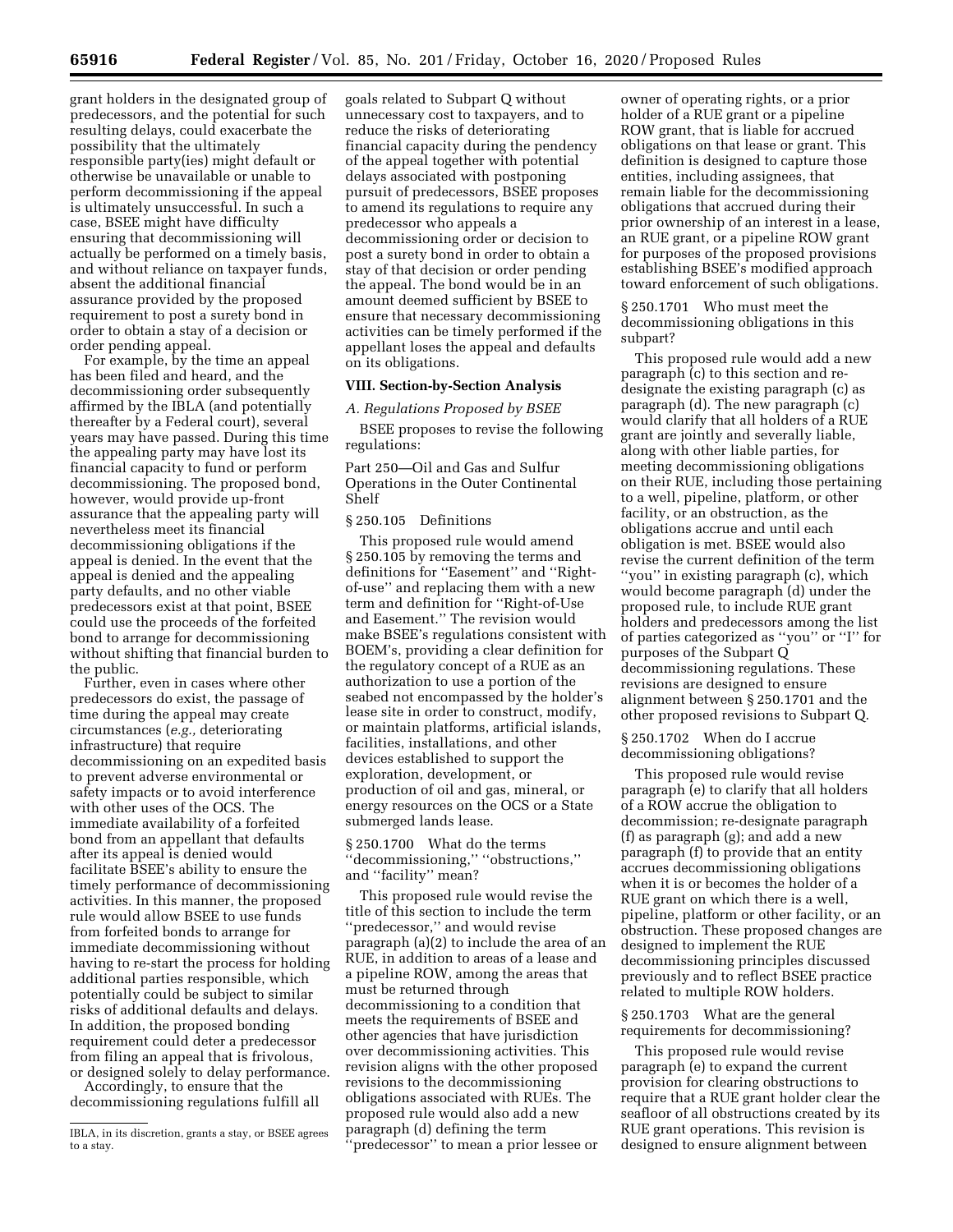grant holders in the designated group of predecessors, and the potential for such

resulting delays, could exacerbate the possibility that the ultimately responsible party(ies) might default or otherwise be unavailable or unable to perform decommissioning if the appeal is ultimately unsuccessful. In such a case, BSEE might have difficulty ensuring that decommissioning will actually be performed on a timely basis, and without reliance on taxpayer funds, absent the additional financial assurance provided by the proposed requirement to post a surety bond in order to obtain a stay of a decision or order pending appeal.

For example, by the time an appeal has been filed and heard, and the decommissioning order subsequently affirmed by the IBLA (and potentially thereafter by a Federal court), several years may have passed. During this time the appealing party may have lost its financial capacity to fund or perform decommissioning. The proposed bond, however, would provide up-front assurance that the appealing party will nevertheless meet its financial decommissioning obligations if the appeal is denied. In the event that the appeal is denied and the appealing party defaults, and no other viable predecessors exist at that point, BSEE could use the proceeds of the forfeited bond to arrange for decommissioning without shifting that financial burden to the public.

Further, even in cases where other predecessors do exist, the passage of time during the appeal may create circumstances (*e.g.,* deteriorating infrastructure) that require decommissioning on an expedited basis to prevent adverse environmental or safety impacts or to avoid interference with other uses of the OCS. The immediate availability of a forfeited bond from an appellant that defaults after its appeal is denied would facilitate BSEE's ability to ensure the timely performance of decommissioning activities. In this manner, the proposed rule would allow BSEE to use funds from forfeited bonds to arrange for immediate decommissioning without having to re-start the process for holding additional parties responsible, which potentially could be subject to similar risks of additional defaults and delays. In addition, the proposed bonding requirement could deter a predecessor from filing an appeal that is frivolous, or designed solely to delay performance.

Accordingly, to ensure that the decommissioning regulations fulfill all goals related to Subpart Q without unnecessary cost to taxpayers, and to reduce the risks of deteriorating financial capacity during the pendency of the appeal together with potential delays associated with postponing pursuit of predecessors, BSEE proposes to amend its regulations to require any predecessor who appeals a decommissioning order or decision to post a surety bond in order to obtain a stay of that decision or order pending the appeal. The bond would be in an amount deemed sufficient by BSEE to ensure that necessary decommissioning activities can be timely performed if the appellant loses the appeal and defaults on its obligations.

### **VIII. Section-by-Section Analysis**

*A. Regulations Proposed by BSEE* 

BSEE proposes to revise the following regulations:

Part 250—Oil and Gas and Sulfur Operations in the Outer Continental Shelf

# § 250.105 Definitions

This proposed rule would amend § 250.105 by removing the terms and definitions for ''Easement'' and ''Rightof-use'' and replacing them with a new term and definition for ''Right-of-Use and Easement.'' The revision would make BSEE's regulations consistent with BOEM's, providing a clear definition for the regulatory concept of a RUE as an authorization to use a portion of the seabed not encompassed by the holder's lease site in order to construct, modify, or maintain platforms, artificial islands, facilities, installations, and other devices established to support the exploration, development, or production of oil and gas, mineral, or energy resources on the OCS or a State submerged lands lease.

§ 250.1700 What do the terms ''decommissioning,'' ''obstructions,'' and "facility" mean?

This proposed rule would revise the title of this section to include the term ''predecessor,'' and would revise paragraph (a)(2) to include the area of an RUE, in addition to areas of a lease and a pipeline ROW, among the areas that must be returned through decommissioning to a condition that meets the requirements of BSEE and other agencies that have jurisdiction over decommissioning activities. This revision aligns with the other proposed revisions to the decommissioning obligations associated with RUEs. The proposed rule would also add a new paragraph (d) defining the term ''predecessor'' to mean a prior lessee or

owner of operating rights, or a prior holder of a RUE grant or a pipeline ROW grant, that is liable for accrued obligations on that lease or grant. This definition is designed to capture those entities, including assignees, that remain liable for the decommissioning obligations that accrued during their prior ownership of an interest in a lease, an RUE grant, or a pipeline ROW grant for purposes of the proposed provisions establishing BSEE's modified approach toward enforcement of such obligations.

§ 250.1701 Who must meet the decommissioning obligations in this subpart?

This proposed rule would add a new paragraph (c) to this section and redesignate the existing paragraph (c) as paragraph (d). The new paragraph (c) would clarify that all holders of a RUE grant are jointly and severally liable, along with other liable parties, for meeting decommissioning obligations on their RUE, including those pertaining to a well, pipeline, platform, or other facility, or an obstruction, as the obligations accrue and until each obligation is met. BSEE would also revise the current definition of the term ''you'' in existing paragraph (c), which would become paragraph (d) under the proposed rule, to include RUE grant holders and predecessors among the list of parties categorized as ''you'' or ''I'' for purposes of the Subpart Q decommissioning regulations. These revisions are designed to ensure alignment between § 250.1701 and the other proposed revisions to Subpart Q.

§ 250.1702 When do I accrue decommissioning obligations?

This proposed rule would revise paragraph (e) to clarify that all holders of a ROW accrue the obligation to decommission; re-designate paragraph (f) as paragraph (g); and add a new paragraph (f) to provide that an entity accrues decommissioning obligations when it is or becomes the holder of a RUE grant on which there is a well, pipeline, platform or other facility, or an obstruction. These proposed changes are designed to implement the RUE decommissioning principles discussed previously and to reflect BSEE practice related to multiple ROW holders.

§ 250.1703 What are the general requirements for decommissioning?

This proposed rule would revise paragraph (e) to expand the current provision for clearing obstructions to require that a RUE grant holder clear the seafloor of all obstructions created by its RUE grant operations. This revision is designed to ensure alignment between

IBLA, in its discretion, grants a stay, or BSEE agrees to a stay.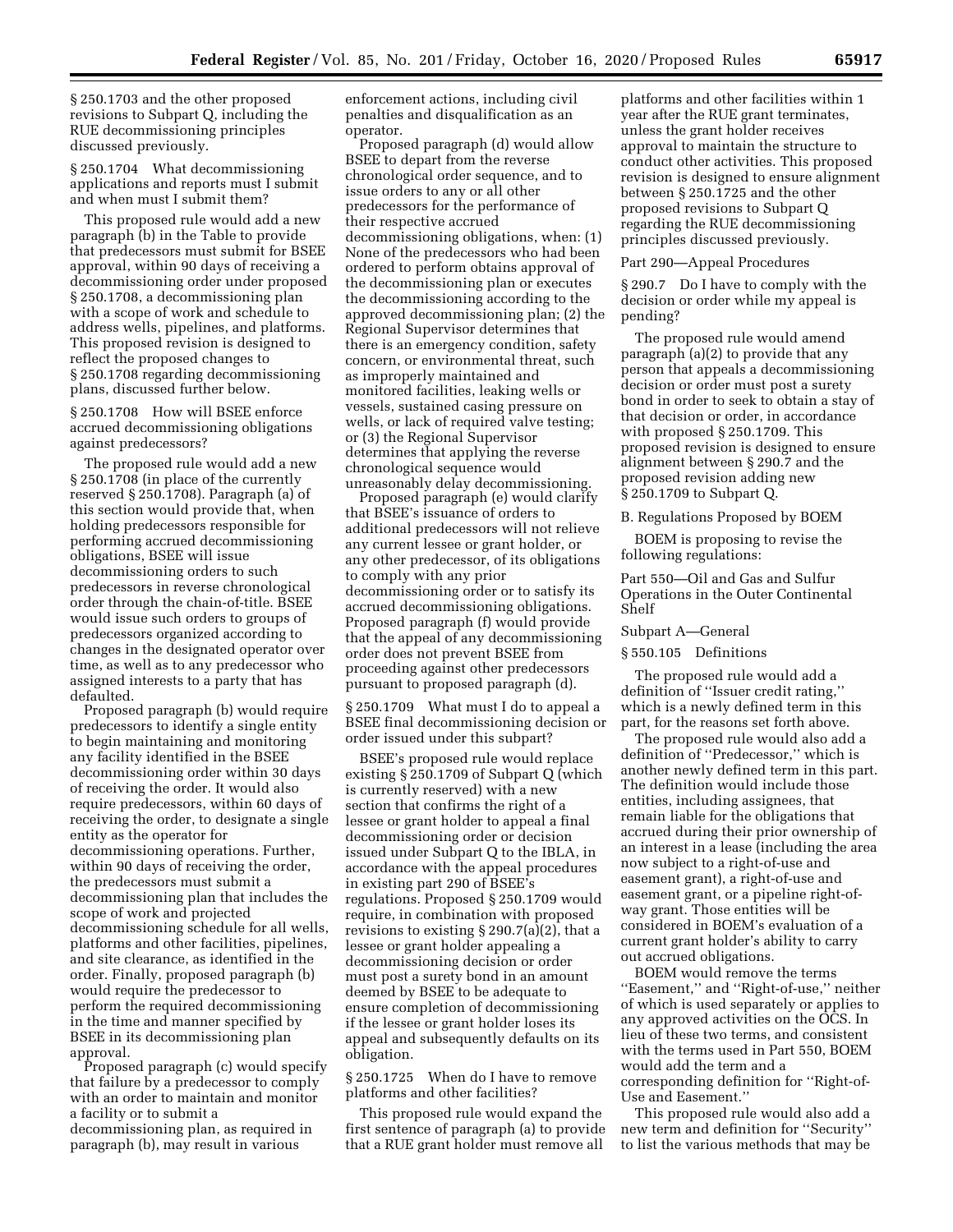§ 250.1703 and the other proposed revisions to Subpart Q, including the RUE decommissioning principles discussed previously.

§ 250.1704 What decommissioning applications and reports must I submit and when must I submit them?

This proposed rule would add a new paragraph (b) in the Table to provide that predecessors must submit for BSEE approval, within 90 days of receiving a decommissioning order under proposed § 250.1708, a decommissioning plan with a scope of work and schedule to address wells, pipelines, and platforms. This proposed revision is designed to reflect the proposed changes to § 250.1708 regarding decommissioning plans, discussed further below.

§ 250.1708 How will BSEE enforce accrued decommissioning obligations against predecessors?

The proposed rule would add a new § 250.1708 (in place of the currently reserved § 250.1708). Paragraph (a) of this section would provide that, when holding predecessors responsible for performing accrued decommissioning obligations, BSEE will issue decommissioning orders to such predecessors in reverse chronological order through the chain-of-title. BSEE would issue such orders to groups of predecessors organized according to changes in the designated operator over time, as well as to any predecessor who assigned interests to a party that has defaulted.

Proposed paragraph (b) would require predecessors to identify a single entity to begin maintaining and monitoring any facility identified in the BSEE decommissioning order within 30 days of receiving the order. It would also require predecessors, within 60 days of receiving the order, to designate a single entity as the operator for decommissioning operations. Further, within 90 days of receiving the order, the predecessors must submit a decommissioning plan that includes the scope of work and projected decommissioning schedule for all wells, platforms and other facilities, pipelines, and site clearance, as identified in the order. Finally, proposed paragraph (b) would require the predecessor to perform the required decommissioning in the time and manner specified by BSEE in its decommissioning plan approval.

Proposed paragraph (c) would specify that failure by a predecessor to comply with an order to maintain and monitor a facility or to submit a decommissioning plan, as required in paragraph (b), may result in various

enforcement actions, including civil penalties and disqualification as an operator.

Proposed paragraph (d) would allow BSEE to depart from the reverse chronological order sequence, and to issue orders to any or all other predecessors for the performance of their respective accrued decommissioning obligations, when: (1) None of the predecessors who had been ordered to perform obtains approval of the decommissioning plan or executes the decommissioning according to the approved decommissioning plan; (2) the Regional Supervisor determines that there is an emergency condition, safety concern, or environmental threat, such as improperly maintained and monitored facilities, leaking wells or vessels, sustained casing pressure on wells, or lack of required valve testing; or (3) the Regional Supervisor determines that applying the reverse chronological sequence would unreasonably delay decommissioning.

Proposed paragraph (e) would clarify that BSEE's issuance of orders to additional predecessors will not relieve any current lessee or grant holder, or any other predecessor, of its obligations to comply with any prior decommissioning order or to satisfy its accrued decommissioning obligations. Proposed paragraph (f) would provide that the appeal of any decommissioning order does not prevent BSEE from proceeding against other predecessors pursuant to proposed paragraph (d).

§ 250.1709 What must I do to appeal a BSEE final decommissioning decision or order issued under this subpart?

BSEE's proposed rule would replace existing § 250.1709 of Subpart Q (which is currently reserved) with a new section that confirms the right of a lessee or grant holder to appeal a final decommissioning order or decision issued under Subpart Q to the IBLA, in accordance with the appeal procedures in existing part 290 of BSEE's regulations. Proposed § 250.1709 would require, in combination with proposed revisions to existing § 290.7(a)(2), that a lessee or grant holder appealing a decommissioning decision or order must post a surety bond in an amount deemed by BSEE to be adequate to ensure completion of decommissioning if the lessee or grant holder loses its appeal and subsequently defaults on its obligation.

§ 250.1725 When do I have to remove platforms and other facilities?

This proposed rule would expand the first sentence of paragraph (a) to provide that a RUE grant holder must remove all

platforms and other facilities within 1 year after the RUE grant terminates, unless the grant holder receives approval to maintain the structure to conduct other activities. This proposed revision is designed to ensure alignment between § 250.1725 and the other proposed revisions to Subpart Q regarding the RUE decommissioning principles discussed previously.

### Part 290—Appeal Procedures

§ 290.7 Do I have to comply with the decision or order while my appeal is pending?

The proposed rule would amend paragraph (a)(2) to provide that any person that appeals a decommissioning decision or order must post a surety bond in order to seek to obtain a stay of that decision or order, in accordance with proposed § 250.1709. This proposed revision is designed to ensure alignment between § 290.7 and the proposed revision adding new § 250.1709 to Subpart Q.

B. Regulations Proposed by BOEM

BOEM is proposing to revise the following regulations:

Part 550—Oil and Gas and Sulfur Operations in the Outer Continental Shelf

Subpart A—General

§ 550.105 Definitions

The proposed rule would add a definition of ''Issuer credit rating,'' which is a newly defined term in this part, for the reasons set forth above.

The proposed rule would also add a definition of ''Predecessor,'' which is another newly defined term in this part. The definition would include those entities, including assignees, that remain liable for the obligations that accrued during their prior ownership of an interest in a lease (including the area now subject to a right-of-use and easement grant), a right-of-use and easement grant, or a pipeline right-ofway grant. Those entities will be considered in BOEM's evaluation of a current grant holder's ability to carry out accrued obligations.

BOEM would remove the terms ''Easement,'' and ''Right-of-use,'' neither of which is used separately or applies to any approved activities on the OCS. In lieu of these two terms, and consistent with the terms used in Part 550, BOEM would add the term and a corresponding definition for ''Right-of-Use and Easement.''

This proposed rule would also add a new term and definition for ''Security'' to list the various methods that may be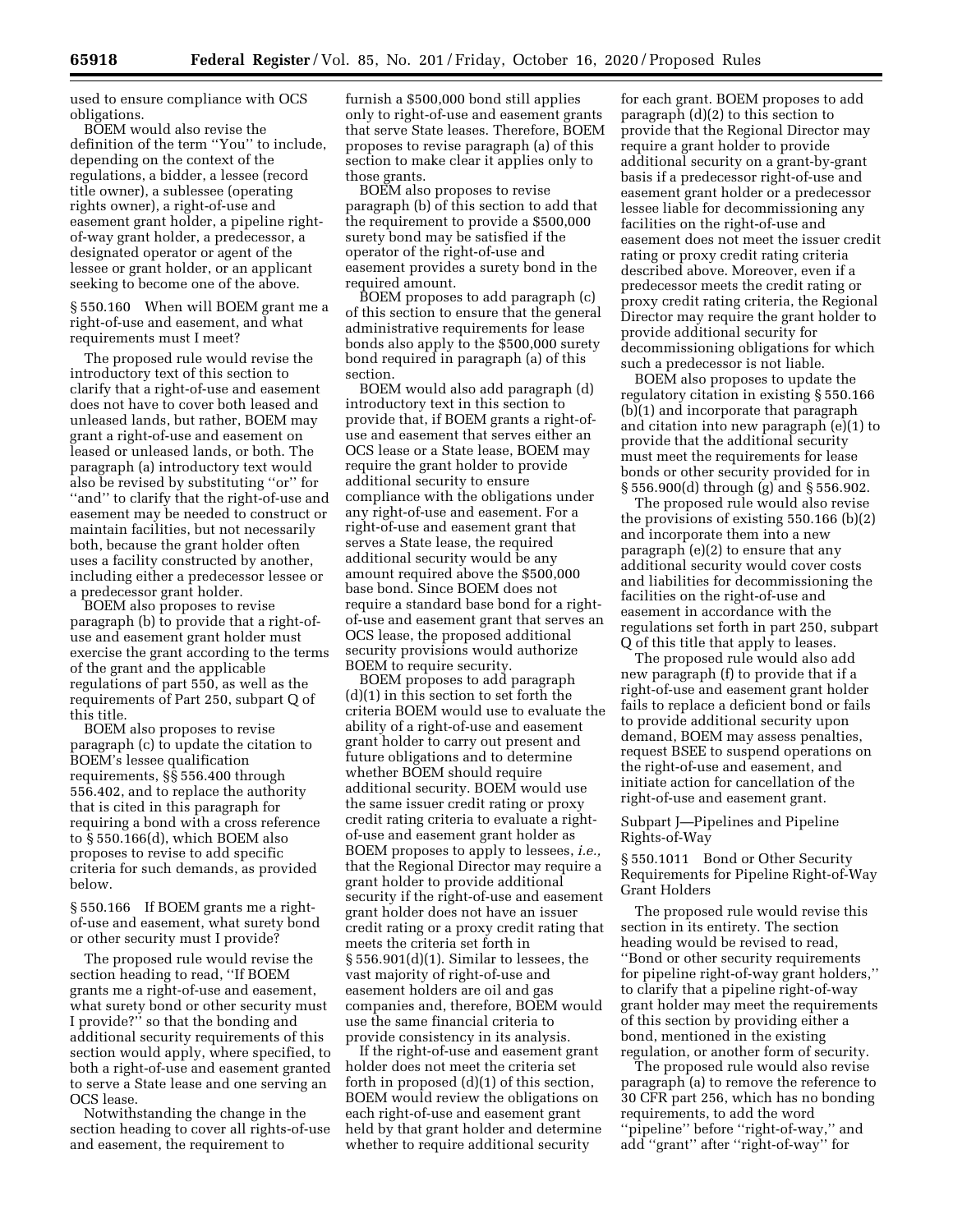used to ensure compliance with OCS obligations.

BOEM would also revise the definition of the term ''You'' to include, depending on the context of the regulations, a bidder, a lessee (record title owner), a sublessee (operating rights owner), a right-of-use and easement grant holder, a pipeline rightof-way grant holder, a predecessor, a designated operator or agent of the lessee or grant holder, or an applicant seeking to become one of the above.

§ 550.160 When will BOEM grant me a right-of-use and easement, and what requirements must I meet?

The proposed rule would revise the introductory text of this section to clarify that a right-of-use and easement does not have to cover both leased and unleased lands, but rather, BOEM may grant a right-of-use and easement on leased or unleased lands, or both. The paragraph (a) introductory text would also be revised by substituting ''or'' for "and" to clarify that the right-of-use and easement may be needed to construct or maintain facilities, but not necessarily both, because the grant holder often uses a facility constructed by another, including either a predecessor lessee or a predecessor grant holder.

BOEM also proposes to revise paragraph (b) to provide that a right-ofuse and easement grant holder must exercise the grant according to the terms of the grant and the applicable regulations of part 550, as well as the requirements of Part 250, subpart Q of this title.

BOEM also proposes to revise paragraph (c) to update the citation to BOEM's lessee qualification requirements, §§ 556.400 through 556.402, and to replace the authority that is cited in this paragraph for requiring a bond with a cross reference to § 550.166(d), which BOEM also proposes to revise to add specific criteria for such demands, as provided below.

§ 550.166 If BOEM grants me a rightof-use and easement, what surety bond or other security must I provide?

The proposed rule would revise the section heading to read, ''If BOEM grants me a right-of-use and easement, what surety bond or other security must I provide?'' so that the bonding and additional security requirements of this section would apply, where specified, to both a right-of-use and easement granted to serve a State lease and one serving an OCS lease.

Notwithstanding the change in the section heading to cover all rights-of-use and easement, the requirement to

furnish a \$500,000 bond still applies only to right-of-use and easement grants that serve State leases. Therefore, BOEM proposes to revise paragraph (a) of this section to make clear it applies only to those grants.

BOEM also proposes to revise paragraph (b) of this section to add that the requirement to provide a \$500,000 surety bond may be satisfied if the operator of the right-of-use and easement provides a surety bond in the required amount.

BOEM proposes to add paragraph (c) of this section to ensure that the general administrative requirements for lease bonds also apply to the \$500,000 surety bond required in paragraph (a) of this section.

BOEM would also add paragraph (d) introductory text in this section to provide that, if BOEM grants a right-ofuse and easement that serves either an OCS lease or a State lease, BOEM may require the grant holder to provide additional security to ensure compliance with the obligations under any right-of-use and easement. For a right-of-use and easement grant that serves a State lease, the required additional security would be any amount required above the \$500,000 base bond. Since BOEM does not require a standard base bond for a rightof-use and easement grant that serves an OCS lease, the proposed additional security provisions would authorize BOEM to require security.

BOEM proposes to add paragraph (d)(1) in this section to set forth the criteria BOEM would use to evaluate the ability of a right-of-use and easement grant holder to carry out present and future obligations and to determine whether BOEM should require additional security. BOEM would use the same issuer credit rating or proxy credit rating criteria to evaluate a rightof-use and easement grant holder as BOEM proposes to apply to lessees, *i.e.,*  that the Regional Director may require a grant holder to provide additional security if the right-of-use and easement grant holder does not have an issuer credit rating or a proxy credit rating that meets the criteria set forth in § 556.901(d)(1). Similar to lessees, the vast majority of right-of-use and easement holders are oil and gas companies and, therefore, BOEM would use the same financial criteria to provide consistency in its analysis.

If the right-of-use and easement grant holder does not meet the criteria set forth in proposed (d)(1) of this section, BOEM would review the obligations on each right-of-use and easement grant held by that grant holder and determine whether to require additional security

for each grant. BOEM proposes to add paragraph (d)(2) to this section to provide that the Regional Director may require a grant holder to provide additional security on a grant-by-grant basis if a predecessor right-of-use and easement grant holder or a predecessor lessee liable for decommissioning any facilities on the right-of-use and easement does not meet the issuer credit rating or proxy credit rating criteria described above. Moreover, even if a predecessor meets the credit rating or proxy credit rating criteria, the Regional Director may require the grant holder to provide additional security for decommissioning obligations for which such a predecessor is not liable.

BOEM also proposes to update the regulatory citation in existing § 550.166 (b)(1) and incorporate that paragraph and citation into new paragraph (e)(1) to provide that the additional security must meet the requirements for lease bonds or other security provided for in § 556.900(d) through (g) and § 556.902.

The proposed rule would also revise the provisions of existing 550.166 (b)(2) and incorporate them into a new paragraph (e)(2) to ensure that any additional security would cover costs and liabilities for decommissioning the facilities on the right-of-use and easement in accordance with the regulations set forth in part 250, subpart Q of this title that apply to leases.

The proposed rule would also add new paragraph (f) to provide that if a right-of-use and easement grant holder fails to replace a deficient bond or fails to provide additional security upon demand, BOEM may assess penalties, request BSEE to suspend operations on the right-of-use and easement, and initiate action for cancellation of the right-of-use and easement grant.

Subpart J—Pipelines and Pipeline Rights-of-Way

§ 550.1011 Bond or Other Security Requirements for Pipeline Right-of-Way Grant Holders

The proposed rule would revise this section in its entirety. The section heading would be revised to read, ''Bond or other security requirements for pipeline right-of-way grant holders,'' to clarify that a pipeline right-of-way grant holder may meet the requirements of this section by providing either a bond, mentioned in the existing regulation, or another form of security.

The proposed rule would also revise paragraph (a) to remove the reference to 30 CFR part 256, which has no bonding requirements, to add the word ''pipeline'' before ''right-of-way,'' and add ''grant'' after ''right-of-way'' for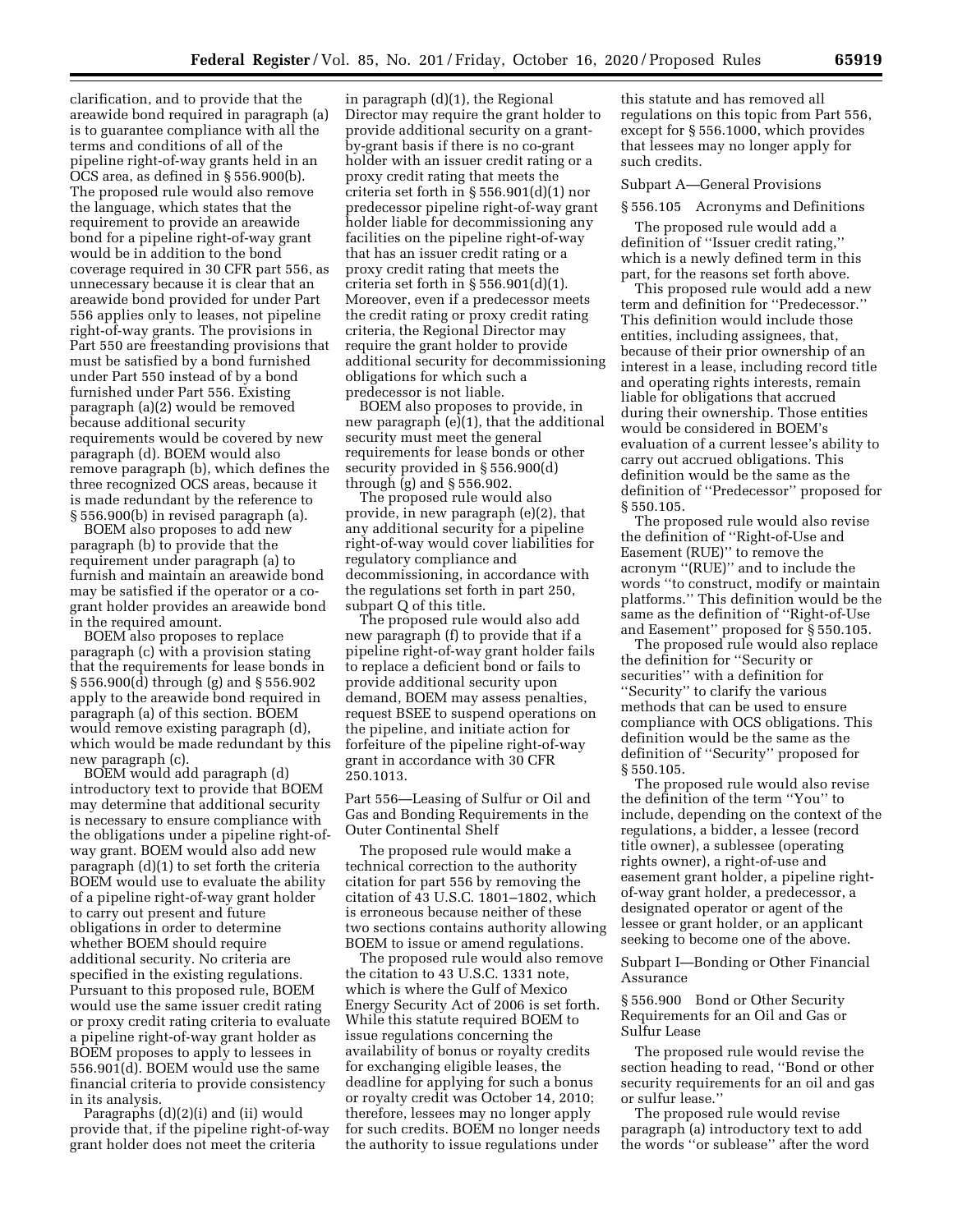clarification, and to provide that the areawide bond required in paragraph (a) is to guarantee compliance with all the terms and conditions of all of the pipeline right-of-way grants held in an OCS area, as defined in § 556.900(b). The proposed rule would also remove the language, which states that the requirement to provide an areawide bond for a pipeline right-of-way grant would be in addition to the bond coverage required in 30 CFR part 556, as unnecessary because it is clear that an areawide bond provided for under Part 556 applies only to leases, not pipeline right-of-way grants. The provisions in Part 550 are freestanding provisions that must be satisfied by a bond furnished under Part 550 instead of by a bond furnished under Part 556. Existing paragraph (a)(2) would be removed because additional security requirements would be covered by new paragraph (d). BOEM would also remove paragraph (b), which defines the three recognized OCS areas, because it is made redundant by the reference to § 556.900(b) in revised paragraph (a).

BOEM also proposes to add new paragraph (b) to provide that the requirement under paragraph (a) to furnish and maintain an areawide bond may be satisfied if the operator or a cogrant holder provides an areawide bond in the required amount.

BOEM also proposes to replace paragraph (c) with a provision stating that the requirements for lease bonds in § 556.900(d) through (g) and § 556.902 apply to the areawide bond required in paragraph (a) of this section. BOEM would remove existing paragraph (d), which would be made redundant by this new paragraph (c).

BOEM would add paragraph (d) introductory text to provide that BOEM may determine that additional security is necessary to ensure compliance with the obligations under a pipeline right-ofway grant. BOEM would also add new paragraph (d)(1) to set forth the criteria BOEM would use to evaluate the ability of a pipeline right-of-way grant holder to carry out present and future obligations in order to determine whether BOEM should require additional security. No criteria are specified in the existing regulations. Pursuant to this proposed rule, BOEM would use the same issuer credit rating or proxy credit rating criteria to evaluate a pipeline right-of-way grant holder as BOEM proposes to apply to lessees in 556.901(d). BOEM would use the same financial criteria to provide consistency in its analysis.

Paragraphs (d)(2)(i) and (ii) would provide that, if the pipeline right-of-way grant holder does not meet the criteria

in paragraph (d)(1), the Regional Director may require the grant holder to provide additional security on a grantby-grant basis if there is no co-grant holder with an issuer credit rating or a proxy credit rating that meets the criteria set forth in § 556.901(d)(1) nor predecessor pipeline right-of-way grant holder liable for decommissioning any facilities on the pipeline right-of-way that has an issuer credit rating or a proxy credit rating that meets the criteria set forth in  $\S 556.901(d)(1)$ . Moreover, even if a predecessor meets the credit rating or proxy credit rating criteria, the Regional Director may require the grant holder to provide additional security for decommissioning obligations for which such a predecessor is not liable.

BOEM also proposes to provide, in new paragraph (e)(1), that the additional security must meet the general requirements for lease bonds or other security provided in § 556.900(d) through (g) and § 556.902.

The proposed rule would also provide, in new paragraph (e)(2), that any additional security for a pipeline right-of-way would cover liabilities for regulatory compliance and decommissioning, in accordance with the regulations set forth in part 250, subpart Q of this title.

The proposed rule would also add new paragraph (f) to provide that if a pipeline right-of-way grant holder fails to replace a deficient bond or fails to provide additional security upon demand, BOEM may assess penalties, request BSEE to suspend operations on the pipeline, and initiate action for forfeiture of the pipeline right-of-way grant in accordance with 30 CFR 250.1013.

Part 556—Leasing of Sulfur or Oil and Gas and Bonding Requirements in the Outer Continental Shelf

The proposed rule would make a technical correction to the authority citation for part 556 by removing the citation of 43 U.S.C. 1801–1802, which is erroneous because neither of these two sections contains authority allowing BOEM to issue or amend regulations.

The proposed rule would also remove the citation to 43 U.S.C. 1331 note, which is where the Gulf of Mexico Energy Security Act of 2006 is set forth. While this statute required BOEM to issue regulations concerning the availability of bonus or royalty credits for exchanging eligible leases, the deadline for applying for such a bonus or royalty credit was October 14, 2010; therefore, lessees may no longer apply for such credits. BOEM no longer needs the authority to issue regulations under

this statute and has removed all regulations on this topic from Part 556, except for § 556.1000, which provides that lessees may no longer apply for such credits.

### Subpart A—General Provisions

### § 556.105 Acronyms and Definitions

The proposed rule would add a definition of ''Issuer credit rating,'' which is a newly defined term in this part, for the reasons set forth above.

This proposed rule would add a new term and definition for ''Predecessor.'' This definition would include those entities, including assignees, that, because of their prior ownership of an interest in a lease, including record title and operating rights interests, remain liable for obligations that accrued during their ownership. Those entities would be considered in BOEM's evaluation of a current lessee's ability to carry out accrued obligations. This definition would be the same as the definition of ''Predecessor'' proposed for § 550.105.

The proposed rule would also revise the definition of ''Right-of-Use and Easement (RUE)'' to remove the acronym ''(RUE)'' and to include the words ''to construct, modify or maintain platforms.'' This definition would be the same as the definition of ''Right-of-Use and Easement'' proposed for § 550.105.

The proposed rule would also replace the definition for ''Security or securities'' with a definition for ''Security'' to clarify the various methods that can be used to ensure compliance with OCS obligations. This definition would be the same as the definition of ''Security'' proposed for § 550.105.

The proposed rule would also revise the definition of the term ''You'' to include, depending on the context of the regulations, a bidder, a lessee (record title owner), a sublessee (operating rights owner), a right-of-use and easement grant holder, a pipeline rightof-way grant holder, a predecessor, a designated operator or agent of the lessee or grant holder, or an applicant seeking to become one of the above.

Subpart I—Bonding or Other Financial Assurance

§ 556.900 Bond or Other Security Requirements for an Oil and Gas or Sulfur Lease

The proposed rule would revise the section heading to read, ''Bond or other security requirements for an oil and gas or sulfur lease.''

The proposed rule would revise paragraph (a) introductory text to add the words ''or sublease'' after the word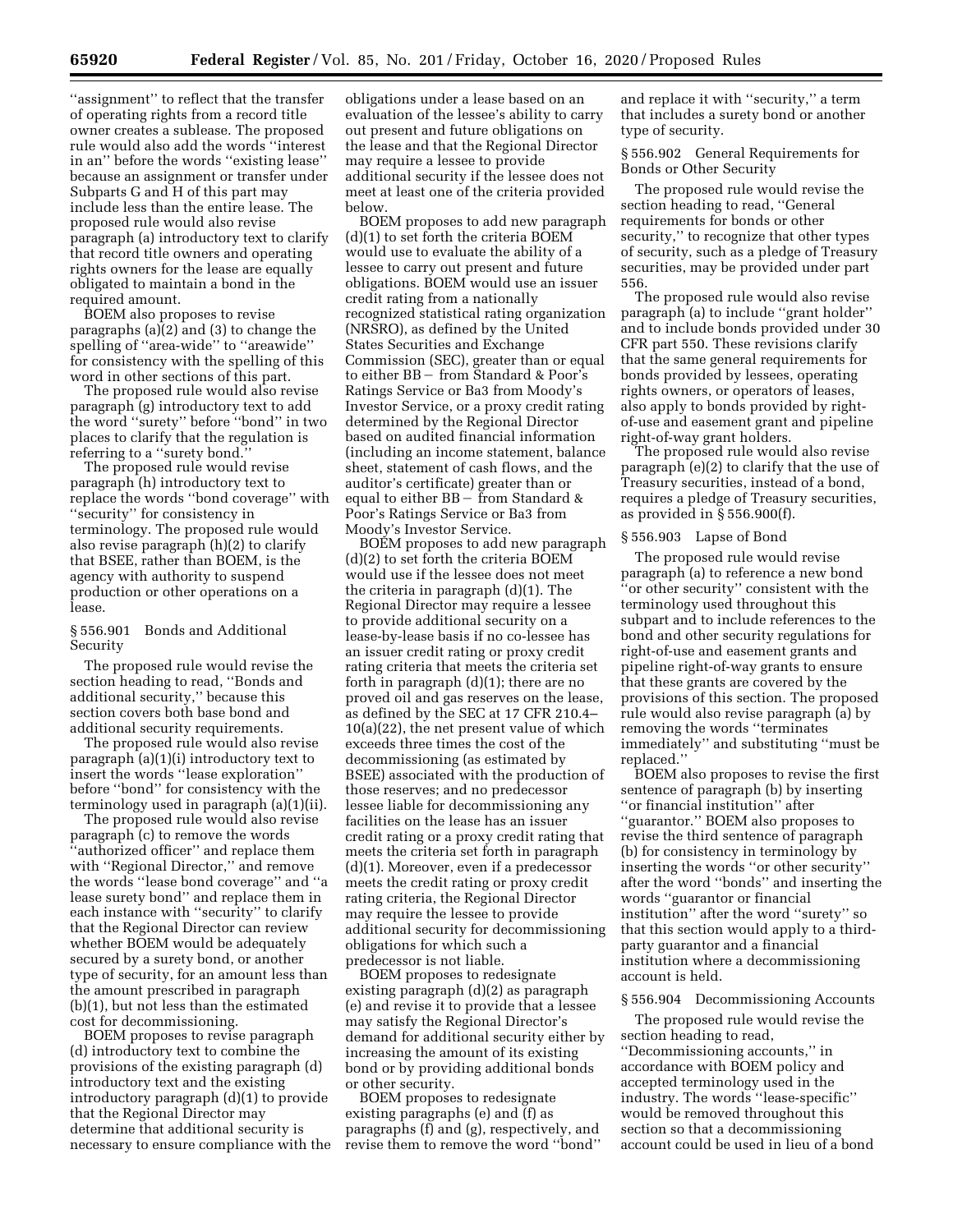''assignment'' to reflect that the transfer of operating rights from a record title owner creates a sublease. The proposed rule would also add the words ''interest in an'' before the words ''existing lease'' because an assignment or transfer under Subparts G and H of this part may include less than the entire lease. The proposed rule would also revise paragraph (a) introductory text to clarify that record title owners and operating rights owners for the lease are equally obligated to maintain a bond in the required amount.

BOEM also proposes to revise paragraphs (a)(2) and (3) to change the spelling of ''area-wide'' to ''areawide'' for consistency with the spelling of this word in other sections of this part.

The proposed rule would also revise paragraph (g) introductory text to add the word ''surety'' before ''bond'' in two places to clarify that the regulation is referring to a ''surety bond.''

The proposed rule would revise paragraph (h) introductory text to replace the words ''bond coverage'' with ''security'' for consistency in terminology. The proposed rule would also revise paragraph (h)(2) to clarify that BSEE, rather than BOEM, is the agency with authority to suspend production or other operations on a lease.

§ 556.901 Bonds and Additional Security

The proposed rule would revise the section heading to read, ''Bonds and additional security,'' because this section covers both base bond and additional security requirements.

The proposed rule would also revise paragraph (a)(1)(i) introductory text to insert the words ''lease exploration'' before ''bond'' for consistency with the terminology used in paragraph (a)(1)(ii).

The proposed rule would also revise paragraph (c) to remove the words ''authorized officer'' and replace them with ''Regional Director,'' and remove the words ''lease bond coverage'' and ''a lease surety bond'' and replace them in each instance with ''security'' to clarify that the Regional Director can review whether BOEM would be adequately secured by a surety bond, or another type of security, for an amount less than the amount prescribed in paragraph (b)(1), but not less than the estimated cost for decommissioning.

BOEM proposes to revise paragraph (d) introductory text to combine the provisions of the existing paragraph (d) introductory text and the existing introductory paragraph (d)(1) to provide that the Regional Director may determine that additional security is necessary to ensure compliance with the

obligations under a lease based on an evaluation of the lessee's ability to carry out present and future obligations on the lease and that the Regional Director may require a lessee to provide additional security if the lessee does not meet at least one of the criteria provided below.

BOEM proposes to add new paragraph (d)(1) to set forth the criteria BOEM would use to evaluate the ability of a lessee to carry out present and future obligations. BOEM would use an issuer credit rating from a nationally recognized statistical rating organization (NRSRO), as defined by the United States Securities and Exchange Commission (SEC), greater than or equal to either BB – from Standard & Poor's Ratings Service or Ba3 from Moody's Investor Service, or a proxy credit rating determined by the Regional Director based on audited financial information (including an income statement, balance sheet, statement of cash flows, and the auditor's certificate) greater than or equal to either  $BB -$  from Standard & Poor's Ratings Service or Ba3 from Moody's Investor Service.

BOEM proposes to add new paragraph (d)(2) to set forth the criteria BOEM would use if the lessee does not meet the criteria in paragraph (d)(1). The Regional Director may require a lessee to provide additional security on a lease-by-lease basis if no co-lessee has an issuer credit rating or proxy credit rating criteria that meets the criteria set forth in paragraph (d)(1); there are no proved oil and gas reserves on the lease, as defined by the SEC at 17 CFR 210.4– 10(a)(22), the net present value of which exceeds three times the cost of the decommissioning (as estimated by BSEE) associated with the production of those reserves; and no predecessor lessee liable for decommissioning any facilities on the lease has an issuer credit rating or a proxy credit rating that meets the criteria set forth in paragraph (d)(1). Moreover, even if a predecessor meets the credit rating or proxy credit rating criteria, the Regional Director may require the lessee to provide additional security for decommissioning obligations for which such a predecessor is not liable.

BOEM proposes to redesignate existing paragraph (d)(2) as paragraph (e) and revise it to provide that a lessee may satisfy the Regional Director's demand for additional security either by increasing the amount of its existing bond or by providing additional bonds or other security.

BOEM proposes to redesignate existing paragraphs (e) and (f) as paragraphs (f) and (g), respectively, and revise them to remove the word ''bond'' and replace it with ''security,'' a term that includes a surety bond or another type of security.

§ 556.902 General Requirements for Bonds or Other Security

The proposed rule would revise the section heading to read, ''General requirements for bonds or other security,'' to recognize that other types of security, such as a pledge of Treasury securities, may be provided under part 556.

The proposed rule would also revise paragraph (a) to include ''grant holder'' and to include bonds provided under 30 CFR part 550. These revisions clarify that the same general requirements for bonds provided by lessees, operating rights owners, or operators of leases, also apply to bonds provided by rightof-use and easement grant and pipeline right-of-way grant holders.

The proposed rule would also revise paragraph (e)(2) to clarify that the use of Treasury securities, instead of a bond, requires a pledge of Treasury securities, as provided in § 556.900(f).

### § 556.903 Lapse of Bond

The proposed rule would revise paragraph (a) to reference a new bond ''or other security'' consistent with the terminology used throughout this subpart and to include references to the bond and other security regulations for right-of-use and easement grants and pipeline right-of-way grants to ensure that these grants are covered by the provisions of this section. The proposed rule would also revise paragraph (a) by removing the words ''terminates immediately'' and substituting ''must be replaced.''

BOEM also proposes to revise the first sentence of paragraph (b) by inserting ''or financial institution'' after ''guarantor.'' BOEM also proposes to revise the third sentence of paragraph (b) for consistency in terminology by inserting the words ''or other security'' after the word ''bonds'' and inserting the words ''guarantor or financial institution'' after the word ''surety'' so that this section would apply to a thirdparty guarantor and a financial institution where a decommissioning account is held.

# § 556.904 Decommissioning Accounts

The proposed rule would revise the section heading to read, ''Decommissioning accounts,'' in accordance with BOEM policy and accepted terminology used in the industry. The words ''lease-specific'' would be removed throughout this section so that a decommissioning account could be used in lieu of a bond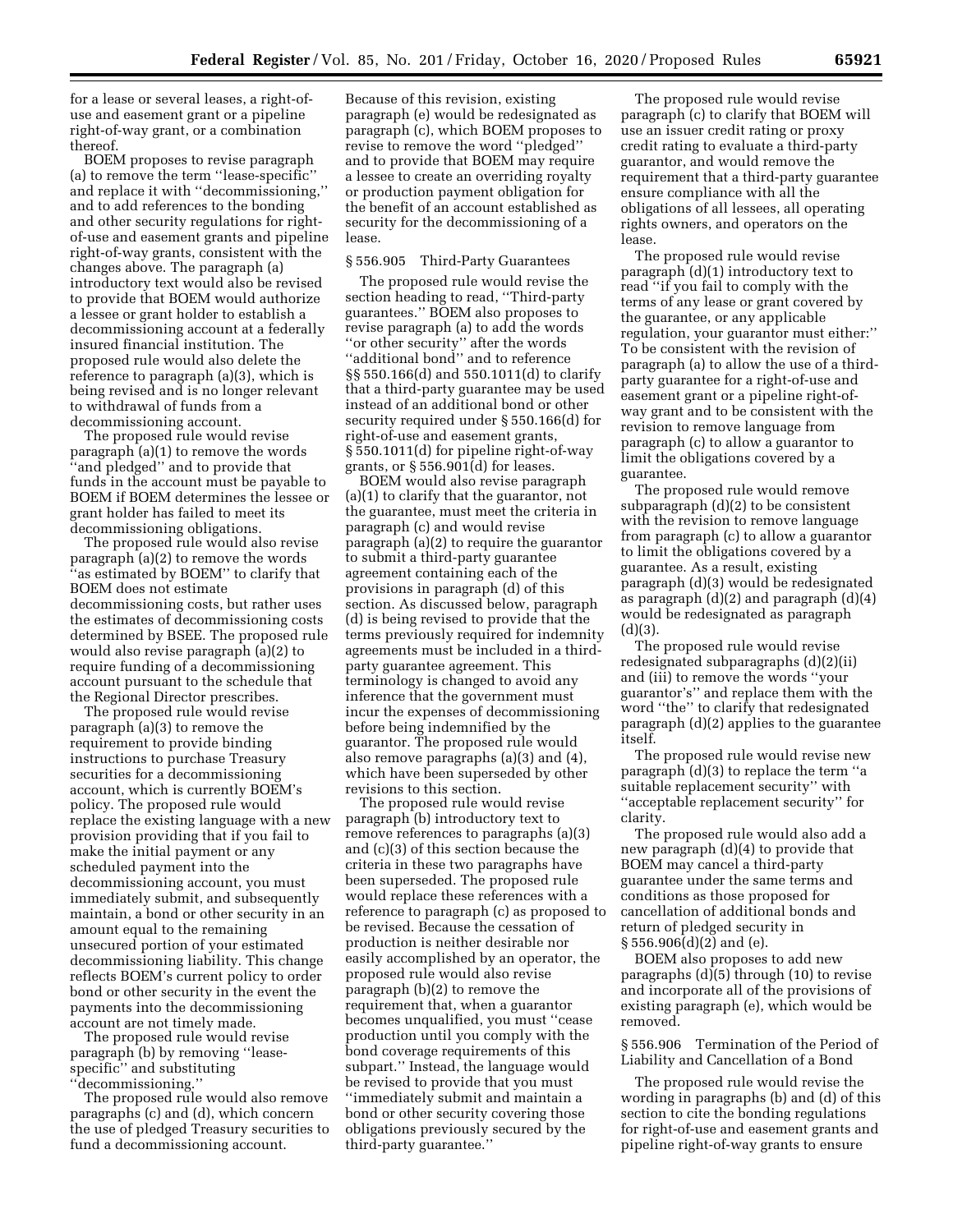for a lease or several leases, a right-ofuse and easement grant or a pipeline right-of-way grant, or a combination thereof.

BOEM proposes to revise paragraph (a) to remove the term ''lease-specific'' and replace it with ''decommissioning,'' and to add references to the bonding and other security regulations for rightof-use and easement grants and pipeline right-of-way grants, consistent with the changes above. The paragraph (a) introductory text would also be revised to provide that BOEM would authorize a lessee or grant holder to establish a decommissioning account at a federally insured financial institution. The proposed rule would also delete the reference to paragraph (a)(3), which is being revised and is no longer relevant to withdrawal of funds from a decommissioning account.

The proposed rule would revise paragraph (a)(1) to remove the words ''and pledged'' and to provide that funds in the account must be payable to BOEM if BOEM determines the lessee or grant holder has failed to meet its decommissioning obligations.

The proposed rule would also revise paragraph (a)(2) to remove the words 'as estimated by BOEM'' to clarify that BOEM does not estimate decommissioning costs, but rather uses the estimates of decommissioning costs determined by BSEE. The proposed rule would also revise paragraph (a)(2) to require funding of a decommissioning account pursuant to the schedule that the Regional Director prescribes.

The proposed rule would revise paragraph (a)(3) to remove the requirement to provide binding instructions to purchase Treasury securities for a decommissioning account, which is currently BOEM's policy. The proposed rule would replace the existing language with a new provision providing that if you fail to make the initial payment or any scheduled payment into the decommissioning account, you must immediately submit, and subsequently maintain, a bond or other security in an amount equal to the remaining unsecured portion of your estimated decommissioning liability. This change reflects BOEM's current policy to order bond or other security in the event the payments into the decommissioning account are not timely made.

The proposed rule would revise paragraph (b) by removing ''leasespecific'' and substituting ''decommissioning.''

The proposed rule would also remove paragraphs (c) and (d), which concern the use of pledged Treasury securities to fund a decommissioning account.

Because of this revision, existing paragraph (e) would be redesignated as paragraph (c), which BOEM proposes to revise to remove the word ''pledged'' and to provide that BOEM may require a lessee to create an overriding royalty or production payment obligation for the benefit of an account established as security for the decommissioning of a lease.

#### § 556.905 Third-Party Guarantees

The proposed rule would revise the section heading to read, ''Third-party guarantees.'' BOEM also proposes to revise paragraph (a) to add the words ''or other security'' after the words ''additional bond'' and to reference §§ 550.166(d) and 550.1011(d) to clarify that a third-party guarantee may be used instead of an additional bond or other security required under § 550.166(d) for right-of-use and easement grants, § 550.1011(d) for pipeline right-of-way grants, or § 556.901(d) for leases.

BOEM would also revise paragraph (a)(1) to clarify that the guarantor, not the guarantee, must meet the criteria in paragraph (c) and would revise paragraph (a)(2) to require the guarantor to submit a third-party guarantee agreement containing each of the provisions in paragraph (d) of this section. As discussed below, paragraph (d) is being revised to provide that the terms previously required for indemnity agreements must be included in a thirdparty guarantee agreement. This terminology is changed to avoid any inference that the government must incur the expenses of decommissioning before being indemnified by the guarantor. The proposed rule would also remove paragraphs (a)(3) and (4), which have been superseded by other revisions to this section.

The proposed rule would revise paragraph (b) introductory text to remove references to paragraphs (a)(3) and (c)(3) of this section because the criteria in these two paragraphs have been superseded. The proposed rule would replace these references with a reference to paragraph (c) as proposed to be revised. Because the cessation of production is neither desirable nor easily accomplished by an operator, the proposed rule would also revise paragraph (b)(2) to remove the requirement that, when a guarantor becomes unqualified, you must ''cease production until you comply with the bond coverage requirements of this subpart.'' Instead, the language would be revised to provide that you must ''immediately submit and maintain a bond or other security covering those obligations previously secured by the third-party guarantee.''

The proposed rule would revise paragraph (c) to clarify that BOEM will use an issuer credit rating or proxy credit rating to evaluate a third-party guarantor, and would remove the requirement that a third-party guarantee ensure compliance with all the obligations of all lessees, all operating rights owners, and operators on the lease.

The proposed rule would revise paragraph (d)(1) introductory text to read ''if you fail to comply with the terms of any lease or grant covered by the guarantee, or any applicable regulation, your guarantor must either:'' To be consistent with the revision of paragraph (a) to allow the use of a thirdparty guarantee for a right-of-use and easement grant or a pipeline right-ofway grant and to be consistent with the revision to remove language from paragraph (c) to allow a guarantor to limit the obligations covered by a guarantee.

The proposed rule would remove subparagraph (d)(2) to be consistent with the revision to remove language from paragraph (c) to allow a guarantor to limit the obligations covered by a guarantee. As a result, existing paragraph (d)(3) would be redesignated as paragraph  $(d)(2)$  and paragraph  $(d)(4)$ would be redesignated as paragraph  $(d)(3)$ .

The proposed rule would revise redesignated subparagraphs (d)(2)(ii) and (iii) to remove the words ''your guarantor's'' and replace them with the word ''the'' to clarify that redesignated paragraph (d)(2) applies to the guarantee itself.

The proposed rule would revise new paragraph (d)(3) to replace the term ''a suitable replacement security'' with ''acceptable replacement security'' for clarity.

The proposed rule would also add a new paragraph (d)(4) to provide that BOEM may cancel a third-party guarantee under the same terms and conditions as those proposed for cancellation of additional bonds and return of pledged security in § 556.906(d)(2) and (e).

BOEM also proposes to add new paragraphs (d)(5) through (10) to revise and incorporate all of the provisions of existing paragraph (e), which would be removed.

§ 556.906 Termination of the Period of Liability and Cancellation of a Bond

The proposed rule would revise the wording in paragraphs (b) and (d) of this section to cite the bonding regulations for right-of-use and easement grants and pipeline right-of-way grants to ensure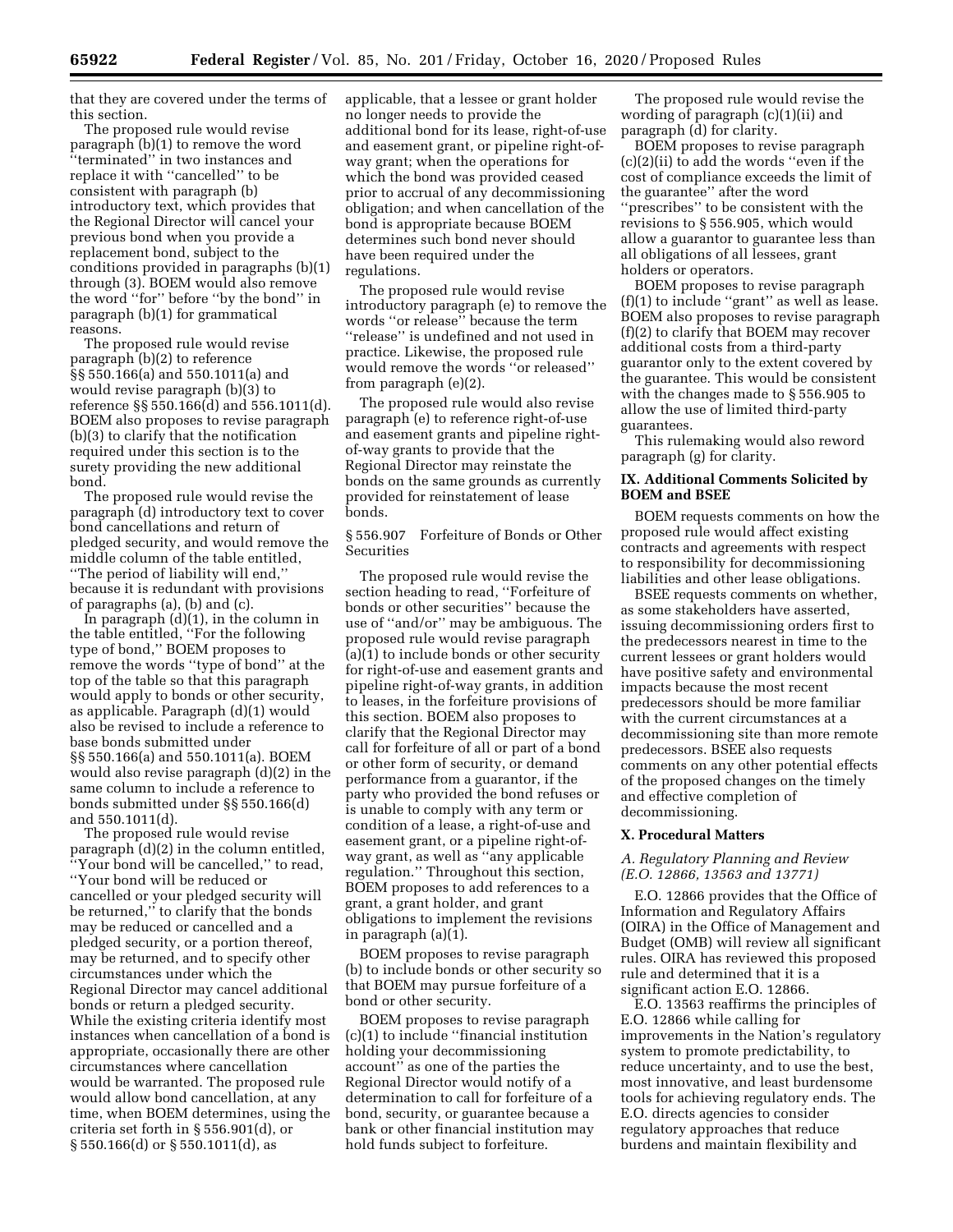that they are covered under the terms of this section.

The proposed rule would revise paragraph (b)(1) to remove the word ''terminated'' in two instances and replace it with ''cancelled'' to be consistent with paragraph (b) introductory text, which provides that the Regional Director will cancel your previous bond when you provide a replacement bond, subject to the conditions provided in paragraphs (b)(1) through (3). BOEM would also remove the word ''for'' before ''by the bond'' in paragraph (b)(1) for grammatical reasons.

The proposed rule would revise paragraph (b)(2) to reference §§ 550.166(a) and 550.1011(a) and would revise paragraph (b)(3) to reference §§ 550.166(d) and 556.1011(d). BOEM also proposes to revise paragraph (b)(3) to clarify that the notification required under this section is to the surety providing the new additional bond.

The proposed rule would revise the paragraph (d) introductory text to cover bond cancellations and return of pledged security, and would remove the middle column of the table entitled, ''The period of liability will end,'' because it is redundant with provisions of paragraphs (a), (b) and (c).

In paragraph (d)(1), in the column in the table entitled, ''For the following type of bond,'' BOEM proposes to remove the words ''type of bond'' at the top of the table so that this paragraph would apply to bonds or other security, as applicable. Paragraph (d)(1) would also be revised to include a reference to base bonds submitted under §§ 550.166(a) and 550.1011(a). BOEM would also revise paragraph (d)(2) in the same column to include a reference to bonds submitted under §§ 550.166(d) and 550.1011(d).

The proposed rule would revise paragraph (d)(2) in the column entitled, ''Your bond will be cancelled,'' to read, ''Your bond will be reduced or cancelled or your pledged security will be returned,'' to clarify that the bonds may be reduced or cancelled and a pledged security, or a portion thereof, may be returned, and to specify other circumstances under which the Regional Director may cancel additional bonds or return a pledged security. While the existing criteria identify most instances when cancellation of a bond is appropriate, occasionally there are other circumstances where cancellation would be warranted. The proposed rule would allow bond cancellation, at any time, when BOEM determines, using the criteria set forth in § 556.901(d), or § 550.166(d) or § 550.1011(d), as

applicable, that a lessee or grant holder no longer needs to provide the additional bond for its lease, right-of-use and easement grant, or pipeline right-ofway grant; when the operations for which the bond was provided ceased prior to accrual of any decommissioning obligation; and when cancellation of the bond is appropriate because BOEM determines such bond never should have been required under the regulations.

The proposed rule would revise introductory paragraph (e) to remove the words ''or release'' because the term ''release'' is undefined and not used in practice. Likewise, the proposed rule would remove the words ''or released'' from paragraph (e)(2).

The proposed rule would also revise paragraph (e) to reference right-of-use and easement grants and pipeline rightof-way grants to provide that the Regional Director may reinstate the bonds on the same grounds as currently provided for reinstatement of lease bonds.

§ 556.907 Forfeiture of Bonds or Other Securities

The proposed rule would revise the section heading to read, ''Forfeiture of bonds or other securities'' because the use of ''and/or'' may be ambiguous. The proposed rule would revise paragraph (a)(1) to include bonds or other security for right-of-use and easement grants and pipeline right-of-way grants, in addition to leases, in the forfeiture provisions of this section. BOEM also proposes to clarify that the Regional Director may call for forfeiture of all or part of a bond or other form of security, or demand performance from a guarantor, if the party who provided the bond refuses or is unable to comply with any term or condition of a lease, a right-of-use and easement grant, or a pipeline right-ofway grant, as well as ''any applicable regulation.'' Throughout this section, BOEM proposes to add references to a grant, a grant holder, and grant obligations to implement the revisions in paragraph (a)(1).

BOEM proposes to revise paragraph (b) to include bonds or other security so that BOEM may pursue forfeiture of a bond or other security.

BOEM proposes to revise paragraph (c)(1) to include ''financial institution holding your decommissioning account'' as one of the parties the Regional Director would notify of a determination to call for forfeiture of a bond, security, or guarantee because a bank or other financial institution may hold funds subject to forfeiture.

The proposed rule would revise the wording of paragraph (c)(1)(ii) and paragraph (d) for clarity.

BOEM proposes to revise paragraph (c)(2)(ii) to add the words ''even if the cost of compliance exceeds the limit of the guarantee'' after the word ''prescribes'' to be consistent with the revisions to § 556.905, which would allow a guarantor to guarantee less than all obligations of all lessees, grant holders or operators.

BOEM proposes to revise paragraph (f)(1) to include ''grant'' as well as lease. BOEM also proposes to revise paragraph (f)(2) to clarify that BOEM may recover additional costs from a third-party guarantor only to the extent covered by the guarantee. This would be consistent with the changes made to § 556.905 to allow the use of limited third-party guarantees.

This rulemaking would also reword paragraph (g) for clarity.

## **IX. Additional Comments Solicited by BOEM and BSEE**

BOEM requests comments on how the proposed rule would affect existing contracts and agreements with respect to responsibility for decommissioning liabilities and other lease obligations.

BSEE requests comments on whether, as some stakeholders have asserted, issuing decommissioning orders first to the predecessors nearest in time to the current lessees or grant holders would have positive safety and environmental impacts because the most recent predecessors should be more familiar with the current circumstances at a decommissioning site than more remote predecessors. BSEE also requests comments on any other potential effects of the proposed changes on the timely and effective completion of decommissioning.

# **X. Procedural Matters**

*A. Regulatory Planning and Review (E.O. 12866, 13563 and 13771)* 

E.O. 12866 provides that the Office of Information and Regulatory Affairs (OIRA) in the Office of Management and Budget (OMB) will review all significant rules. OIRA has reviewed this proposed rule and determined that it is a significant action E.O. 12866.

E.O. 13563 reaffirms the principles of E.O. 12866 while calling for improvements in the Nation's regulatory system to promote predictability, to reduce uncertainty, and to use the best, most innovative, and least burdensome tools for achieving regulatory ends. The E.O. directs agencies to consider regulatory approaches that reduce burdens and maintain flexibility and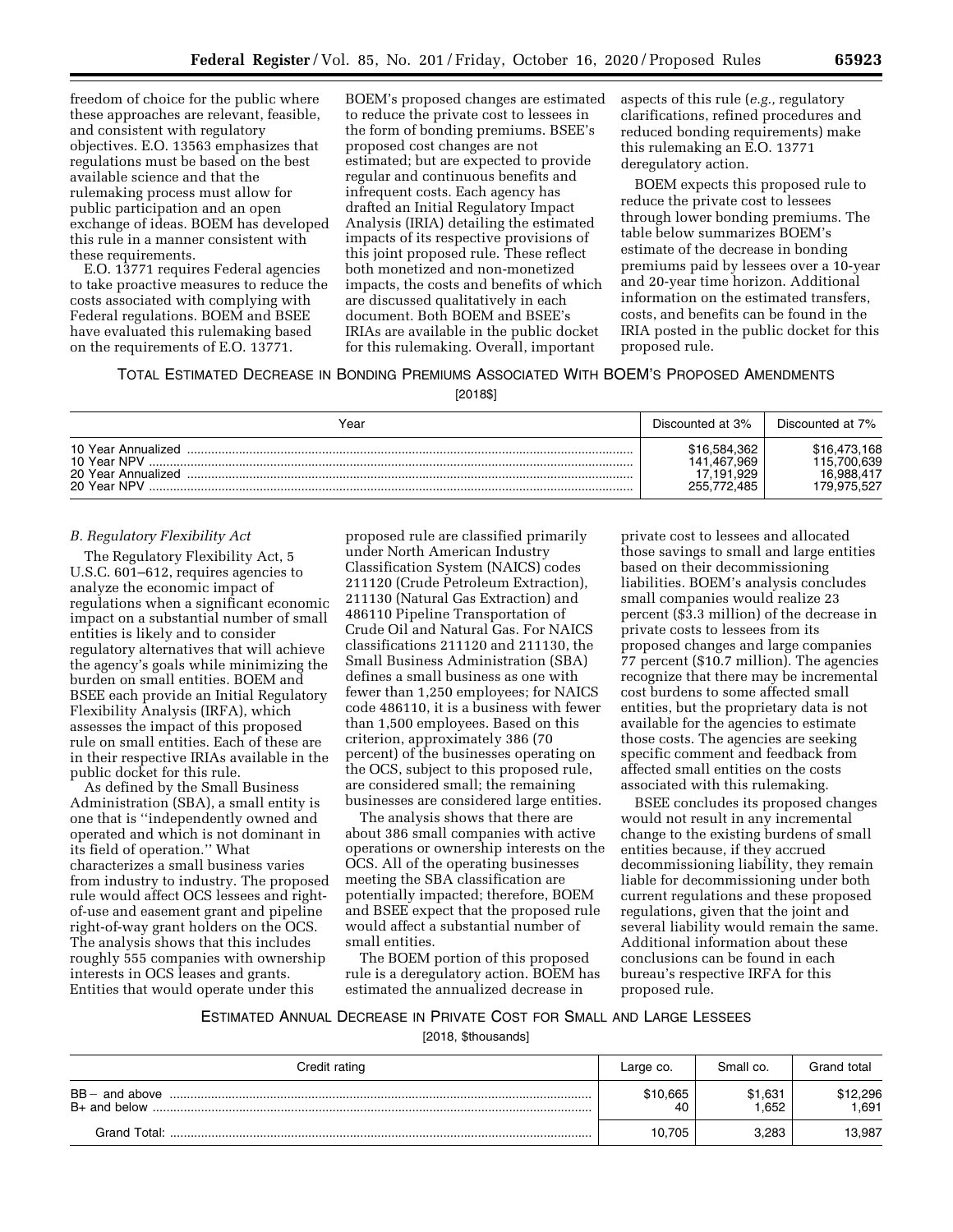freedom of choice for the public where these approaches are relevant, feasible, and consistent with regulatory objectives. E.O. 13563 emphasizes that regulations must be based on the best available science and that the rulemaking process must allow for public participation and an open exchange of ideas. BOEM has developed this rule in a manner consistent with these requirements.

E.O. 13771 requires Federal agencies to take proactive measures to reduce the costs associated with complying with Federal regulations. BOEM and BSEE have evaluated this rulemaking based on the requirements of E.O. 13771.

BOEM's proposed changes are estimated to reduce the private cost to lessees in the form of bonding premiums. BSEE's proposed cost changes are not estimated; but are expected to provide regular and continuous benefits and infrequent costs. Each agency has drafted an Initial Regulatory Impact Analysis (IRIA) detailing the estimated impacts of its respective provisions of this joint proposed rule. These reflect both monetized and non-monetized impacts, the costs and benefits of which are discussed qualitatively in each document. Both BOEM and BSEE's IRIAs are available in the public docket for this rulemaking. Overall, important

aspects of this rule (*e.g.,* regulatory clarifications, refined procedures and reduced bonding requirements) make this rulemaking an E.O. 13771 deregulatory action.

BOEM expects this proposed rule to reduce the private cost to lessees through lower bonding premiums. The table below summarizes BOEM's estimate of the decrease in bonding premiums paid by lessees over a 10-year and 20-year time horizon. Additional information on the estimated transfers, costs, and benefits can be found in the IRIA posted in the public docket for this proposed rule.

# TOTAL ESTIMATED DECREASE IN BONDING PREMIUMS ASSOCIATED WITH BOEM'S PROPOSED AMENDMENTS

[2018\$]

| Year                                                                   | Discounted at 3%                                         | Discounted at 7%                                         |
|------------------------------------------------------------------------|----------------------------------------------------------|----------------------------------------------------------|
| 10 Year Annualized<br>10 Year NPV<br>20 Year Annualized<br>20 Year NPV | \$16,584,362<br>141.467.969<br>17.191.929<br>255.772.485 | \$16,473,168<br>115.700.639<br>16.988.417<br>179.975.527 |

# *B. Regulatory Flexibility Act*

The Regulatory Flexibility Act, 5 U.S.C. 601–612, requires agencies to analyze the economic impact of regulations when a significant economic impact on a substantial number of small entities is likely and to consider regulatory alternatives that will achieve the agency's goals while minimizing the burden on small entities. BOEM and BSEE each provide an Initial Regulatory Flexibility Analysis (IRFA), which assesses the impact of this proposed rule on small entities. Each of these are in their respective IRIAs available in the public docket for this rule.

As defined by the Small Business Administration (SBA), a small entity is one that is ''independently owned and operated and which is not dominant in its field of operation.'' What characterizes a small business varies from industry to industry. The proposed rule would affect OCS lessees and rightof-use and easement grant and pipeline right-of-way grant holders on the OCS. The analysis shows that this includes roughly 555 companies with ownership interests in OCS leases and grants. Entities that would operate under this

proposed rule are classified primarily under North American Industry Classification System (NAICS) codes 211120 (Crude Petroleum Extraction), 211130 (Natural Gas Extraction) and 486110 Pipeline Transportation of Crude Oil and Natural Gas. For NAICS classifications 211120 and 211130, the Small Business Administration (SBA) defines a small business as one with fewer than 1,250 employees; for NAICS code 486110, it is a business with fewer than 1,500 employees. Based on this criterion, approximately 386 (70 percent) of the businesses operating on the OCS, subject to this proposed rule, are considered small; the remaining businesses are considered large entities.

The analysis shows that there are about 386 small companies with active operations or ownership interests on the OCS. All of the operating businesses meeting the SBA classification are potentially impacted; therefore, BOEM and BSEE expect that the proposed rule would affect a substantial number of small entities.

The BOEM portion of this proposed rule is a deregulatory action. BOEM has estimated the annualized decrease in

private cost to lessees and allocated those savings to small and large entities based on their decommissioning liabilities. BOEM's analysis concludes small companies would realize 23 percent (\$3.3 million) of the decrease in private costs to lessees from its proposed changes and large companies 77 percent (\$10.7 million). The agencies recognize that there may be incremental cost burdens to some affected small entities, but the proprietary data is not available for the agencies to estimate those costs. The agencies are seeking specific comment and feedback from affected small entities on the costs associated with this rulemaking.

BSEE concludes its proposed changes would not result in any incremental change to the existing burdens of small entities because, if they accrued decommissioning liability, they remain liable for decommissioning under both current regulations and these proposed regulations, given that the joint and several liability would remain the same. Additional information about these conclusions can be found in each bureau's respective IRFA for this proposed rule.

# ESTIMATED ANNUAL DECREASE IN PRIVATE COST FOR SMALL AND LARGE LESSEES

[2018, \$thousands]

| Credit rating    | Large co.      | Small co.         | Grand total      |
|------------------|----------------|-------------------|------------------|
| $BB -$ and above | \$10,665<br>40 | \$1,631<br>652. ا | \$12,296<br>.691 |
|                  | 10,705         | 3,283             | 13,987           |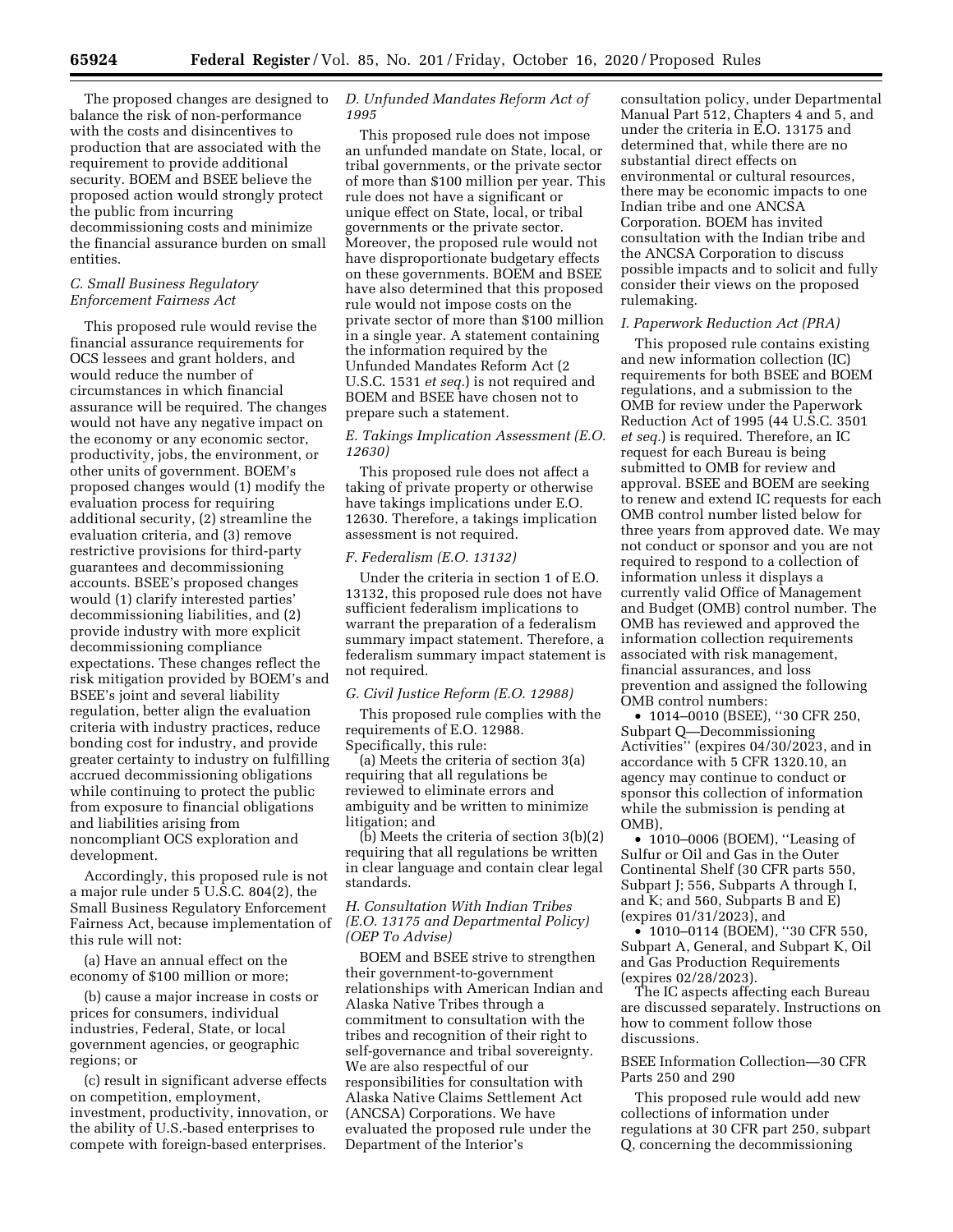The proposed changes are designed to balance the risk of non-performance with the costs and disincentives to production that are associated with the requirement to provide additional security. BOEM and BSEE believe the proposed action would strongly protect the public from incurring decommissioning costs and minimize the financial assurance burden on small entities.

# *C. Small Business Regulatory Enforcement Fairness Act*

This proposed rule would revise the financial assurance requirements for OCS lessees and grant holders, and would reduce the number of circumstances in which financial assurance will be required. The changes would not have any negative impact on the economy or any economic sector, productivity, jobs, the environment, or other units of government. BOEM's proposed changes would (1) modify the evaluation process for requiring additional security, (2) streamline the evaluation criteria, and (3) remove restrictive provisions for third-party guarantees and decommissioning accounts. BSEE's proposed changes would (1) clarify interested parties' decommissioning liabilities, and (2) provide industry with more explicit decommissioning compliance expectations. These changes reflect the risk mitigation provided by BOEM's and BSEE's joint and several liability regulation, better align the evaluation criteria with industry practices, reduce bonding cost for industry, and provide greater certainty to industry on fulfilling accrued decommissioning obligations while continuing to protect the public from exposure to financial obligations and liabilities arising from noncompliant OCS exploration and development.

Accordingly, this proposed rule is not a major rule under 5 U.S.C. 804(2), the Small Business Regulatory Enforcement Fairness Act, because implementation of this rule will not:

(a) Have an annual effect on the economy of \$100 million or more;

(b) cause a major increase in costs or prices for consumers, individual industries, Federal, State, or local government agencies, or geographic regions; or

(c) result in significant adverse effects on competition, employment, investment, productivity, innovation, or the ability of U.S.-based enterprises to compete with foreign-based enterprises.

# *D. Unfunded Mandates Reform Act of 1995*

This proposed rule does not impose an unfunded mandate on State, local, or tribal governments, or the private sector of more than \$100 million per year. This rule does not have a significant or unique effect on State, local, or tribal governments or the private sector. Moreover, the proposed rule would not have disproportionate budgetary effects on these governments. BOEM and BSEE have also determined that this proposed rule would not impose costs on the private sector of more than \$100 million in a single year. A statement containing the information required by the Unfunded Mandates Reform Act (2 U.S.C. 1531 *et seq.*) is not required and BOEM and BSEE have chosen not to prepare such a statement.

# *E. Takings Implication Assessment (E.O. 12630)*

This proposed rule does not affect a taking of private property or otherwise have takings implications under E.O. 12630. Therefore, a takings implication assessment is not required.

# *F. Federalism (E.O. 13132)*

Under the criteria in section 1 of E.O. 13132, this proposed rule does not have sufficient federalism implications to warrant the preparation of a federalism summary impact statement. Therefore, a federalism summary impact statement is not required.

### *G. Civil Justice Reform (E.O. 12988)*

This proposed rule complies with the requirements of E.O. 12988. Specifically, this rule:

(a) Meets the criteria of section 3(a) requiring that all regulations be reviewed to eliminate errors and ambiguity and be written to minimize litigation; and

(b) Meets the criteria of section 3(b)(2) requiring that all regulations be written in clear language and contain clear legal standards.

# *H. Consultation With Indian Tribes (E.O. 13175 and Departmental Policy) (OEP To Advise)*

BOEM and BSEE strive to strengthen their government-to-government relationships with American Indian and Alaska Native Tribes through a commitment to consultation with the tribes and recognition of their right to self-governance and tribal sovereignty. We are also respectful of our responsibilities for consultation with Alaska Native Claims Settlement Act (ANCSA) Corporations. We have evaluated the proposed rule under the Department of the Interior's

consultation policy, under Departmental Manual Part 512, Chapters 4 and 5, and under the criteria in E.O. 13175 and determined that, while there are no substantial direct effects on environmental or cultural resources, there may be economic impacts to one Indian tribe and one ANCSA Corporation. BOEM has invited consultation with the Indian tribe and the ANCSA Corporation to discuss possible impacts and to solicit and fully consider their views on the proposed rulemaking.

# *I. Paperwork Reduction Act (PRA)*

This proposed rule contains existing and new information collection (IC) requirements for both BSEE and BOEM regulations, and a submission to the OMB for review under the Paperwork Reduction Act of 1995 (44 U.S.C. 3501 *et seq.*) is required. Therefore, an IC request for each Bureau is being submitted to OMB for review and approval. BSEE and BOEM are seeking to renew and extend IC requests for each OMB control number listed below for three years from approved date. We may not conduct or sponsor and you are not required to respond to a collection of information unless it displays a currently valid Office of Management and Budget (OMB) control number. The OMB has reviewed and approved the information collection requirements associated with risk management, financial assurances, and loss prevention and assigned the following OMB control numbers:

• 1014–0010 (BSEE), ''30 CFR 250, Subpart Q—Decommissioning Activities'' (expires 04/30/2023, and in accordance with 5 CFR 1320.10, an agency may continue to conduct or sponsor this collection of information while the submission is pending at OMB),

• 1010–0006 (BOEM), ''Leasing of Sulfur or Oil and Gas in the Outer Continental Shelf (30 CFR parts 550, Subpart J; 556, Subparts A through I, and K; and 560, Subparts B and E) (expires 01/31/2023), and

• 1010–0114 (BOEM), ''30 CFR 550, Subpart A, General, and Subpart K, Oil and Gas Production Requirements (expires 02/28/2023).

The IC aspects affecting each Bureau are discussed separately. Instructions on how to comment follow those discussions.

# BSEE Information Collection—30 CFR Parts 250 and 290

This proposed rule would add new collections of information under regulations at 30 CFR part 250, subpart Q, concerning the decommissioning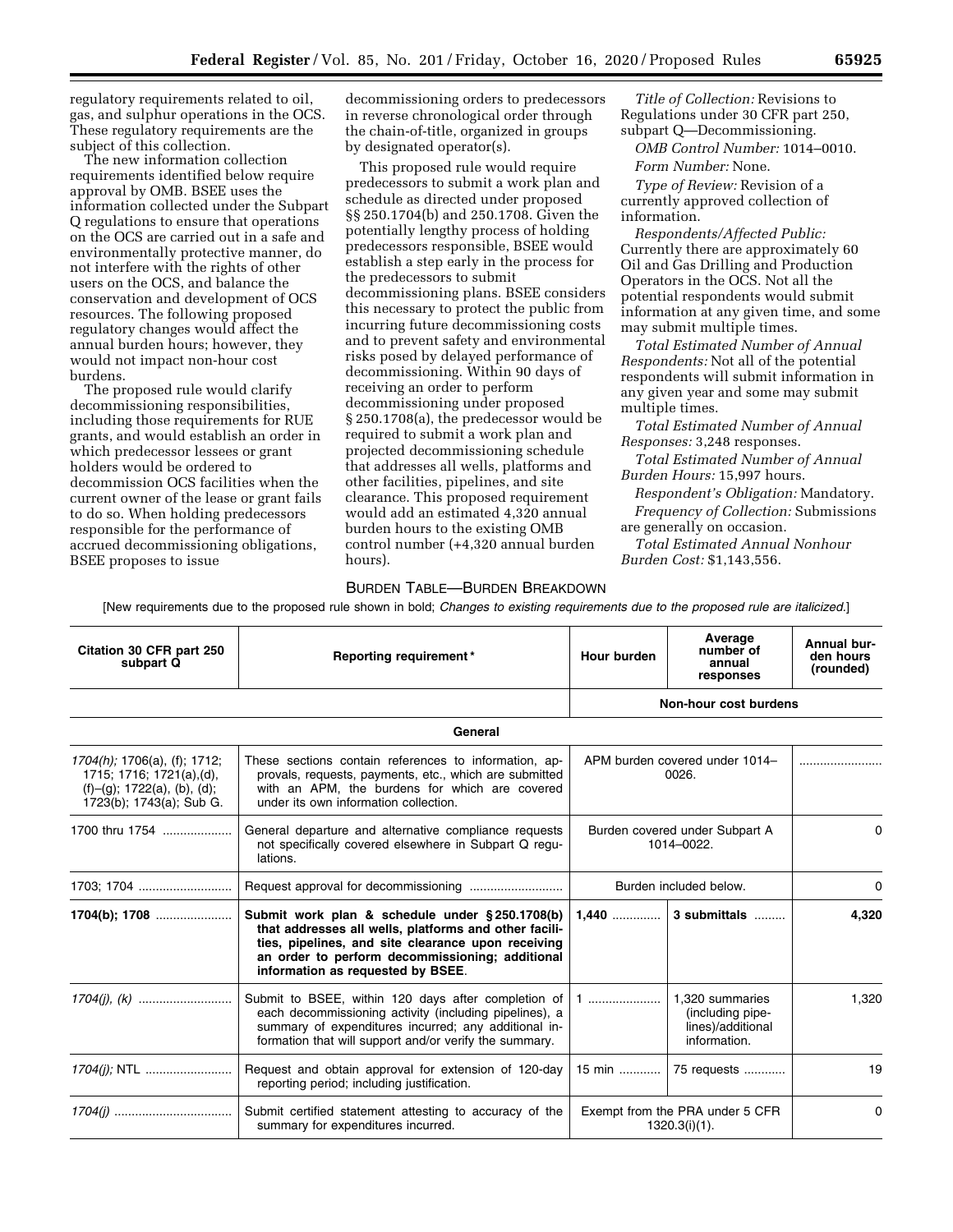regulatory requirements related to oil, gas, and sulphur operations in the OCS. These regulatory requirements are the subject of this collection.

The new information collection requirements identified below require approval by OMB. BSEE uses the information collected under the Subpart Q regulations to ensure that operations on the OCS are carried out in a safe and environmentally protective manner, do not interfere with the rights of other users on the OCS, and balance the conservation and development of OCS resources. The following proposed regulatory changes would affect the annual burden hours; however, they would not impact non-hour cost burdens.

The proposed rule would clarify decommissioning responsibilities, including those requirements for RUE grants, and would establish an order in which predecessor lessees or grant holders would be ordered to decommission OCS facilities when the current owner of the lease or grant fails to do so. When holding predecessors responsible for the performance of accrued decommissioning obligations, BSEE proposes to issue

decommissioning orders to predecessors in reverse chronological order through the chain-of-title, organized in groups by designated operator(s).

This proposed rule would require predecessors to submit a work plan and schedule as directed under proposed §§ 250.1704(b) and 250.1708. Given the potentially lengthy process of holding predecessors responsible, BSEE would establish a step early in the process for the predecessors to submit decommissioning plans. BSEE considers this necessary to protect the public from incurring future decommissioning costs and to prevent safety and environmental risks posed by delayed performance of decommissioning. Within 90 days of receiving an order to perform decommissioning under proposed § 250.1708(a), the predecessor would be required to submit a work plan and projected decommissioning schedule that addresses all wells, platforms and other facilities, pipelines, and site clearance. This proposed requirement would add an estimated 4,320 annual burden hours to the existing OMB control number (+4,320 annual burden hours).

*Title of Collection:* Revisions to Regulations under 30 CFR part 250, subpart Q—Decommissioning.

*OMB Control Number:* 1014–0010. *Form Number:* None.

*Type of Review:* Revision of a currently approved collection of information.

*Respondents/Affected Public:*  Currently there are approximately 60 Oil and Gas Drilling and Production Operators in the OCS. Not all the potential respondents would submit information at any given time, and some may submit multiple times.

*Total Estimated Number of Annual Respondents:* Not all of the potential respondents will submit information in any given year and some may submit multiple times.

*Total Estimated Number of Annual Responses:* 3,248 responses.

*Total Estimated Number of Annual Burden Hours:* 15,997 hours.

*Respondent's Obligation:* Mandatory. *Frequency of Collection:* Submissions are generally on occasion.

*Total Estimated Annual Nonhour Burden Cost:* \$1,143,556.

### BURDEN TABLE—BURDEN BREAKDOWN

[New requirements due to the proposed rule shown in bold; *Changes to existing requirements due to the proposed rule are italicized.*]

| Citation 30 CFR part 250<br>subpart Q                                                                                                                                                                                                                                                | Reporting requirement*                                                                                                                                                                                     | Hour burden                                              | Average<br>number of<br>annual<br>responses         | Annual bur-<br>den hours<br>(rounded) |
|--------------------------------------------------------------------------------------------------------------------------------------------------------------------------------------------------------------------------------------------------------------------------------------|------------------------------------------------------------------------------------------------------------------------------------------------------------------------------------------------------------|----------------------------------------------------------|-----------------------------------------------------|---------------------------------------|
|                                                                                                                                                                                                                                                                                      |                                                                                                                                                                                                            |                                                          | Non-hour cost burdens                               |                                       |
|                                                                                                                                                                                                                                                                                      | General                                                                                                                                                                                                    |                                                          |                                                     |                                       |
| $1704(h)$ ; 1706(a), (f); 1712;<br>1715; 1716; 1721(a),(d),<br>$(f)-(g)$ ; 1722(a), (b), (d);<br>1723(b); 1743(a); Sub G.                                                                                                                                                            | These sections contain references to information, ap-<br>provals, requests, payments, etc., which are submitted<br>with an APM, the burdens for which are covered<br>under its own information collection. | APM burden covered under 1014-<br>0026.                  |                                                     |                                       |
| 1700 thru 1754                                                                                                                                                                                                                                                                       | General departure and alternative compliance requests<br>not specifically covered elsewhere in Subpart Q regu-<br>lations.                                                                                 | Burden covered under Subpart A<br>1014-0022.             |                                                     | 0                                     |
| 1703; 1704                                                                                                                                                                                                                                                                           |                                                                                                                                                                                                            | Burden included below.                                   |                                                     | 0                                     |
| $1704(b)$ ; 1708<br>Submit work plan & schedule under §250.1708(b)<br>$1.440$<br>that addresses all wells, platforms and other facili-<br>ties, pipelines, and site clearance upon receiving<br>an order to perform decommissioning; additional<br>information as requested by BSEE. |                                                                                                                                                                                                            | 3 submittals                                             | 4,320                                               |                                       |
| Submit to BSEE, within 120 days after completion of<br>1<br>each decommissioning activity (including pipelines), a<br>summary of expenditures incurred; any additional in-<br>information.<br>formation that will support and/or verify the summary.                                 |                                                                                                                                                                                                            | 1.320 summaries<br>(including pipe-<br>lines)/additional | 1,320                                               |                                       |
| 1704(j); NTL                                                                                                                                                                                                                                                                         | Request and obtain approval for extension of 120-day<br>reporting period; including justification.                                                                                                         | 15 min                                                   | 75 requests                                         | 19                                    |
|                                                                                                                                                                                                                                                                                      | Submit certified statement attesting to accuracy of the<br>summary for expenditures incurred.                                                                                                              |                                                          | Exempt from the PRA under 5 CFR<br>$1320.3(i)(1)$ . | 0                                     |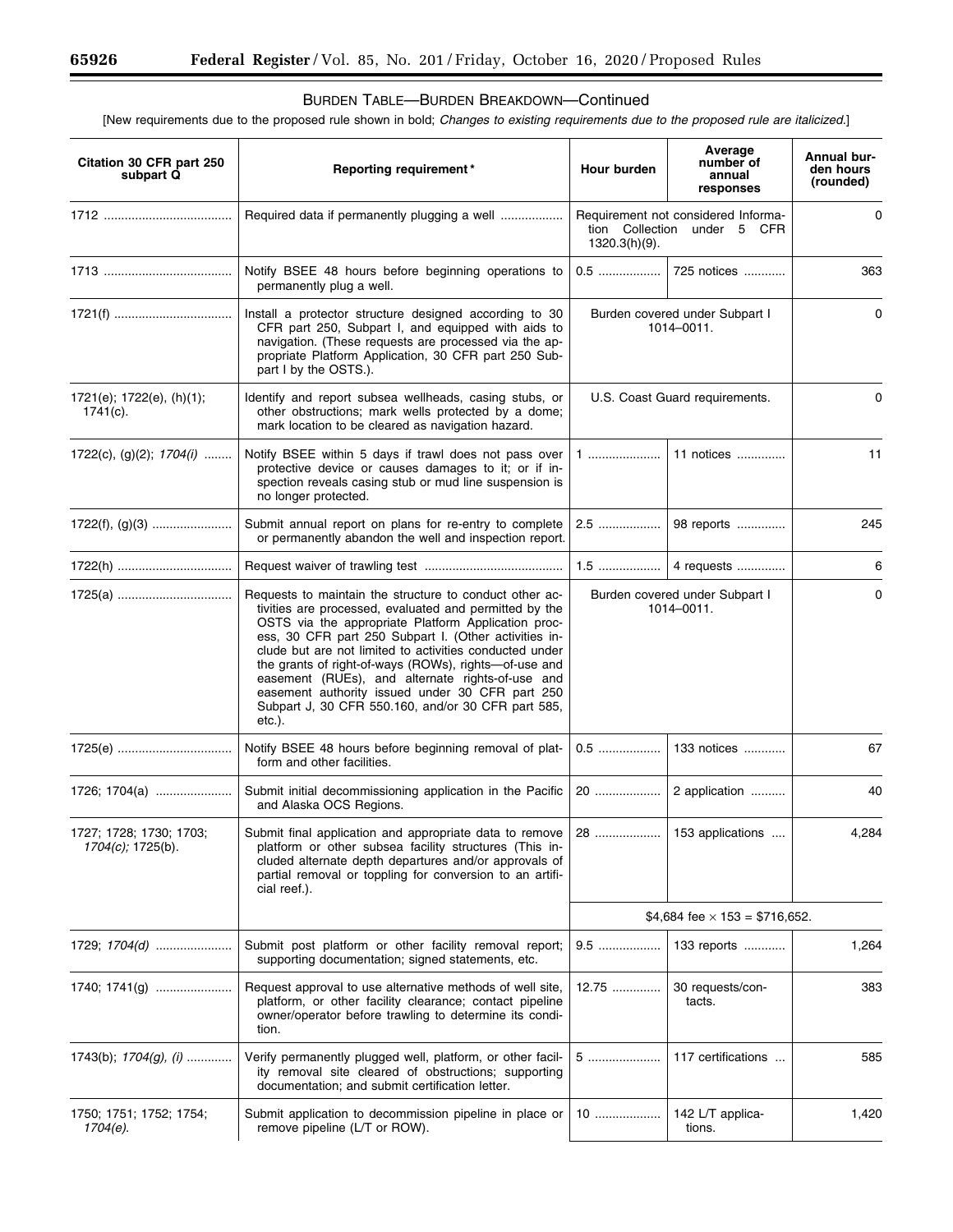۳

# BURDEN TABLE—BURDEN BREAKDOWN—Continued

[New requirements due to the proposed rule shown in bold; *Changes to existing requirements due to the proposed rule are italicized.*]

| Citation 30 CFR part 250<br>subpart Q        | Reporting requirement*                                                                                                                                                                                                                                                                                                                                                                                                                                                                                                       | Hour burden                                                                         | Average<br>number of<br>annual<br>responses | <b>Annual bur-</b><br>den hours<br>(rounded) |
|----------------------------------------------|------------------------------------------------------------------------------------------------------------------------------------------------------------------------------------------------------------------------------------------------------------------------------------------------------------------------------------------------------------------------------------------------------------------------------------------------------------------------------------------------------------------------------|-------------------------------------------------------------------------------------|---------------------------------------------|----------------------------------------------|
|                                              |                                                                                                                                                                                                                                                                                                                                                                                                                                                                                                                              | Requirement not considered Informa-<br>tion Collection under 5 CFR<br>1320.3(h)(9). |                                             | 0                                            |
|                                              | Notify BSEE 48 hours before beginning operations to<br>permanently plug a well.                                                                                                                                                                                                                                                                                                                                                                                                                                              |                                                                                     | 0.5  725 notices                            | 363                                          |
|                                              | Install a protector structure designed according to 30<br>CFR part 250, Subpart I, and equipped with aids to<br>navigation. (These requests are processed via the ap-<br>propriate Platform Application, 30 CFR part 250 Sub-<br>part I by the OSTS.).                                                                                                                                                                                                                                                                       | Burden covered under Subpart I<br>1014-0011.                                        |                                             | 0                                            |
| 1721(e); 1722(e), (h)(1);<br>$1741(c)$ .     | Identify and report subsea wellheads, casing stubs, or<br>other obstructions; mark wells protected by a dome;<br>mark location to be cleared as navigation hazard.                                                                                                                                                                                                                                                                                                                                                           | U.S. Coast Guard requirements.                                                      |                                             | 0                                            |
| 1722(c), (g)(2); $1704(i)$                   | Notify BSEE within 5 days if trawl does not pass over<br>protective device or causes damages to it; or if in-<br>spection reveals casing stub or mud line suspension is<br>no longer protected.                                                                                                                                                                                                                                                                                                                              |                                                                                     | 11 notices                                  | 11                                           |
|                                              | Submit annual report on plans for re-entry to complete<br>or permanently abandon the well and inspection report.                                                                                                                                                                                                                                                                                                                                                                                                             | 2.5                                                                                 | 98 reports                                  | 245                                          |
| 1722(h)                                      |                                                                                                                                                                                                                                                                                                                                                                                                                                                                                                                              |                                                                                     |                                             | 6                                            |
|                                              | Requests to maintain the structure to conduct other ac-<br>tivities are processed, evaluated and permitted by the<br>OSTS via the appropriate Platform Application proc-<br>ess, 30 CFR part 250 Subpart I. (Other activities in-<br>clude but are not limited to activities conducted under<br>the grants of right-of-ways (ROWs), rights-of-use and<br>easement (RUEs), and alternate rights-of-use and<br>easement authority issued under 30 CFR part 250<br>Subpart J, 30 CFR 550.160, and/or 30 CFR part 585,<br>etc.). | Burden covered under Subpart I<br>1014-0011.                                        |                                             | 0                                            |
| 1725(e)                                      | Notify BSEE 48 hours before beginning removal of plat-<br>form and other facilities.                                                                                                                                                                                                                                                                                                                                                                                                                                         | $0.5$                                                                               | 133 notices                                 | 67                                           |
|                                              | Submit initial decommissioning application in the Pacific<br>and Alaska OCS Regions.                                                                                                                                                                                                                                                                                                                                                                                                                                         |                                                                                     | 2 application                               | 40                                           |
| 1727; 1728; 1730; 1703;<br>1704(c); 1725(b). | Submit final application and appropriate data to remove   28<br>platform or other subsea facility structures (This in-<br>cluded alternate depth departures and/or approvals of<br>partial removal or toppling for conversion to an artifi-<br>cial reef.).                                                                                                                                                                                                                                                                  |                                                                                     | 153 applications                            | 4,284                                        |
|                                              |                                                                                                                                                                                                                                                                                                                                                                                                                                                                                                                              | \$4,684 fee $\times$ 153 = \$716,652.                                               |                                             |                                              |
| 1729; $1704(d)$                              | Submit post platform or other facility removal report;<br>supporting documentation; signed statements, etc.                                                                                                                                                                                                                                                                                                                                                                                                                  | 9.5                                                                                 | 133 reports                                 | 1,264                                        |
|                                              | Request approval to use alternative methods of well site,<br>platform, or other facility clearance; contact pipeline<br>owner/operator before trawling to determine its condi-<br>tion.                                                                                                                                                                                                                                                                                                                                      | 12.75                                                                               | 30 requests/con-<br>tacts.                  | 383                                          |
| 1743(b); $1704(g)$ , (i)                     | Verify permanently plugged well, platform, or other facil-<br>ity removal site cleared of obstructions; supporting<br>documentation; and submit certification letter.                                                                                                                                                                                                                                                                                                                                                        | 5                                                                                   | 117 certifications                          | 585                                          |
| 1750; 1751; 1752; 1754;<br>1704(e).          | Submit application to decommission pipeline in place or<br>remove pipeline (L/T or ROW).                                                                                                                                                                                                                                                                                                                                                                                                                                     | 10                                                                                  | 142 L/T applica-<br>tions.                  | 1,420                                        |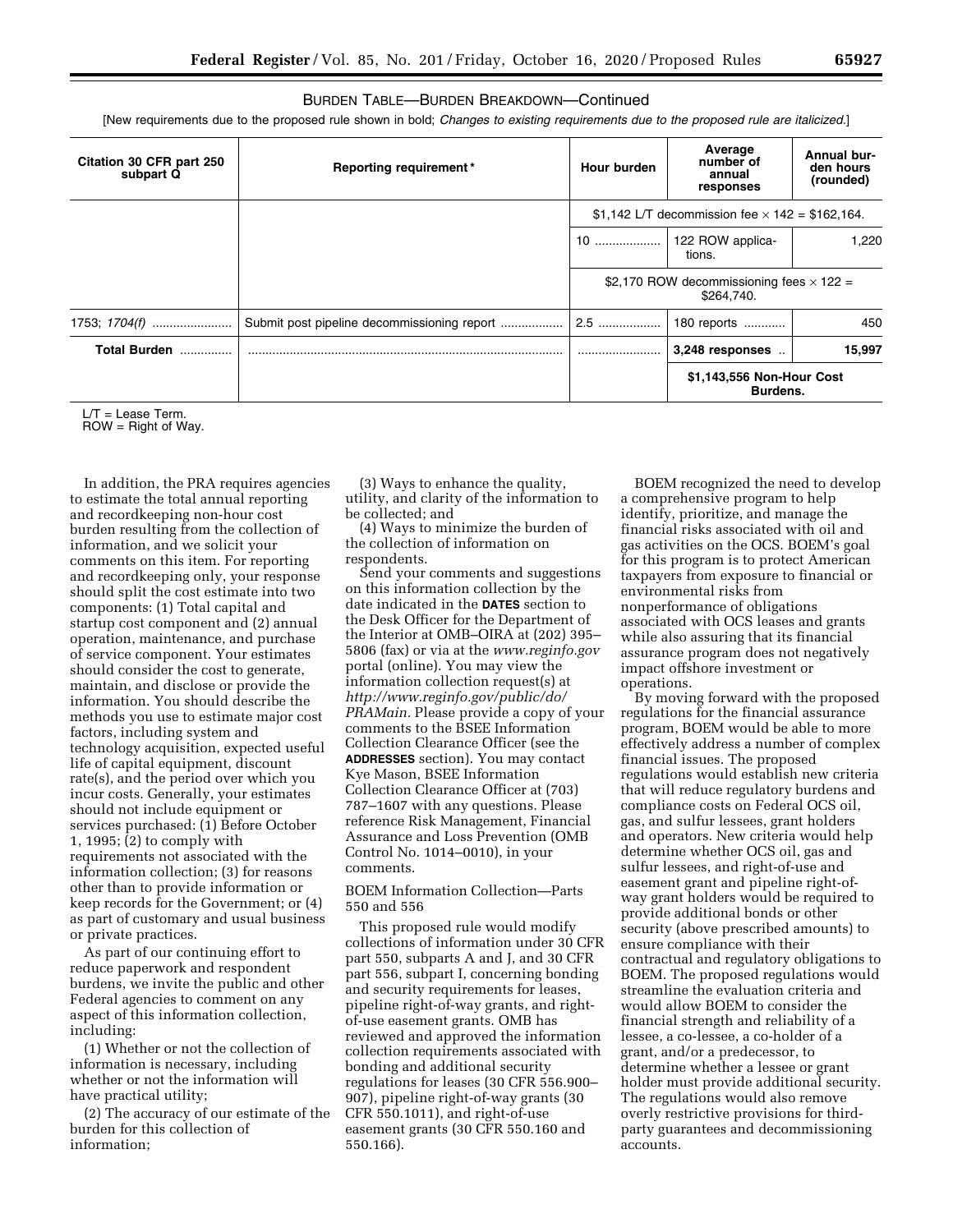# BURDEN TABLE—BURDEN BREAKDOWN—Continued

[New requirements due to the proposed rule shown in bold; *Changes to existing requirements due to the proposed rule are italicized.*]

| Citation 30 CFR part 250<br>subpart Q | <b>Reporting requirement*</b> | Hour burden | Average<br>number of<br>annual<br>responses                   | <b>Annual bur-</b><br>den hours<br>(rounded) |
|---------------------------------------|-------------------------------|-------------|---------------------------------------------------------------|----------------------------------------------|
|                                       |                               |             | \$1,142 L/T decommission fee $\times$ 142 = \$162,164.        |                                              |
|                                       |                               | 10          | 122 ROW applica-<br>tions.                                    | 1.220                                        |
|                                       |                               |             | \$2,170 ROW decommissioning fees $\times$ 122 =<br>\$264,740. |                                              |
| 1753; 1704(f)                         |                               | $2.5$       | 180 reports                                                   | 450                                          |
| <b>Total Burden</b>                   |                               |             | 3,248 responses                                               | 15,997                                       |
|                                       |                               |             | \$1,143,556 Non-Hour Cost<br>Burdens.                         |                                              |

 $L/T =$  Lease Term.

 $ROW = Right of Way.$ 

In addition, the PRA requires agencies to estimate the total annual reporting and recordkeeping non-hour cost burden resulting from the collection of information, and we solicit your comments on this item. For reporting and recordkeeping only, your response should split the cost estimate into two components: (1) Total capital and startup cost component and (2) annual operation, maintenance, and purchase of service component. Your estimates should consider the cost to generate, maintain, and disclose or provide the information. You should describe the methods you use to estimate major cost factors, including system and technology acquisition, expected useful life of capital equipment, discount rate(s), and the period over which you incur costs. Generally, your estimates should not include equipment or services purchased: (1) Before October 1, 1995; (2) to comply with requirements not associated with the information collection; (3) for reasons other than to provide information or keep records for the Government; or (4) as part of customary and usual business or private practices.

As part of our continuing effort to reduce paperwork and respondent burdens, we invite the public and other Federal agencies to comment on any aspect of this information collection, including:

(1) Whether or not the collection of information is necessary, including whether or not the information will have practical utility;

(2) The accuracy of our estimate of the burden for this collection of information;

(3) Ways to enhance the quality, utility, and clarity of the information to be collected; and

(4) Ways to minimize the burden of the collection of information on respondents.

Send your comments and suggestions on this information collection by the date indicated in the **DATES** section to the Desk Officer for the Department of the Interior at OMB–OIRA at (202) 395– 5806 (fax) or via at the *[www.reginfo.gov](http://www.reginfo.gov)*  portal (online). You may view the information collection request(s) at *[http://www.reginfo.gov/public/do/](http://www.reginfo.gov/public/do/PRAMain) [PRAMain.](http://www.reginfo.gov/public/do/PRAMain)* Please provide a copy of your comments to the BSEE Information Collection Clearance Officer (see the **ADDRESSES** section). You may contact Kye Mason, BSEE Information Collection Clearance Officer at (703) 787–1607 with any questions. Please reference Risk Management, Financial Assurance and Loss Prevention (OMB Control No. 1014–0010), in your comments.

BOEM Information Collection—Parts 550 and 556

This proposed rule would modify collections of information under 30 CFR part 550, subparts A and J, and 30 CFR part 556, subpart I, concerning bonding and security requirements for leases, pipeline right-of-way grants, and rightof-use easement grants. OMB has reviewed and approved the information collection requirements associated with bonding and additional security regulations for leases (30 CFR 556.900– 907), pipeline right-of-way grants (30 CFR 550.1011), and right-of-use easement grants (30 CFR 550.160 and 550.166).

BOEM recognized the need to develop a comprehensive program to help identify, prioritize, and manage the financial risks associated with oil and gas activities on the OCS. BOEM's goal for this program is to protect American taxpayers from exposure to financial or environmental risks from nonperformance of obligations associated with OCS leases and grants while also assuring that its financial assurance program does not negatively impact offshore investment or operations.

By moving forward with the proposed regulations for the financial assurance program, BOEM would be able to more effectively address a number of complex financial issues. The proposed regulations would establish new criteria that will reduce regulatory burdens and compliance costs on Federal OCS oil, gas, and sulfur lessees, grant holders and operators. New criteria would help determine whether OCS oil, gas and sulfur lessees, and right-of-use and easement grant and pipeline right-ofway grant holders would be required to provide additional bonds or other security (above prescribed amounts) to ensure compliance with their contractual and regulatory obligations to BOEM. The proposed regulations would streamline the evaluation criteria and would allow BOEM to consider the financial strength and reliability of a lessee, a co-lessee, a co-holder of a grant, and/or a predecessor, to determine whether a lessee or grant holder must provide additional security. The regulations would also remove overly restrictive provisions for thirdparty guarantees and decommissioning accounts.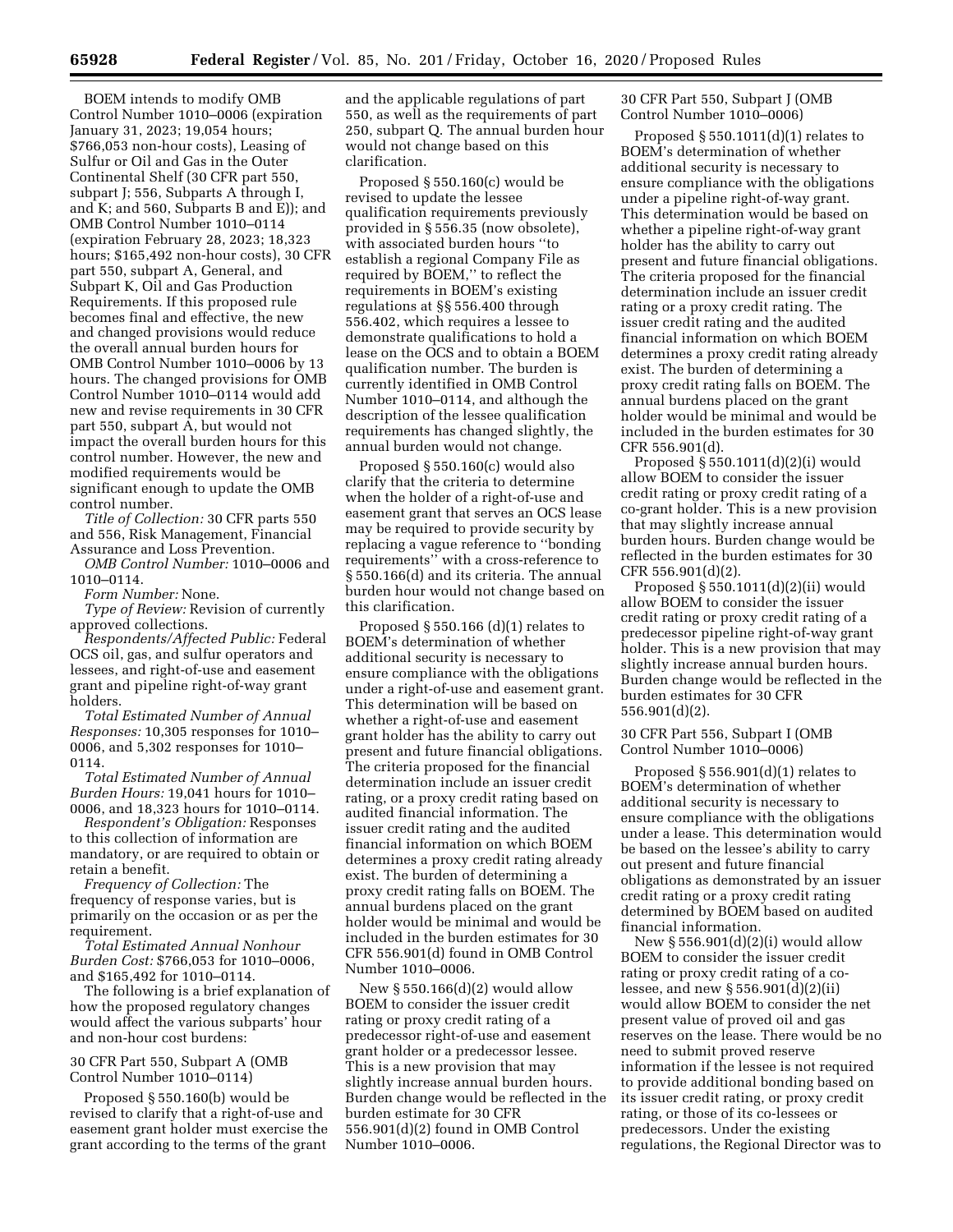BOEM intends to modify OMB Control Number 1010–0006 (expiration January 31, 2023; 19,054 hours; \$766,053 non-hour costs), Leasing of Sulfur or Oil and Gas in the Outer Continental Shelf (30 CFR part 550, subpart J; 556, Subparts A through I, and K; and 560, Subparts B and E)); and OMB Control Number 1010–0114 (expiration February 28, 2023; 18,323 hours; \$165,492 non-hour costs), 30 CFR part 550, subpart A, General, and Subpart K, Oil and Gas Production Requirements. If this proposed rule becomes final and effective, the new and changed provisions would reduce the overall annual burden hours for OMB Control Number 1010–0006 by 13 hours. The changed provisions for OMB Control Number 1010–0114 would add new and revise requirements in 30 CFR part 550, subpart A, but would not impact the overall burden hours for this control number. However, the new and modified requirements would be significant enough to update the OMB control number.

*Title of Collection:* 30 CFR parts 550 and 556, Risk Management, Financial Assurance and Loss Prevention.

*OMB Control Number:* 1010–0006 and 1010–0114.

*Form Number:* None.

*Type of Review:* Revision of currently approved collections.

*Respondents/Affected Public:* Federal OCS oil, gas, and sulfur operators and lessees, and right-of-use and easement grant and pipeline right-of-way grant holders.

*Total Estimated Number of Annual Responses:* 10,305 responses for 1010– 0006, and 5,302 responses for 1010– 0114.

*Total Estimated Number of Annual Burden Hours:* 19,041 hours for 1010– 0006, and 18,323 hours for 1010–0114.

*Respondent's Obligation:* Responses to this collection of information are mandatory, or are required to obtain or retain a benefit.

*Frequency of Collection:* The frequency of response varies, but is primarily on the occasion or as per the requirement.

*Total Estimated Annual Nonhour Burden Cost:* \$766,053 for 1010–0006, and \$165,492 for 1010–0114.

The following is a brief explanation of how the proposed regulatory changes would affect the various subparts' hour and non-hour cost burdens:

# 30 CFR Part 550, Subpart A (OMB Control Number 1010–0114)

Proposed § 550.160(b) would be revised to clarify that a right-of-use and easement grant holder must exercise the grant according to the terms of the grant

and the applicable regulations of part 550, as well as the requirements of part 250, subpart Q. The annual burden hour would not change based on this clarification.

Proposed § 550.160(c) would be revised to update the lessee qualification requirements previously provided in § 556.35 (now obsolete), with associated burden hours ''to establish a regional Company File as required by BOEM,'' to reflect the requirements in BOEM's existing regulations at §§ 556.400 through 556.402, which requires a lessee to demonstrate qualifications to hold a lease on the OCS and to obtain a BOEM qualification number. The burden is currently identified in OMB Control Number 1010–0114, and although the description of the lessee qualification requirements has changed slightly, the annual burden would not change.

Proposed § 550.160(c) would also clarify that the criteria to determine when the holder of a right-of-use and easement grant that serves an OCS lease may be required to provide security by replacing a vague reference to ''bonding requirements'' with a cross-reference to § 550.166(d) and its criteria. The annual burden hour would not change based on this clarification.

Proposed  $\S$  550.166 (d)(1) relates to BOEM's determination of whether additional security is necessary to ensure compliance with the obligations under a right-of-use and easement grant. This determination will be based on whether a right-of-use and easement grant holder has the ability to carry out present and future financial obligations. The criteria proposed for the financial determination include an issuer credit rating, or a proxy credit rating based on audited financial information. The issuer credit rating and the audited financial information on which BOEM determines a proxy credit rating already exist. The burden of determining a proxy credit rating falls on BOEM. The annual burdens placed on the grant holder would be minimal and would be included in the burden estimates for 30 CFR 556.901(d) found in OMB Control Number 1010–0006.

New § 550.166(d)(2) would allow BOEM to consider the issuer credit rating or proxy credit rating of a predecessor right-of-use and easement grant holder or a predecessor lessee. This is a new provision that may slightly increase annual burden hours. Burden change would be reflected in the burden estimate for 30 CFR 556.901(d)(2) found in OMB Control Number 1010–0006.

30 CFR Part 550, Subpart J (OMB Control Number 1010–0006)

Proposed  $§ 550.1011(d)(1)$  relates to BOEM's determination of whether additional security is necessary to ensure compliance with the obligations under a pipeline right-of-way grant. This determination would be based on whether a pipeline right-of-way grant holder has the ability to carry out present and future financial obligations. The criteria proposed for the financial determination include an issuer credit rating or a proxy credit rating. The issuer credit rating and the audited financial information on which BOEM determines a proxy credit rating already exist. The burden of determining a proxy credit rating falls on BOEM. The annual burdens placed on the grant holder would be minimal and would be included in the burden estimates for 30 CFR 556.901(d).

Proposed § 550.1011(d)(2)(i) would allow BOEM to consider the issuer credit rating or proxy credit rating of a co-grant holder. This is a new provision that may slightly increase annual burden hours. Burden change would be reflected in the burden estimates for 30 CFR 556.901(d)(2).

Proposed § 550.1011(d)(2)(ii) would allow BOEM to consider the issuer credit rating or proxy credit rating of a predecessor pipeline right-of-way grant holder. This is a new provision that may slightly increase annual burden hours. Burden change would be reflected in the burden estimates for 30 CFR 556.901(d)(2).

# 30 CFR Part 556, Subpart I (OMB Control Number 1010–0006)

Proposed  $\S 556.901(d)(1)$  relates to BOEM's determination of whether additional security is necessary to ensure compliance with the obligations under a lease. This determination would be based on the lessee's ability to carry out present and future financial obligations as demonstrated by an issuer credit rating or a proxy credit rating determined by BOEM based on audited financial information.

New § 556.901(d)(2)(i) would allow BOEM to consider the issuer credit rating or proxy credit rating of a colessee, and new § 556.901(d)(2)(ii) would allow BOEM to consider the net present value of proved oil and gas reserves on the lease. There would be no need to submit proved reserve information if the lessee is not required to provide additional bonding based on its issuer credit rating, or proxy credit rating, or those of its co-lessees or predecessors. Under the existing regulations, the Regional Director was to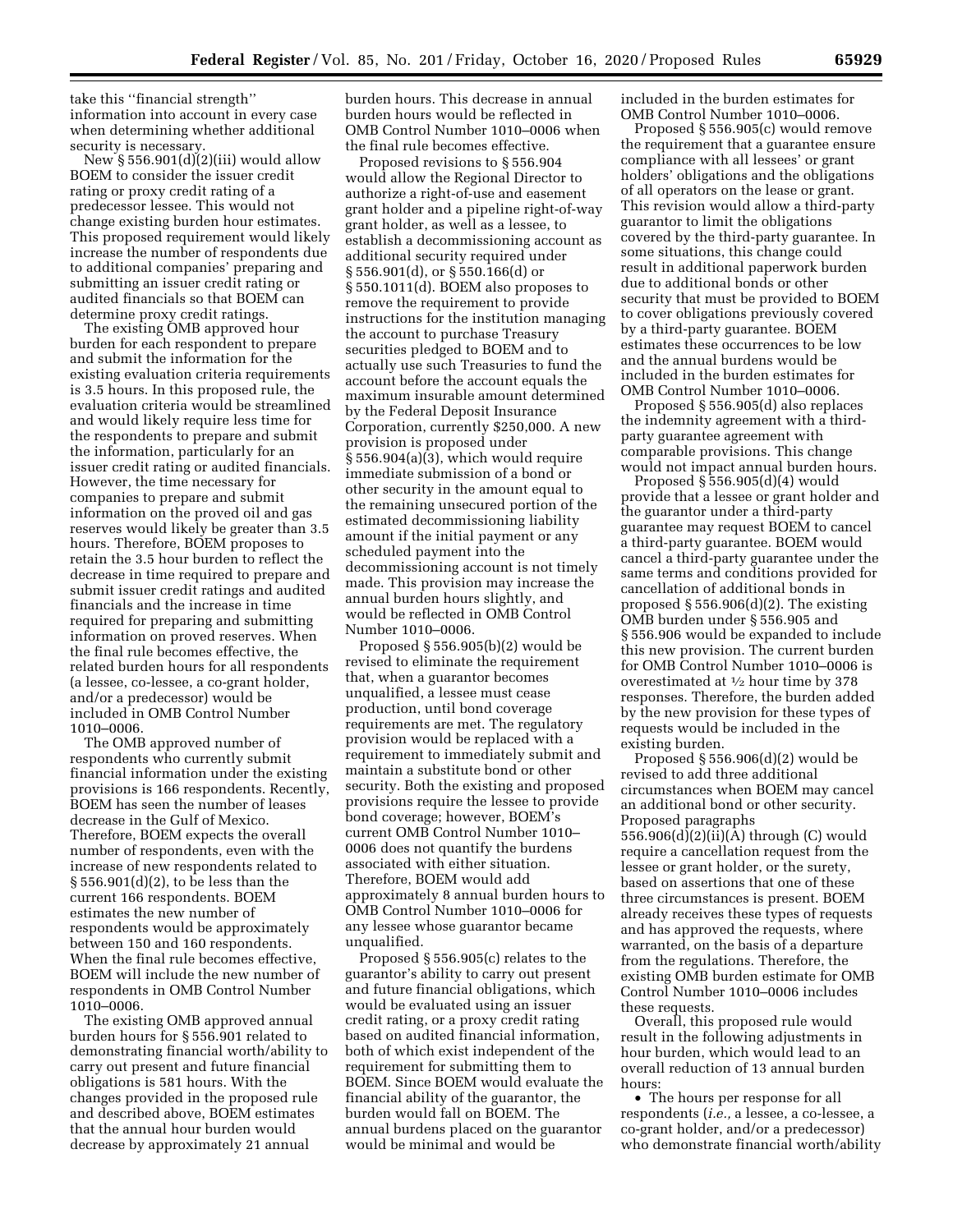take this ''financial strength'' information into account in every case when determining whether additional security is necessary.

New  $\S 556.901(d)(2)(iii)$  would allow BOEM to consider the issuer credit rating or proxy credit rating of a predecessor lessee. This would not change existing burden hour estimates. This proposed requirement would likely increase the number of respondents due to additional companies' preparing and submitting an issuer credit rating or audited financials so that BOEM can determine proxy credit ratings.

The existing OMB approved hour burden for each respondent to prepare and submit the information for the existing evaluation criteria requirements is 3.5 hours. In this proposed rule, the evaluation criteria would be streamlined and would likely require less time for the respondents to prepare and submit the information, particularly for an issuer credit rating or audited financials. However, the time necessary for companies to prepare and submit information on the proved oil and gas reserves would likely be greater than 3.5 hours. Therefore, BOEM proposes to retain the 3.5 hour burden to reflect the decrease in time required to prepare and submit issuer credit ratings and audited financials and the increase in time required for preparing and submitting information on proved reserves. When the final rule becomes effective, the related burden hours for all respondents (a lessee, co-lessee, a co-grant holder, and/or a predecessor) would be included in OMB Control Number 1010–0006.

The OMB approved number of respondents who currently submit financial information under the existing provisions is 166 respondents. Recently, BOEM has seen the number of leases decrease in the Gulf of Mexico. Therefore, BOEM expects the overall number of respondents, even with the increase of new respondents related to § 556.901(d)(2), to be less than the current 166 respondents. BOEM estimates the new number of respondents would be approximately between 150 and 160 respondents. When the final rule becomes effective, BOEM will include the new number of respondents in OMB Control Number 1010–0006.

The existing OMB approved annual burden hours for § 556.901 related to demonstrating financial worth/ability to carry out present and future financial obligations is 581 hours. With the changes provided in the proposed rule and described above, BOEM estimates that the annual hour burden would decrease by approximately 21 annual

burden hours. This decrease in annual burden hours would be reflected in OMB Control Number 1010–0006 when the final rule becomes effective.

Proposed revisions to § 556.904 would allow the Regional Director to authorize a right-of-use and easement grant holder and a pipeline right-of-way grant holder, as well as a lessee, to establish a decommissioning account as additional security required under § 556.901(d), or § 550.166(d) or § 550.1011(d). BOEM also proposes to remove the requirement to provide instructions for the institution managing the account to purchase Treasury securities pledged to BOEM and to actually use such Treasuries to fund the account before the account equals the maximum insurable amount determined by the Federal Deposit Insurance Corporation, currently \$250,000. A new provision is proposed under § 556.904(a)(3), which would require immediate submission of a bond or other security in the amount equal to the remaining unsecured portion of the estimated decommissioning liability amount if the initial payment or any scheduled payment into the decommissioning account is not timely made. This provision may increase the annual burden hours slightly, and would be reflected in OMB Control Number 1010–0006.

Proposed § 556.905(b)(2) would be revised to eliminate the requirement that, when a guarantor becomes unqualified, a lessee must cease production, until bond coverage requirements are met. The regulatory provision would be replaced with a requirement to immediately submit and maintain a substitute bond or other security. Both the existing and proposed provisions require the lessee to provide bond coverage; however, BOEM's current OMB Control Number 1010– 0006 does not quantify the burdens associated with either situation. Therefore, BOEM would add approximately 8 annual burden hours to OMB Control Number 1010–0006 for any lessee whose guarantor became unqualified.

Proposed § 556.905(c) relates to the guarantor's ability to carry out present and future financial obligations, which would be evaluated using an issuer credit rating, or a proxy credit rating based on audited financial information, both of which exist independent of the requirement for submitting them to BOEM. Since BOEM would evaluate the financial ability of the guarantor, the burden would fall on BOEM. The annual burdens placed on the guarantor would be minimal and would be

included in the burden estimates for OMB Control Number 1010–0006.

Proposed § 556.905(c) would remove the requirement that a guarantee ensure compliance with all lessees' or grant holders' obligations and the obligations of all operators on the lease or grant. This revision would allow a third-party guarantor to limit the obligations covered by the third-party guarantee. In some situations, this change could result in additional paperwork burden due to additional bonds or other security that must be provided to BOEM to cover obligations previously covered by a third-party guarantee. BOEM estimates these occurrences to be low and the annual burdens would be included in the burden estimates for OMB Control Number 1010–0006.

Proposed § 556.905(d) also replaces the indemnity agreement with a thirdparty guarantee agreement with comparable provisions. This change would not impact annual burden hours.

Proposed  $\S$  556.905(d)(4) would provide that a lessee or grant holder and the guarantor under a third-party guarantee may request BOEM to cancel a third-party guarantee. BOEM would cancel a third-party guarantee under the same terms and conditions provided for cancellation of additional bonds in proposed § 556.906(d)(2). The existing OMB burden under § 556.905 and § 556.906 would be expanded to include this new provision. The current burden for OMB Control Number 1010–0006 is overestimated at 1⁄2 hour time by 378 responses. Therefore, the burden added by the new provision for these types of requests would be included in the existing burden.

Proposed  $\S 556.906(d)(2)$  would be revised to add three additional circumstances when BOEM may cancel an additional bond or other security. Proposed paragraphs 556.906(d)(2)(ii)(A) through (C) would require a cancellation request from the lessee or grant holder, or the surety, based on assertions that one of these three circumstances is present. BOEM already receives these types of requests and has approved the requests, where warranted, on the basis of a departure from the regulations. Therefore, the existing OMB burden estimate for OMB Control Number 1010–0006 includes these requests.

Overall, this proposed rule would result in the following adjustments in hour burden, which would lead to an overall reduction of 13 annual burden hours:

• The hours per response for all respondents (*i.e.,* a lessee, a co-lessee, a co-grant holder, and/or a predecessor) who demonstrate financial worth/ability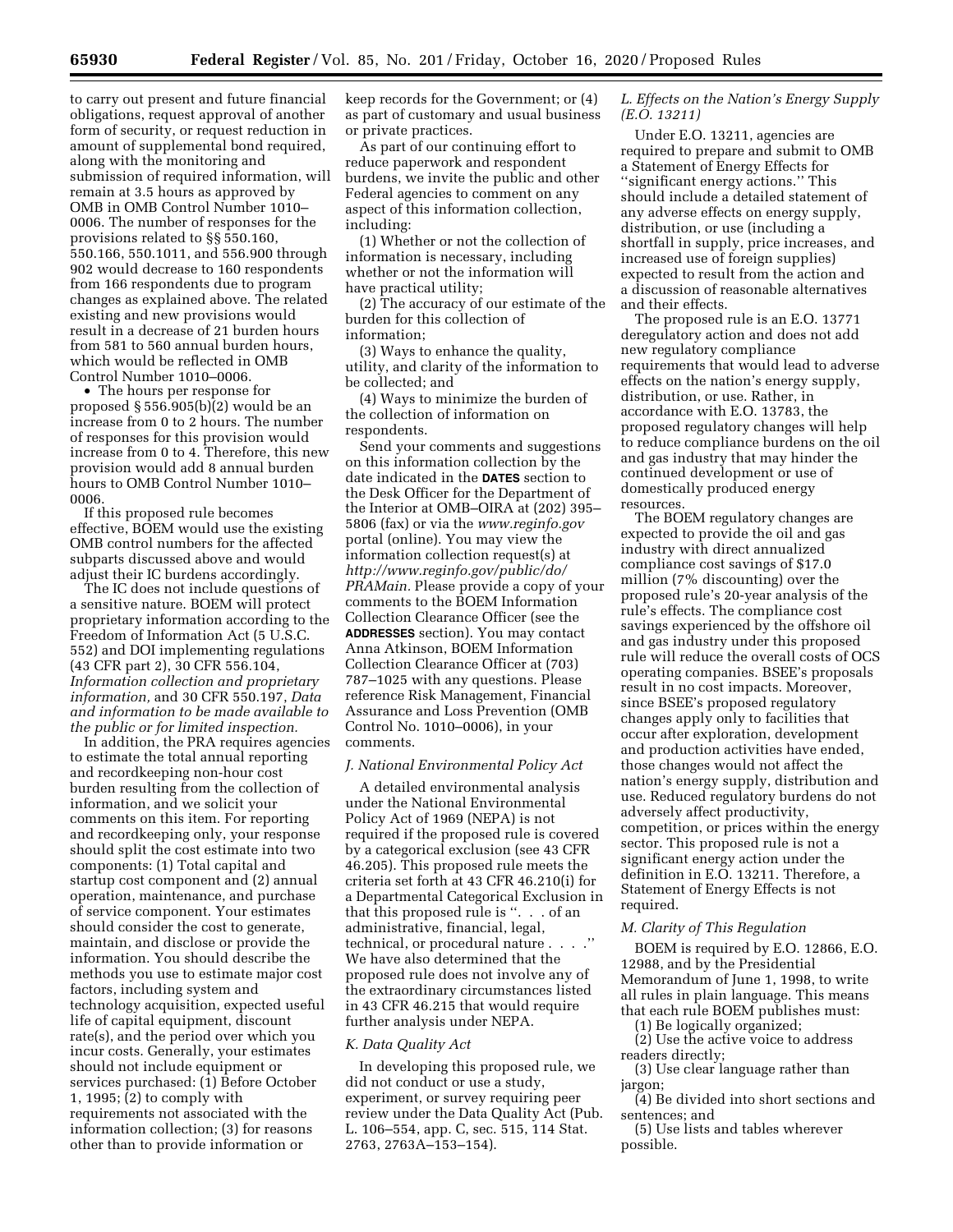to carry out present and future financial obligations, request approval of another form of security, or request reduction in amount of supplemental bond required, along with the monitoring and submission of required information, will remain at 3.5 hours as approved by OMB in OMB Control Number 1010– 0006. The number of responses for the provisions related to §§ 550.160, 550.166, 550.1011, and 556.900 through 902 would decrease to 160 respondents from 166 respondents due to program changes as explained above. The related existing and new provisions would result in a decrease of 21 burden hours from 581 to 560 annual burden hours, which would be reflected in OMB Control Number 1010–0006.

• The hours per response for proposed § 556.905(b)(2) would be an increase from 0 to 2 hours. The number of responses for this provision would increase from 0 to 4. Therefore, this new provision would add 8 annual burden hours to OMB Control Number 1010– 0006.

If this proposed rule becomes effective, BOEM would use the existing OMB control numbers for the affected subparts discussed above and would adjust their IC burdens accordingly.

The IC does not include questions of a sensitive nature. BOEM will protect proprietary information according to the Freedom of Information Act (5 U.S.C. 552) and DOI implementing regulations (43 CFR part 2), 30 CFR 556.104, *Information collection and proprietary information,* and 30 CFR 550.197, *Data and information to be made available to the public or for limited inspection.* 

In addition, the PRA requires agencies to estimate the total annual reporting and recordkeeping non-hour cost burden resulting from the collection of information, and we solicit your comments on this item. For reporting and recordkeeping only, your response should split the cost estimate into two components: (1) Total capital and startup cost component and (2) annual operation, maintenance, and purchase of service component. Your estimates should consider the cost to generate, maintain, and disclose or provide the information. You should describe the methods you use to estimate major cost factors, including system and technology acquisition, expected useful life of capital equipment, discount rate(s), and the period over which you incur costs. Generally, your estimates should not include equipment or services purchased: (1) Before October 1, 1995; (2) to comply with requirements not associated with the information collection; (3) for reasons other than to provide information or

keep records for the Government; or (4) as part of customary and usual business or private practices.

As part of our continuing effort to reduce paperwork and respondent burdens, we invite the public and other Federal agencies to comment on any aspect of this information collection, including:

(1) Whether or not the collection of information is necessary, including whether or not the information will have practical utility;

(2) The accuracy of our estimate of the burden for this collection of information;

(3) Ways to enhance the quality, utility, and clarity of the information to be collected; and

(4) Ways to minimize the burden of the collection of information on respondents.

Send your comments and suggestions on this information collection by the date indicated in the **DATES** section to the Desk Officer for the Department of the Interior at OMB–OIRA at (202) 395– 5806 (fax) or via the *[www.reginfo.gov](http://www.reginfo.gov)*  portal (online). You may view the information collection request(s) at *[http://www.reginfo.gov/public/do/](http://www.reginfo.gov/public/do/PRAMain) [PRAMain.](http://www.reginfo.gov/public/do/PRAMain)* Please provide a copy of your comments to the BOEM Information Collection Clearance Officer (see the **ADDRESSES** section). You may contact Anna Atkinson, BOEM Information Collection Clearance Officer at (703) 787–1025 with any questions. Please reference Risk Management, Financial Assurance and Loss Prevention (OMB Control No. 1010–0006), in your comments.

#### *J. National Environmental Policy Act*

A detailed environmental analysis under the National Environmental Policy Act of 1969 (NEPA) is not required if the proposed rule is covered by a categorical exclusion (see 43 CFR 46.205). This proposed rule meets the criteria set forth at 43 CFR 46.210(i) for a Departmental Categorical Exclusion in that this proposed rule is ''. . . of an administrative, financial, legal, technical, or procedural nature . . . .'' We have also determined that the proposed rule does not involve any of the extraordinary circumstances listed in 43 CFR 46.215 that would require further analysis under NEPA.

### *K. Data Quality Act*

In developing this proposed rule, we did not conduct or use a study, experiment, or survey requiring peer review under the Data Quality Act (Pub. L. 106–554, app. C, sec. 515, 114 Stat. 2763, 2763A–153–154).

# *L. Effects on the Nation's Energy Supply (E.O. 13211)*

Under E.O. 13211, agencies are required to prepare and submit to OMB a Statement of Energy Effects for ''significant energy actions.'' This should include a detailed statement of any adverse effects on energy supply, distribution, or use (including a shortfall in supply, price increases, and increased use of foreign supplies) expected to result from the action and a discussion of reasonable alternatives and their effects.

The proposed rule is an E.O. 13771 deregulatory action and does not add new regulatory compliance requirements that would lead to adverse effects on the nation's energy supply, distribution, or use. Rather, in accordance with E.O. 13783, the proposed regulatory changes will help to reduce compliance burdens on the oil and gas industry that may hinder the continued development or use of domestically produced energy resources.

The BOEM regulatory changes are expected to provide the oil and gas industry with direct annualized compliance cost savings of \$17.0 million (7% discounting) over the proposed rule's 20-year analysis of the rule's effects. The compliance cost savings experienced by the offshore oil and gas industry under this proposed rule will reduce the overall costs of OCS operating companies. BSEE's proposals result in no cost impacts. Moreover, since BSEE's proposed regulatory changes apply only to facilities that occur after exploration, development and production activities have ended, those changes would not affect the nation's energy supply, distribution and use. Reduced regulatory burdens do not adversely affect productivity, competition, or prices within the energy sector. This proposed rule is not a significant energy action under the definition in E.O. 13211. Therefore, a Statement of Energy Effects is not required.

### *M. Clarity of This Regulation*

BOEM is required by E.O. 12866, E.O. 12988, and by the Presidential Memorandum of June 1, 1998, to write all rules in plain language. This means that each rule BOEM publishes must:

(1) Be logically organized;

(2) Use the active voice to address readers directly;

(3) Use clear language rather than jargon;

(4) Be divided into short sections and sentences; and

(5) Use lists and tables wherever possible.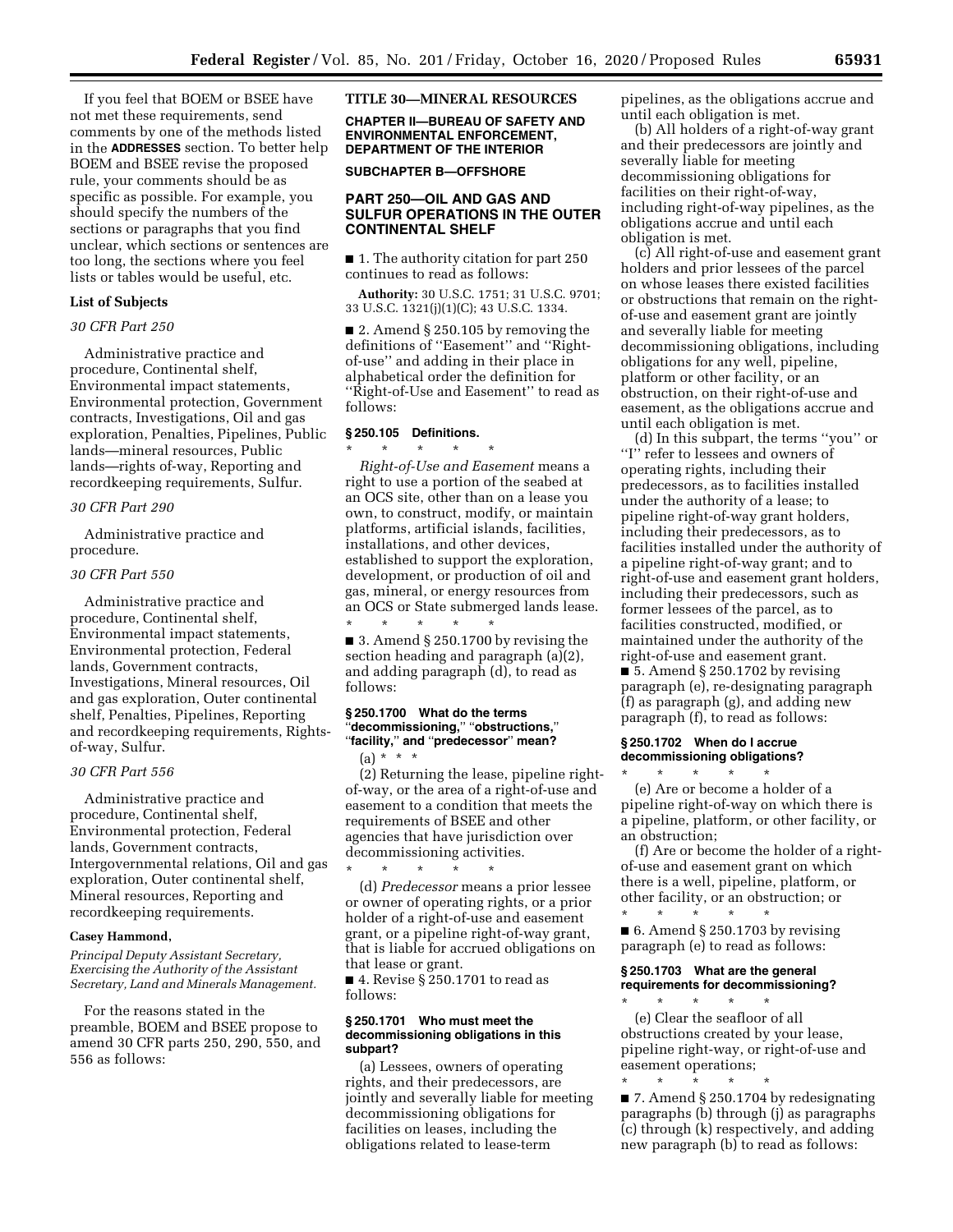If you feel that BOEM or BSEE have not met these requirements, send comments by one of the methods listed in the **ADDRESSES** section. To better help BOEM and BSEE revise the proposed rule, your comments should be as specific as possible. For example, you should specify the numbers of the sections or paragraphs that you find unclear, which sections or sentences are too long, the sections where you feel lists or tables would be useful, etc.

#### **List of Subjects**

### *30 CFR Part 250*

Administrative practice and procedure, Continental shelf, Environmental impact statements, Environmental protection, Government contracts, Investigations, Oil and gas exploration, Penalties, Pipelines, Public lands—mineral resources, Public lands—rights of-way, Reporting and recordkeeping requirements, Sulfur.

#### *30 CFR Part 290*

Administrative practice and procedure.

### *30 CFR Part 550*

Administrative practice and procedure, Continental shelf, Environmental impact statements, Environmental protection, Federal lands, Government contracts, Investigations, Mineral resources, Oil and gas exploration, Outer continental shelf, Penalties, Pipelines, Reporting and recordkeeping requirements, Rightsof-way, Sulfur.

# *30 CFR Part 556*

Administrative practice and procedure, Continental shelf, Environmental protection, Federal lands, Government contracts, Intergovernmental relations, Oil and gas exploration, Outer continental shelf, Mineral resources, Reporting and recordkeeping requirements.

### **Casey Hammond,**

*Principal Deputy Assistant Secretary, Exercising the Authority of the Assistant Secretary, Land and Minerals Management.* 

For the reasons stated in the preamble, BOEM and BSEE propose to amend 30 CFR parts 250, 290, 550, and 556 as follows:

# **TITLE 30—MINERAL RESOURCES**

**CHAPTER II—BUREAU OF SAFETY AND ENVIRONMENTAL ENFORCEMENT, DEPARTMENT OF THE INTERIOR** 

**SUBCHAPTER B—OFFSHORE** 

# **PART 250—OIL AND GAS AND SULFUR OPERATIONS IN THE OUTER CONTINENTAL SHELF**

■ 1. The authority citation for part 250 continues to read as follows:

**Authority:** 30 U.S.C. 1751; 31 U.S.C. 9701; 33 U.S.C. 1321(j)(1)(C); 43 U.S.C. 1334.

■ 2. Amend § 250.105 by removing the definitions of ''Easement'' and ''Rightof-use'' and adding in their place in alphabetical order the definition for ''Right-of-Use and Easement'' to read as follows:

# **§ 250.105 Definitions.**

\* \* \* \* \* *Right-of-Use and Easement* means a right to use a portion of the seabed at an OCS site, other than on a lease you own, to construct, modify, or maintain platforms, artificial islands, facilities, installations, and other devices, established to support the exploration, development, or production of oil and gas, mineral, or energy resources from an OCS or State submerged lands lease. \* \* \* \* \*

■ 3. Amend § 250.1700 by revising the section heading and paragraph (a)(2), and adding paragraph (d), to read as follows:

# **§ 250.1700 What do the terms**  ''**decommissioning,**'' ''**obstructions,**'' ''**facility,**'' **and** ''**predecessor**'' **mean?**  (a) \* \* \*

(2) Returning the lease, pipeline rightof-way, or the area of a right-of-use and easement to a condition that meets the requirements of BSEE and other agencies that have jurisdiction over decommissioning activities.

\* \* \* \* \* (d) *Predecessor* means a prior lessee or owner of operating rights, or a prior holder of a right-of-use and easement grant, or a pipeline right-of-way grant, that is liable for accrued obligations on that lease or grant.

■ 4. Revise § 250.1701 to read as follows:

### **§ 250.1701 Who must meet the decommissioning obligations in this subpart?**

(a) Lessees, owners of operating rights, and their predecessors, are jointly and severally liable for meeting decommissioning obligations for facilities on leases, including the obligations related to lease-term

pipelines, as the obligations accrue and until each obligation is met.

(b) All holders of a right-of-way grant and their predecessors are jointly and severally liable for meeting decommissioning obligations for facilities on their right-of-way, including right-of-way pipelines, as the obligations accrue and until each obligation is met.

(c) All right-of-use and easement grant holders and prior lessees of the parcel on whose leases there existed facilities or obstructions that remain on the rightof-use and easement grant are jointly and severally liable for meeting decommissioning obligations, including obligations for any well, pipeline, platform or other facility, or an obstruction, on their right-of-use and easement, as the obligations accrue and until each obligation is met.

(d) In this subpart, the terms ''you'' or ''I'' refer to lessees and owners of operating rights, including their predecessors, as to facilities installed under the authority of a lease; to pipeline right-of-way grant holders, including their predecessors, as to facilities installed under the authority of a pipeline right-of-way grant; and to right-of-use and easement grant holders, including their predecessors, such as former lessees of the parcel, as to facilities constructed, modified, or maintained under the authority of the right-of-use and easement grant. ■ 5. Amend § 250.1702 by revising

paragraph (e), re-designating paragraph (f) as paragraph (g), and adding new paragraph (f), to read as follows:

# **§ 250.1702 When do I accrue decommissioning obligations?**

\* \* \* \* \* (e) Are or become a holder of a pipeline right-of-way on which there is a pipeline, platform, or other facility, or an obstruction;

(f) Are or become the holder of a rightof-use and easement grant on which there is a well, pipeline, platform, or other facility, or an obstruction; or

\* \* \* \* \* ■ 6. Amend § 250.1703 by revising paragraph (e) to read as follows:

# **§ 250.1703 What are the general requirements for decommissioning?**

\* \* \* \* \* (e) Clear the seafloor of all obstructions created by your lease, pipeline right-way, or right-of-use and easement operations;

\* \* \* \* \* ■ 7. Amend § 250.1704 by redesignating paragraphs (b) through (j) as paragraphs (c) through (k) respectively, and adding new paragraph (b) to read as follows: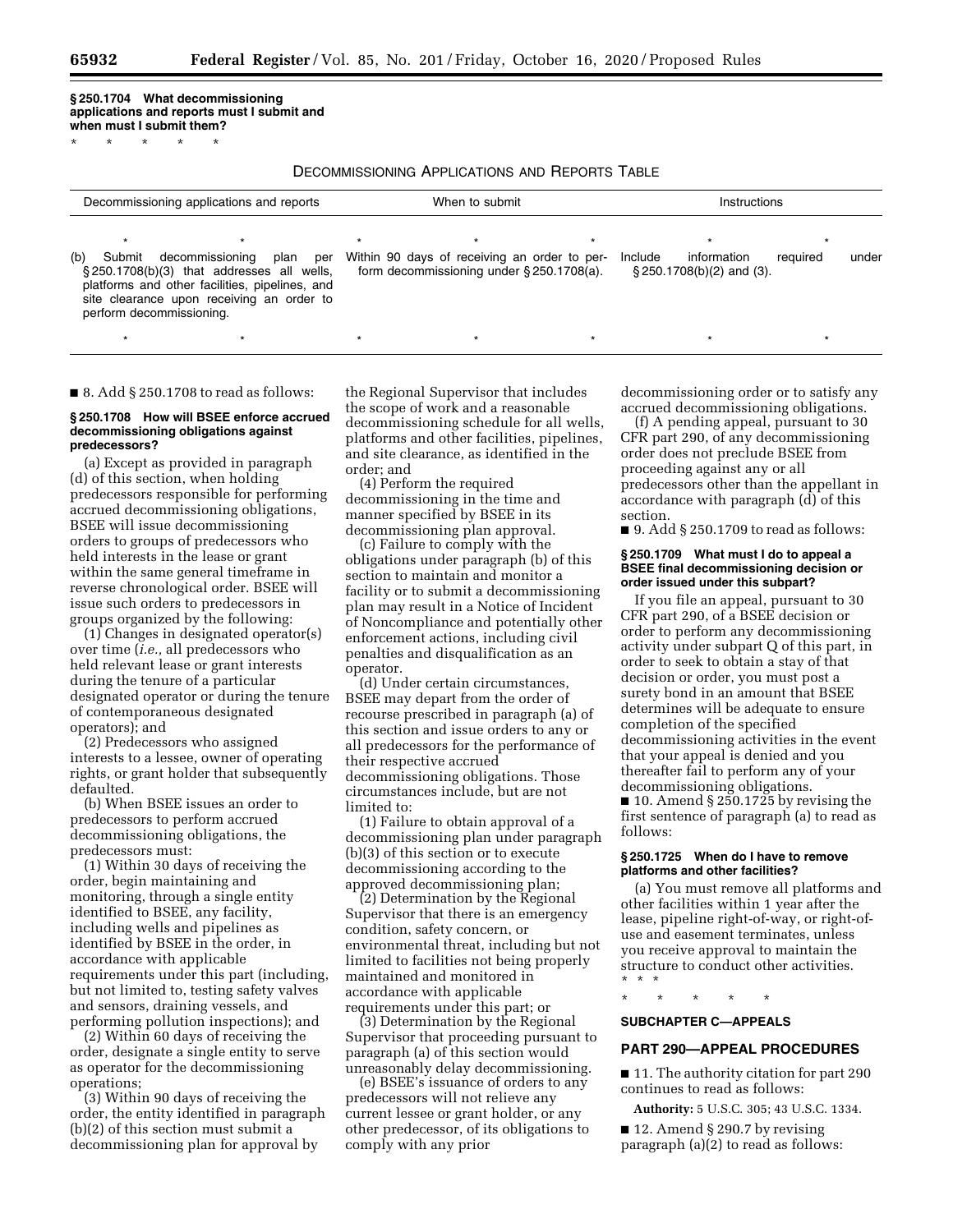**§ 250.1704 What decommissioning applications and reports must I submit and when must I submit them?**  \* \* \* \* \*

DECOMMISSIONING APPLICATIONS AND REPORTS TABLE

| Decommissioning applications and reports                                                                                                                                                                      | When to submit                                                                                          | Instructions                                                                |
|---------------------------------------------------------------------------------------------------------------------------------------------------------------------------------------------------------------|---------------------------------------------------------------------------------------------------------|-----------------------------------------------------------------------------|
| decommissioning plan<br>(b)<br>Submit<br>§250.1708(b)(3) that addresses all wells,<br>platforms and other facilities, pipelines, and<br>site clearance upon receiving an order to<br>perform decommissioning. | $\star$<br>per Within 90 days of receiving an order to per-<br>form decommissioning under §250.1708(a). | information<br>Include<br>under<br>required<br>$\S 250.1708(b)(2)$ and (3). |

\* \* \* \* \* \* \* \* \* \* \* \* \* \*

■ 8. Add § 250.1708 to read as follows:

### **§ 250.1708 How will BSEE enforce accrued decommissioning obligations against predecessors?**

(a) Except as provided in paragraph (d) of this section, when holding predecessors responsible for performing accrued decommissioning obligations, BSEE will issue decommissioning orders to groups of predecessors who held interests in the lease or grant within the same general timeframe in reverse chronological order. BSEE will issue such orders to predecessors in groups organized by the following:

(1) Changes in designated operator(s) over time (*i.e.,* all predecessors who held relevant lease or grant interests during the tenure of a particular designated operator or during the tenure of contemporaneous designated operators); and

(2) Predecessors who assigned interests to a lessee, owner of operating rights, or grant holder that subsequently defaulted.

(b) When BSEE issues an order to predecessors to perform accrued decommissioning obligations, the predecessors must:

(1) Within 30 days of receiving the order, begin maintaining and monitoring, through a single entity identified to BSEE, any facility, including wells and pipelines as identified by BSEE in the order, in accordance with applicable requirements under this part (including, but not limited to, testing safety valves and sensors, draining vessels, and performing pollution inspections); and

(2) Within 60 days of receiving the order, designate a single entity to serve as operator for the decommissioning operations;

(3) Within 90 days of receiving the order, the entity identified in paragraph (b)(2) of this section must submit a decommissioning plan for approval by

the Regional Supervisor that includes the scope of work and a reasonable decommissioning schedule for all wells, platforms and other facilities, pipelines, and site clearance, as identified in the order; and

(4) Perform the required decommissioning in the time and manner specified by BSEE in its decommissioning plan approval.

(c) Failure to comply with the obligations under paragraph (b) of this section to maintain and monitor a facility or to submit a decommissioning plan may result in a Notice of Incident of Noncompliance and potentially other enforcement actions, including civil penalties and disqualification as an operator.

(d) Under certain circumstances, BSEE may depart from the order of recourse prescribed in paragraph (a) of this section and issue orders to any or all predecessors for the performance of their respective accrued decommissioning obligations. Those circumstances include, but are not limited to:

(1) Failure to obtain approval of a decommissioning plan under paragraph (b)(3) of this section or to execute decommissioning according to the approved decommissioning plan;

(2) Determination by the Regional Supervisor that there is an emergency condition, safety concern, or environmental threat, including but not limited to facilities not being properly maintained and monitored in accordance with applicable requirements under this part; or

(3) Determination by the Regional Supervisor that proceeding pursuant to paragraph (a) of this section would unreasonably delay decommissioning.

(e) BSEE's issuance of orders to any predecessors will not relieve any current lessee or grant holder, or any other predecessor, of its obligations to comply with any prior

decommissioning order or to satisfy any accrued decommissioning obligations.

(f) A pending appeal, pursuant to 30 CFR part 290, of any decommissioning order does not preclude BSEE from proceeding against any or all predecessors other than the appellant in accordance with paragraph (d) of this section.

■ 9. Add § 250.1709 to read as follows:

### **§ 250.1709 What must I do to appeal a BSEE final decommissioning decision or order issued under this subpart?**

If you file an appeal, pursuant to 30 CFR part 290, of a BSEE decision or order to perform any decommissioning activity under subpart Q of this part, in order to seek to obtain a stay of that decision or order, you must post a surety bond in an amount that BSEE determines will be adequate to ensure completion of the specified decommissioning activities in the event that your appeal is denied and you thereafter fail to perform any of your decommissioning obligations.

 $\blacksquare$  10. Amend § 250.1725 by revising the first sentence of paragraph (a) to read as follows:

### **§ 250.1725 When do I have to remove platforms and other facilities?**

(a) You must remove all platforms and other facilities within 1 year after the lease, pipeline right-of-way, or right-ofuse and easement terminates, unless you receive approval to maintain the structure to conduct other activities. \* \* \*

\* \* \* \* \*

# **SUBCHAPTER C—APPEALS**

# **PART 290—APPEAL PROCEDURES**

■ 11. The authority citation for part 290 continues to read as follows:

**Authority:** 5 U.S.C. 305; 43 U.S.C. 1334.

■ 12. Amend § 290.7 by revising paragraph (a)(2) to read as follows: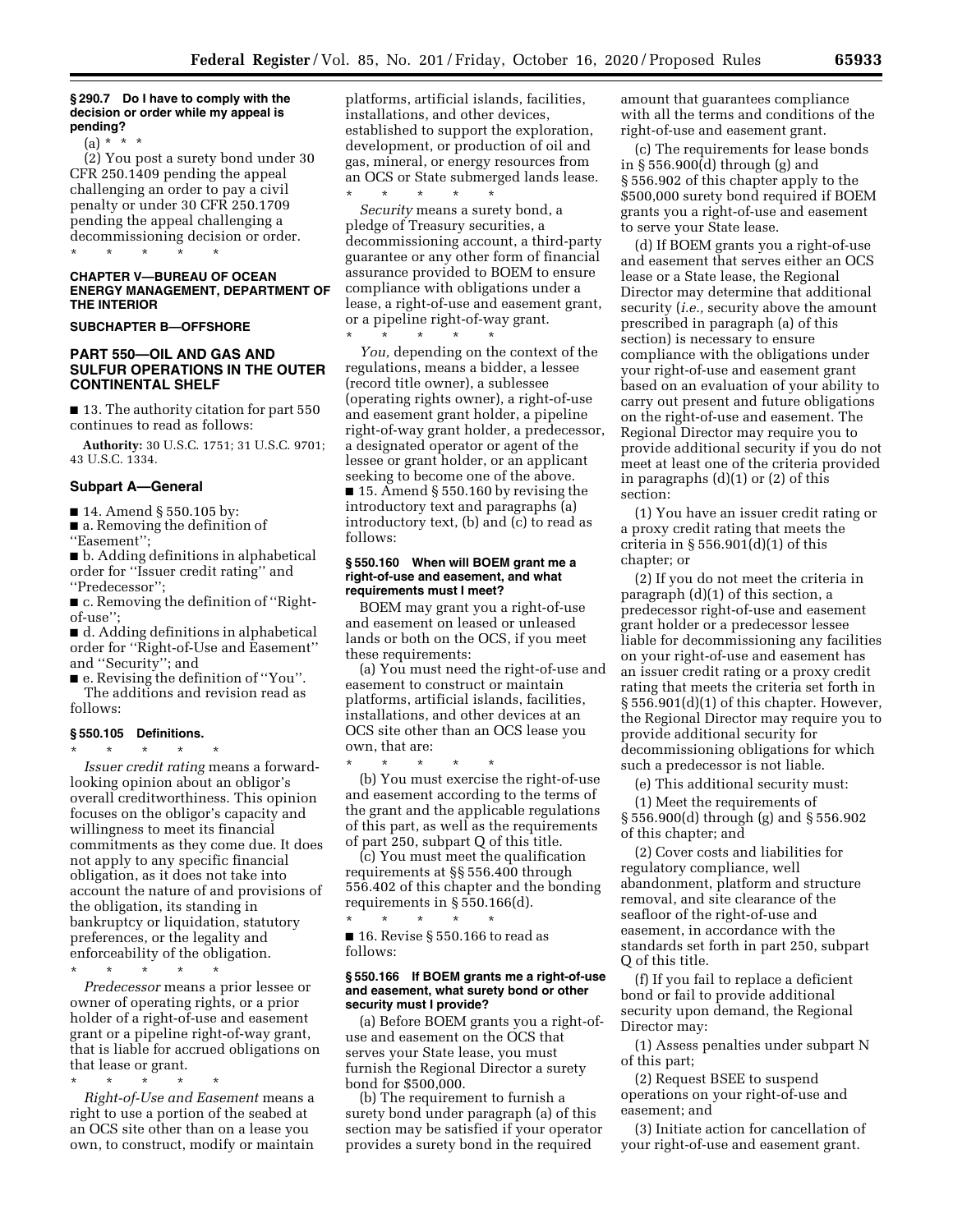**§ 290.7 Do I have to comply with the decision or order while my appeal is pending?** 

(a) \* \* \*

(2) You post a surety bond under 30 CFR 250.1409 pending the appeal challenging an order to pay a civil penalty or under 30 CFR 250.1709 pending the appeal challenging a decommissioning decision or order. \* \* \* \* \*

**CHAPTER V—BUREAU OF OCEAN ENERGY MANAGEMENT, DEPARTMENT OF THE INTERIOR** 

**SUBCHAPTER B—OFFSHORE** 

# **PART 550—OIL AND GAS AND SULFUR OPERATIONS IN THE OUTER CONTINENTAL SHELF**

■ 13. The authority citation for part 550 continues to read as follows:

**Authority:** 30 U.S.C. 1751; 31 U.S.C. 9701; 43 U.S.C. 1334.

### **Subpart A—General**

■ 14. Amend § 550.105 by:

■ a. Removing the definition of

''Easement'';

■ b. Adding definitions in alphabetical order for ''Issuer credit rating'' and ''Predecessor'';

■ c. Removing the definition of "Rightof-use'';

■ d. Adding definitions in alphabetical order for ''Right-of-Use and Easement'' and ''Security''; and

■ e. Revising the definition of "You". The additions and revision read as follows:

#### **§ 550.105 Definitions.**  \* \* \* \* \*

*Issuer credit rating* means a forwardlooking opinion about an obligor's overall creditworthiness. This opinion focuses on the obligor's capacity and willingness to meet its financial commitments as they come due. It does not apply to any specific financial obligation, as it does not take into account the nature of and provisions of the obligation, its standing in bankruptcy or liquidation, statutory preferences, or the legality and enforceability of the obligation.

\* \* \* \* \*

*Predecessor* means a prior lessee or owner of operating rights, or a prior holder of a right-of-use and easement grant or a pipeline right-of-way grant, that is liable for accrued obligations on that lease or grant.

\* \* \* \* \* *Right-of-Use and Easement* means a right to use a portion of the seabed at an OCS site other than on a lease you own, to construct, modify or maintain

platforms, artificial islands, facilities, installations, and other devices, established to support the exploration, development, or production of oil and gas, mineral, or energy resources from an OCS or State submerged lands lease. \* \* \* \* \*

*Security* means a surety bond, a pledge of Treasury securities, a decommissioning account, a third-party guarantee or any other form of financial assurance provided to BOEM to ensure compliance with obligations under a lease, a right-of-use and easement grant, or a pipeline right-of-way grant. \* \* \* \* \*

*You,* depending on the context of the regulations, means a bidder, a lessee (record title owner), a sublessee (operating rights owner), a right-of-use and easement grant holder, a pipeline right-of-way grant holder, a predecessor, a designated operator or agent of the lessee or grant holder, or an applicant seeking to become one of the above. ■ 15. Amend § 550.160 by revising the introductory text and paragraphs (a) introductory text, (b) and (c) to read as follows:

### **§ 550.160 When will BOEM grant me a right-of-use and easement, and what requirements must I meet?**

BOEM may grant you a right-of-use and easement on leased or unleased lands or both on the OCS, if you meet these requirements:

(a) You must need the right-of-use and easement to construct or maintain platforms, artificial islands, facilities, installations, and other devices at an OCS site other than an OCS lease you own, that are:

\* \* \* \* \* (b) You must exercise the right-of-use and easement according to the terms of the grant and the applicable regulations of this part, as well as the requirements of part 250, subpart Q of this title.

(c) You must meet the qualification requirements at §§ 556.400 through 556.402 of this chapter and the bonding requirements in § 550.166(d).

\* \* \* \* \* ■ 16. Revise § 550.166 to read as follows:

### **§ 550.166 If BOEM grants me a right-of-use and easement, what surety bond or other security must I provide?**

(a) Before BOEM grants you a right-ofuse and easement on the OCS that serves your State lease, you must furnish the Regional Director a surety bond for \$500,000.

(b) The requirement to furnish a surety bond under paragraph (a) of this section may be satisfied if your operator provides a surety bond in the required

amount that guarantees compliance with all the terms and conditions of the right-of-use and easement grant.

(c) The requirements for lease bonds in § 556.900(d) through (g) and § 556.902 of this chapter apply to the \$500,000 surety bond required if BOEM grants you a right-of-use and easement to serve your State lease.

(d) If BOEM grants you a right-of-use and easement that serves either an OCS lease or a State lease, the Regional Director may determine that additional security (*i.e.,* security above the amount prescribed in paragraph (a) of this section) is necessary to ensure compliance with the obligations under your right-of-use and easement grant based on an evaluation of your ability to carry out present and future obligations on the right-of-use and easement. The Regional Director may require you to provide additional security if you do not meet at least one of the criteria provided in paragraphs (d)(1) or (2) of this section:

(1) You have an issuer credit rating or a proxy credit rating that meets the criteria in  $\S 556.901(d)(1)$  of this chapter; or

(2) If you do not meet the criteria in paragraph (d)(1) of this section, a predecessor right-of-use and easement grant holder or a predecessor lessee liable for decommissioning any facilities on your right-of-use and easement has an issuer credit rating or a proxy credit rating that meets the criteria set forth in § 556.901(d)(1) of this chapter. However, the Regional Director may require you to provide additional security for decommissioning obligations for which such a predecessor is not liable.

(e) This additional security must:

(1) Meet the requirements of § 556.900(d) through (g) and § 556.902 of this chapter; and

(2) Cover costs and liabilities for regulatory compliance, well abandonment, platform and structure removal, and site clearance of the seafloor of the right-of-use and easement, in accordance with the standards set forth in part 250, subpart Q of this title.

(f) If you fail to replace a deficient bond or fail to provide additional security upon demand, the Regional Director may:

(1) Assess penalties under subpart N of this part;

(2) Request BSEE to suspend operations on your right-of-use and easement; and

(3) Initiate action for cancellation of your right-of-use and easement grant.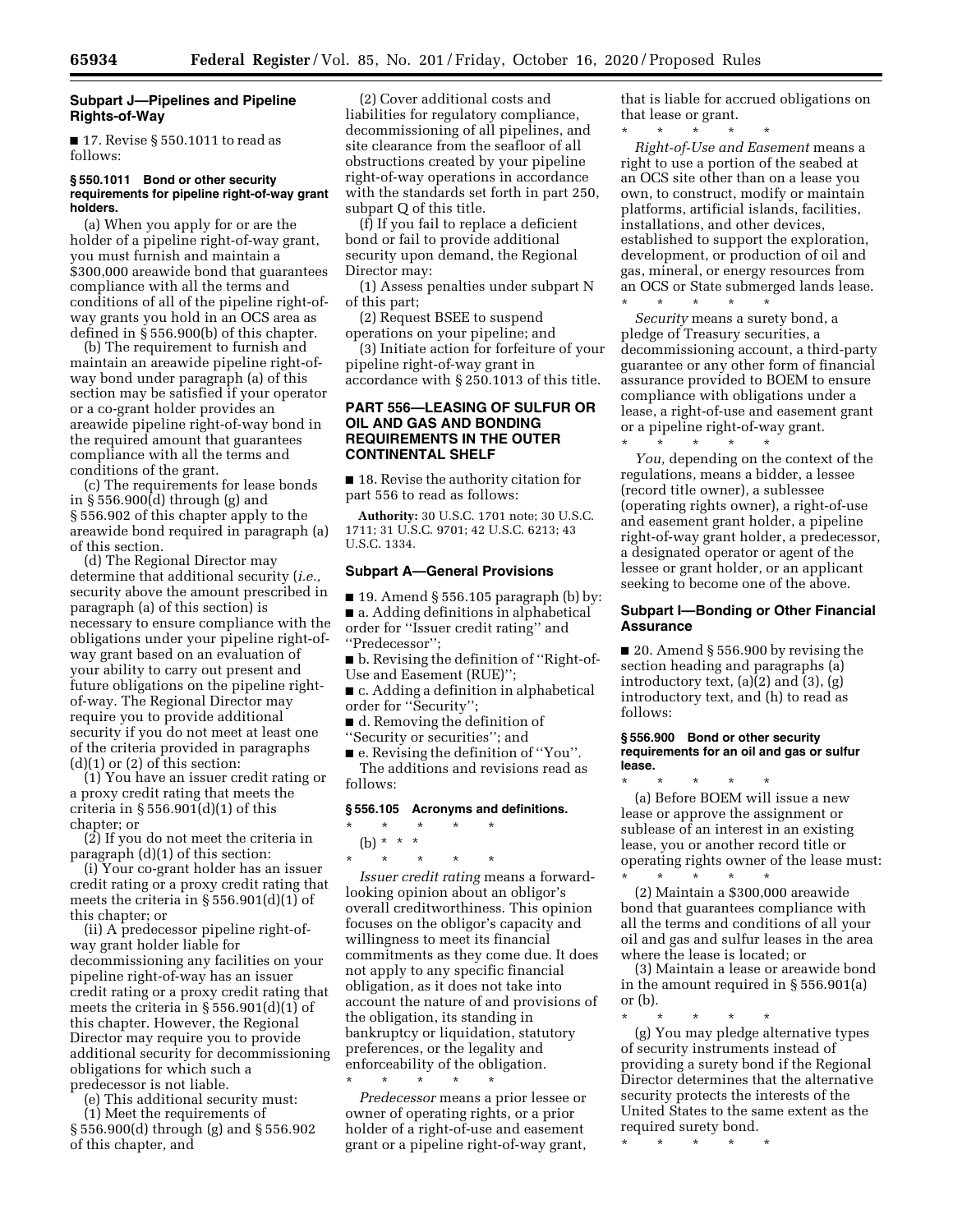# **Subpart J—Pipelines and Pipeline Rights-of-Way**

■ 17. Revise § 550.1011 to read as follows:

### **§ 550.1011 Bond or other security requirements for pipeline right-of-way grant holders.**

(a) When you apply for or are the holder of a pipeline right-of-way grant, you must furnish and maintain a \$300,000 areawide bond that guarantees compliance with all the terms and conditions of all of the pipeline right-ofway grants you hold in an OCS area as defined in § 556.900(b) of this chapter.

(b) The requirement to furnish and maintain an areawide pipeline right-ofway bond under paragraph (a) of this section may be satisfied if your operator or a co-grant holder provides an areawide pipeline right-of-way bond in the required amount that guarantees compliance with all the terms and conditions of the grant.

(c) The requirements for lease bonds in § 556.900(d) through (g) and § 556.902 of this chapter apply to the areawide bond required in paragraph (a) of this section.

(d) The Regional Director may determine that additional security (*i.e.,*  security above the amount prescribed in paragraph (a) of this section) is necessary to ensure compliance with the obligations under your pipeline right-ofway grant based on an evaluation of your ability to carry out present and future obligations on the pipeline rightof-way. The Regional Director may require you to provide additional security if you do not meet at least one of the criteria provided in paragraphs  $(d)(1)$  or  $(2)$  of this section:

(1) You have an issuer credit rating or a proxy credit rating that meets the criteria in  $\S 556.901(d)(1)$  of this chapter; or

(2) If you do not meet the criteria in paragraph (d)(1) of this section:

(i) Your co-grant holder has an issuer credit rating or a proxy credit rating that meets the criteria in  $\S 556.901(d)(1)$  of this chapter; or

(ii) A predecessor pipeline right-ofway grant holder liable for decommissioning any facilities on your pipeline right-of-way has an issuer credit rating or a proxy credit rating that meets the criteria in § 556.901(d)(1) of this chapter. However, the Regional Director may require you to provide additional security for decommissioning obligations for which such a predecessor is not liable.

(e) This additional security must:

(1) Meet the requirements of § 556.900(d) through (g) and § 556.902 of this chapter, and

(2) Cover additional costs and liabilities for regulatory compliance, decommissioning of all pipelines, and site clearance from the seafloor of all obstructions created by your pipeline right-of-way operations in accordance with the standards set forth in part 250, subpart Q of this title.

(f) If you fail to replace a deficient bond or fail to provide additional security upon demand, the Regional Director may:

(1) Assess penalties under subpart N of this part;

(2) Request BSEE to suspend operations on your pipeline; and

(3) Initiate action for forfeiture of your pipeline right-of-way grant in accordance with § 250.1013 of this title.

# **PART 556—LEASING OF SULFUR OR OIL AND GAS AND BONDING REQUIREMENTS IN THE OUTER CONTINENTAL SHELF**

■ 18. Revise the authority citation for part 556 to read as follows:

**Authority:** 30 U.S.C. 1701 note; 30 U.S.C. 1711; 31 U.S.C. 9701; 42 U.S.C. 6213; 43 U.S.C. 1334.

# **Subpart A—General Provisions**

 $\blacksquare$  19. Amend § 556.105 paragraph (b) by: ■ a. Adding definitions in alphabetical order for ''Issuer credit rating'' and ''Predecessor'';

■ b. Revising the definition of "Right-of-Use and Easement (RUE)'';

■ c. Adding a definition in alphabetical order for ''Security'';

■ d. Removing the definition of

''Security or securities''; and

■ e. Revising the definition of "You". The additions and revisions read as follows:

# **§ 556.105 Acronyms and definitions.**

- \* \* \* \* \*
- (b) \* \* \*

\* \* \* \* \* *Issuer credit rating* means a forwardlooking opinion about an obligor's overall creditworthiness. This opinion focuses on the obligor's capacity and willingness to meet its financial commitments as they come due. It does not apply to any specific financial obligation, as it does not take into account the nature of and provisions of the obligation, its standing in bankruptcy or liquidation, statutory preferences, or the legality and enforceability of the obligation. \* \* \* \* \*

*Predecessor* means a prior lessee or owner of operating rights, or a prior holder of a right-of-use and easement grant or a pipeline right-of-way grant, that is liable for accrued obligations on that lease or grant.

\* \* \* \* \* *Right-of-Use and Easement* means a right to use a portion of the seabed at an OCS site other than on a lease you own, to construct, modify or maintain platforms, artificial islands, facilities, installations, and other devices, established to support the exploration, development, or production of oil and gas, mineral, or energy resources from an OCS or State submerged lands lease.

\* \* \* \* \* *Security* means a surety bond, a pledge of Treasury securities, a decommissioning account, a third-party guarantee or any other form of financial assurance provided to BOEM to ensure compliance with obligations under a lease, a right-of-use and easement grant or a pipeline right-of-way grant.

\* \* \* \* \* *You,* depending on the context of the regulations, means a bidder, a lessee (record title owner), a sublessee (operating rights owner), a right-of-use and easement grant holder, a pipeline right-of-way grant holder, a predecessor, a designated operator or agent of the lessee or grant holder, or an applicant seeking to become one of the above.

# **Subpart I—Bonding or Other Financial Assurance**

■ 20. Amend § 556.900 by revising the section heading and paragraphs (a) introductory text, (a)(2) and (3), (g) introductory text, and (h) to read as follows:

#### **§ 556.900 Bond or other security requirements for an oil and gas or sulfur lease.**

\* \* \* \* \* (a) Before BOEM will issue a new lease or approve the assignment or sublease of an interest in an existing lease, you or another record title or operating rights owner of the lease must:<br>  $\begin{array}{cc} * & * & * \end{array}$ 

\* \* \* \* \* (2) Maintain a \$300,000 areawide bond that guarantees compliance with all the terms and conditions of all your oil and gas and sulfur leases in the area where the lease is located; or

(3) Maintain a lease or areawide bond in the amount required in § 556.901(a) or (b).

\* \* \* \* \*

(g) You may pledge alternative types of security instruments instead of providing a surety bond if the Regional Director determines that the alternative security protects the interests of the United States to the same extent as the required surety bond.

\* \* \* \* \*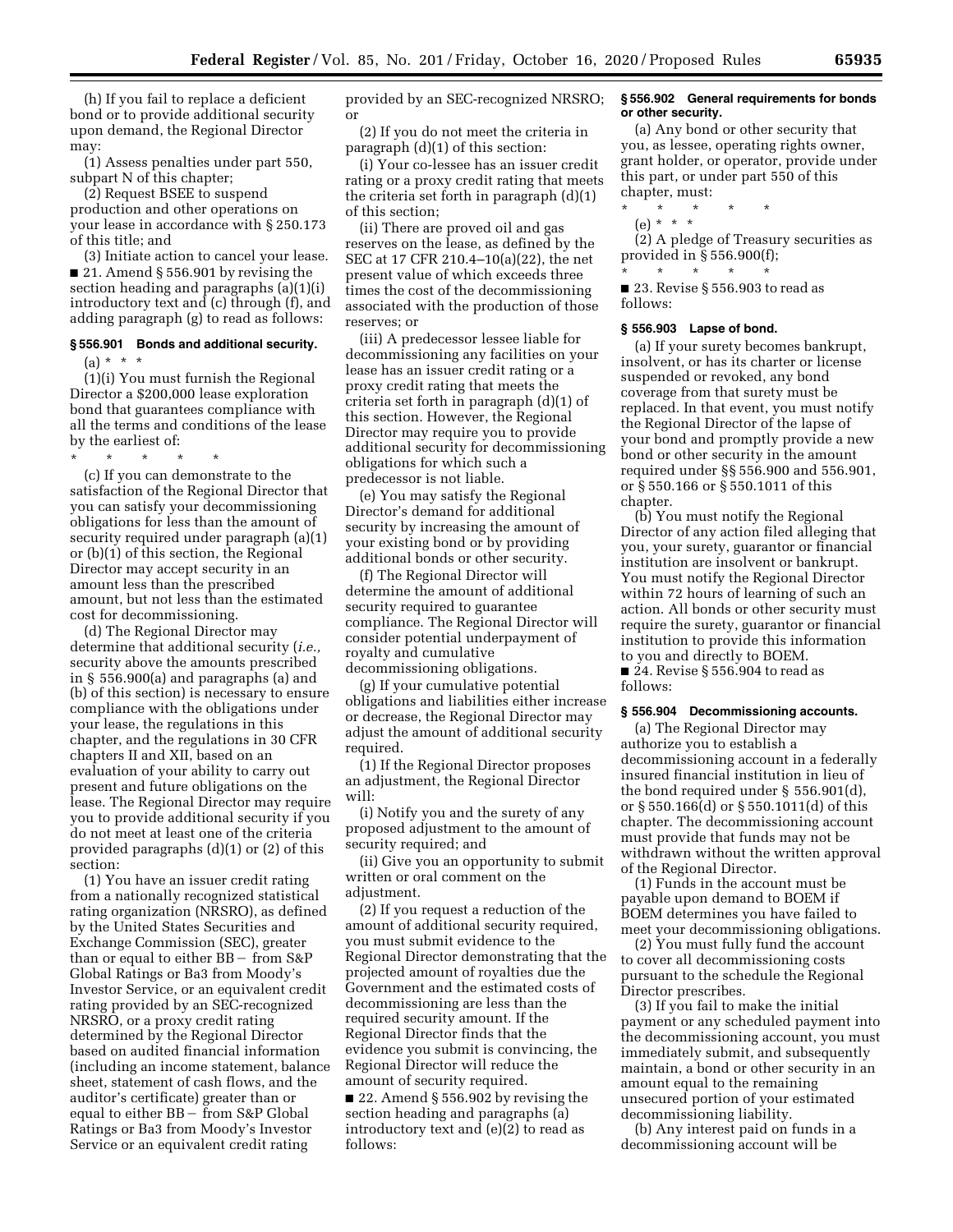(h) If you fail to replace a deficient bond or to provide additional security upon demand, the Regional Director may:

(1) Assess penalties under part 550, subpart N of this chapter;

(2) Request BSEE to suspend production and other operations on your lease in accordance with § 250.173 of this title; and

(3) Initiate action to cancel your lease. ■ 21. Amend § 556.901 by revising the section heading and paragraphs (a)(1)(i) introductory text and (c) through (f), and adding paragraph (g) to read as follows:

# **§ 556.901 Bonds and additional security.**   $(a) * * * *$

(1)(i) You must furnish the Regional Director a \$200,000 lease exploration bond that guarantees compliance with all the terms and conditions of the lease by the earliest of:

\* \* \* \* \* (c) If you can demonstrate to the satisfaction of the Regional Director that you can satisfy your decommissioning obligations for less than the amount of security required under paragraph (a)(1) or (b)(1) of this section, the Regional Director may accept security in an amount less than the prescribed amount, but not less than the estimated

cost for decommissioning. (d) The Regional Director may determine that additional security (*i.e.,*  security above the amounts prescribed in § 556.900(a) and paragraphs (a) and (b) of this section) is necessary to ensure compliance with the obligations under your lease, the regulations in this chapter, and the regulations in 30 CFR chapters II and XII, based on an evaluation of your ability to carry out present and future obligations on the lease. The Regional Director may require you to provide additional security if you do not meet at least one of the criteria provided paragraphs (d)(1) or (2) of this section:

(1) You have an issuer credit rating from a nationally recognized statistical rating organization (NRSRO), as defined by the United States Securities and Exchange Commission (SEC), greater than or equal to either  $BB - from S\&P$ Global Ratings or Ba3 from Moody's Investor Service, or an equivalent credit rating provided by an SEC-recognized NRSRO, or a proxy credit rating determined by the Regional Director based on audited financial information (including an income statement, balance sheet, statement of cash flows, and the auditor's certificate) greater than or equal to either  $BB - \bar{f}$ rom S&P Global Ratings or Ba3 from Moody's Investor Service or an equivalent credit rating

provided by an SEC-recognized NRSRO; or

(2) If you do not meet the criteria in paragraph (d)(1) of this section:

(i) Your co-lessee has an issuer credit rating or a proxy credit rating that meets the criteria set forth in paragraph (d)(1) of this section;

(ii) There are proved oil and gas reserves on the lease, as defined by the SEC at 17 CFR 210.4–10(a)(22), the net present value of which exceeds three times the cost of the decommissioning associated with the production of those reserves; or

(iii) A predecessor lessee liable for decommissioning any facilities on your lease has an issuer credit rating or a proxy credit rating that meets the criteria set forth in paragraph (d)(1) of this section. However, the Regional Director may require you to provide additional security for decommissioning obligations for which such a predecessor is not liable.

(e) You may satisfy the Regional Director's demand for additional security by increasing the amount of your existing bond or by providing additional bonds or other security.

(f) The Regional Director will determine the amount of additional security required to guarantee compliance. The Regional Director will consider potential underpayment of royalty and cumulative decommissioning obligations.

(g) If your cumulative potential obligations and liabilities either increase or decrease, the Regional Director may adjust the amount of additional security required.

(1) If the Regional Director proposes an adjustment, the Regional Director will:

(i) Notify you and the surety of any proposed adjustment to the amount of security required; and

(ii) Give you an opportunity to submit written or oral comment on the adjustment.

(2) If you request a reduction of the amount of additional security required, you must submit evidence to the Regional Director demonstrating that the projected amount of royalties due the Government and the estimated costs of decommissioning are less than the required security amount. If the Regional Director finds that the evidence you submit is convincing, the Regional Director will reduce the amount of security required.

■ 22. Amend § 556.902 by revising the section heading and paragraphs (a) introductory text and (e)(2) to read as follows:

### **§ 556.902 General requirements for bonds or other security.**

(a) Any bond or other security that you, as lessee, operating rights owner, grant holder, or operator, provide under this part, or under part 550 of this chapter, must:

- \* \* \* \* \*
	- (e) \* \* \*

(2) A pledge of Treasury securities as provided in § 556.900(f); \* \* \* \* \*

■ 23. Revise § 556.903 to read as follows:

#### **§ 556.903 Lapse of bond.**

(a) If your surety becomes bankrupt, insolvent, or has its charter or license suspended or revoked, any bond coverage from that surety must be replaced. In that event, you must notify the Regional Director of the lapse of your bond and promptly provide a new bond or other security in the amount required under §§ 556.900 and 556.901, or § 550.166 or § 550.1011 of this chapter.

(b) You must notify the Regional Director of any action filed alleging that you, your surety, guarantor or financial institution are insolvent or bankrupt. You must notify the Regional Director within 72 hours of learning of such an action. All bonds or other security must require the surety, guarantor or financial institution to provide this information to you and directly to BOEM. ■ 24. Revise § 556.904 to read as follows:

#### **§ 556.904 Decommissioning accounts.**

(a) The Regional Director may authorize you to establish a decommissioning account in a federally insured financial institution in lieu of the bond required under § 556.901(d), or § 550.166(d) or § 550.1011(d) of this chapter. The decommissioning account must provide that funds may not be withdrawn without the written approval of the Regional Director.

(1) Funds in the account must be payable upon demand to BOEM if BOEM determines you have failed to meet your decommissioning obligations.

(2) You must fully fund the account to cover all decommissioning costs pursuant to the schedule the Regional Director prescribes.

(3) If you fail to make the initial payment or any scheduled payment into the decommissioning account, you must immediately submit, and subsequently maintain, a bond or other security in an amount equal to the remaining unsecured portion of your estimated decommissioning liability.

(b) Any interest paid on funds in a decommissioning account will be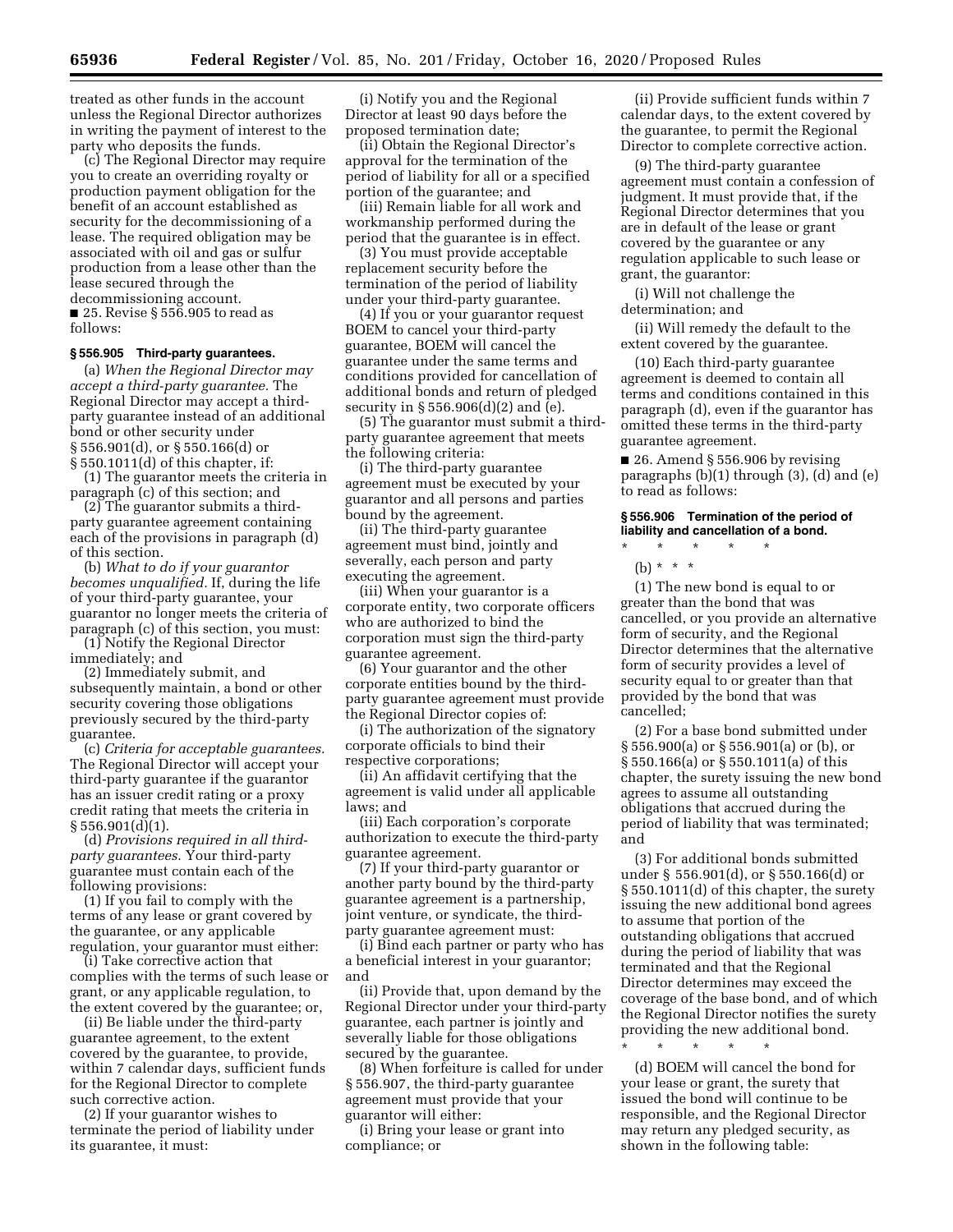treated as other funds in the account unless the Regional Director authorizes in writing the payment of interest to the party who deposits the funds.

(c) The Regional Director may require you to create an overriding royalty or production payment obligation for the benefit of an account established as security for the decommissioning of a lease. The required obligation may be associated with oil and gas or sulfur production from a lease other than the lease secured through the decommissioning account. ■ 25. Revise § 556.905 to read as follows:

### **§ 556.905 Third-party guarantees.**

(a) *When the Regional Director may accept a third-party guarantee.* The Regional Director may accept a thirdparty guarantee instead of an additional bond or other security under § 556.901(d), or § 550.166(d) or § 550.1011(d) of this chapter, if:

(1) The guarantor meets the criteria in paragraph (c) of this section; and

(2) The guarantor submits a thirdparty guarantee agreement containing each of the provisions in paragraph (d) of this section.

(b) *What to do if your guarantor becomes unqualified.* If, during the life of your third-party guarantee, your guarantor no longer meets the criteria of paragraph (c) of this section, you must:

(1) Notify the Regional Director immediately; and

(2) Immediately submit, and subsequently maintain, a bond or other security covering those obligations previously secured by the third-party guarantee.

(c) *Criteria for acceptable guarantees.*  The Regional Director will accept your third-party guarantee if the guarantor has an issuer credit rating or a proxy credit rating that meets the criteria in  $§ 556.901(d)(1).$ 

(d) *Provisions required in all thirdparty guarantees.* Your third-party guarantee must contain each of the following provisions:

(1) If you fail to comply with the terms of any lease or grant covered by the guarantee, or any applicable regulation, your guarantor must either:

(i) Take corrective action that complies with the terms of such lease or grant, or any applicable regulation, to the extent covered by the guarantee; or,

(ii) Be liable under the third-party guarantee agreement, to the extent covered by the guarantee, to provide, within 7 calendar days, sufficient funds for the Regional Director to complete such corrective action.

(2) If your guarantor wishes to terminate the period of liability under its guarantee, it must:

(i) Notify you and the Regional Director at least 90 days before the proposed termination date;

(ii) Obtain the Regional Director's approval for the termination of the period of liability for all or a specified portion of the guarantee; and

(iii) Remain liable for all work and workmanship performed during the period that the guarantee is in effect.

(3) You must provide acceptable replacement security before the termination of the period of liability under your third-party guarantee.

(4) If you or your guarantor request BOEM to cancel your third-party guarantee, BOEM will cancel the guarantee under the same terms and conditions provided for cancellation of additional bonds and return of pledged security in § 556.906(d)(2) and (e).

(5) The guarantor must submit a thirdparty guarantee agreement that meets the following criteria:

(i) The third-party guarantee agreement must be executed by your guarantor and all persons and parties bound by the agreement.

(ii) The third-party guarantee agreement must bind, jointly and severally, each person and party executing the agreement.

(iii) When your guarantor is a corporate entity, two corporate officers who are authorized to bind the corporation must sign the third-party guarantee agreement.

(6) Your guarantor and the other corporate entities bound by the thirdparty guarantee agreement must provide the Regional Director copies of:

(i) The authorization of the signatory corporate officials to bind their respective corporations;

(ii) An affidavit certifying that the agreement is valid under all applicable laws; and

(iii) Each corporation's corporate authorization to execute the third-party guarantee agreement.

(7) If your third-party guarantor or another party bound by the third-party guarantee agreement is a partnership, joint venture, or syndicate, the thirdparty guarantee agreement must:

(i) Bind each partner or party who has a beneficial interest in your guarantor; and

(ii) Provide that, upon demand by the Regional Director under your third-party guarantee, each partner is jointly and severally liable for those obligations secured by the guarantee.

(8) When forfeiture is called for under § 556.907, the third-party guarantee agreement must provide that your guarantor will either:

(i) Bring your lease or grant into compliance; or

(ii) Provide sufficient funds within 7 calendar days, to the extent covered by the guarantee, to permit the Regional Director to complete corrective action.

(9) The third-party guarantee agreement must contain a confession of judgment. It must provide that, if the Regional Director determines that you are in default of the lease or grant covered by the guarantee or any regulation applicable to such lease or grant, the guarantor:

(i) Will not challenge the determination; and

(ii) Will remedy the default to the extent covered by the guarantee.

(10) Each third-party guarantee agreement is deemed to contain all terms and conditions contained in this paragraph (d), even if the guarantor has omitted these terms in the third-party guarantee agreement.

 $\blacksquare$  26. Amend § 556.906 by revising paragraphs (b)(1) through (3), (d) and (e) to read as follows:

### **§ 556.906 Termination of the period of liability and cancellation of a bond.**

\* \* \* \* \*

(b) \* \* \*

(1) The new bond is equal to or greater than the bond that was cancelled, or you provide an alternative form of security, and the Regional Director determines that the alternative form of security provides a level of security equal to or greater than that provided by the bond that was cancelled;

(2) For a base bond submitted under § 556.900(a) or § 556.901(a) or (b), or § 550.166(a) or § 550.1011(a) of this chapter, the surety issuing the new bond agrees to assume all outstanding obligations that accrued during the period of liability that was terminated; and

(3) For additional bonds submitted under § 556.901(d), or § 550.166(d) or § 550.1011(d) of this chapter, the surety issuing the new additional bond agrees to assume that portion of the outstanding obligations that accrued during the period of liability that was terminated and that the Regional Director determines may exceed the coverage of the base bond, and of which the Regional Director notifies the surety providing the new additional bond.

(d) BOEM will cancel the bond for your lease or grant, the surety that issued the bond will continue to be responsible, and the Regional Director may return any pledged security, as shown in the following table:

\* \* \* \* \*